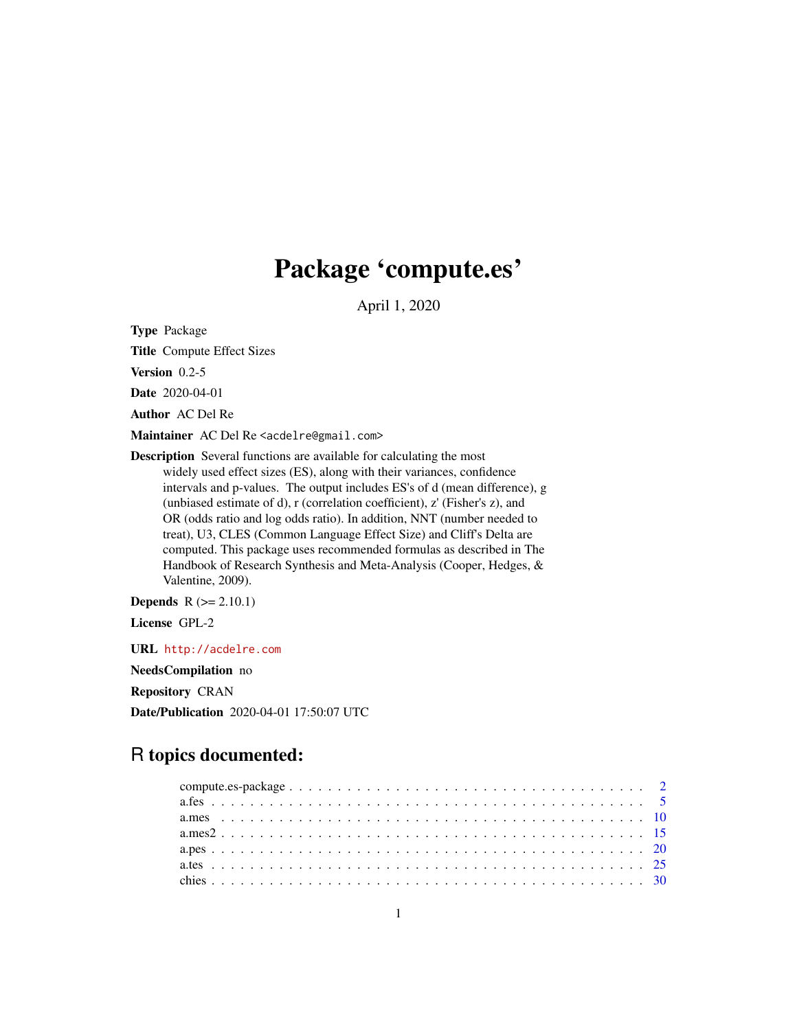# Package 'compute.es'

April 1, 2020

Type Package

Title Compute Effect Sizes

Version 0.2-5

Date 2020-04-01

Author AC Del Re

Maintainer AC Del Re <acdelre@gmail.com>

Description Several functions are available for calculating the most widely used effect sizes (ES), along with their variances, confidence intervals and p-values. The output includes ES's of d (mean difference), g (unbiased estimate of d), r (correlation coefficient), z' (Fisher's z), and OR (odds ratio and log odds ratio). In addition, NNT (number needed to treat), U3, CLES (Common Language Effect Size) and Cliff's Delta are computed. This package uses recommended formulas as described in The Handbook of Research Synthesis and Meta-Analysis (Cooper, Hedges, & Valentine, 2009).

**Depends**  $R$  ( $>= 2.10.1$ )

License GPL-2

URL <http://acdelre.com>

NeedsCompilation no

Repository CRAN

Date/Publication 2020-04-01 17:50:07 UTC

# R topics documented: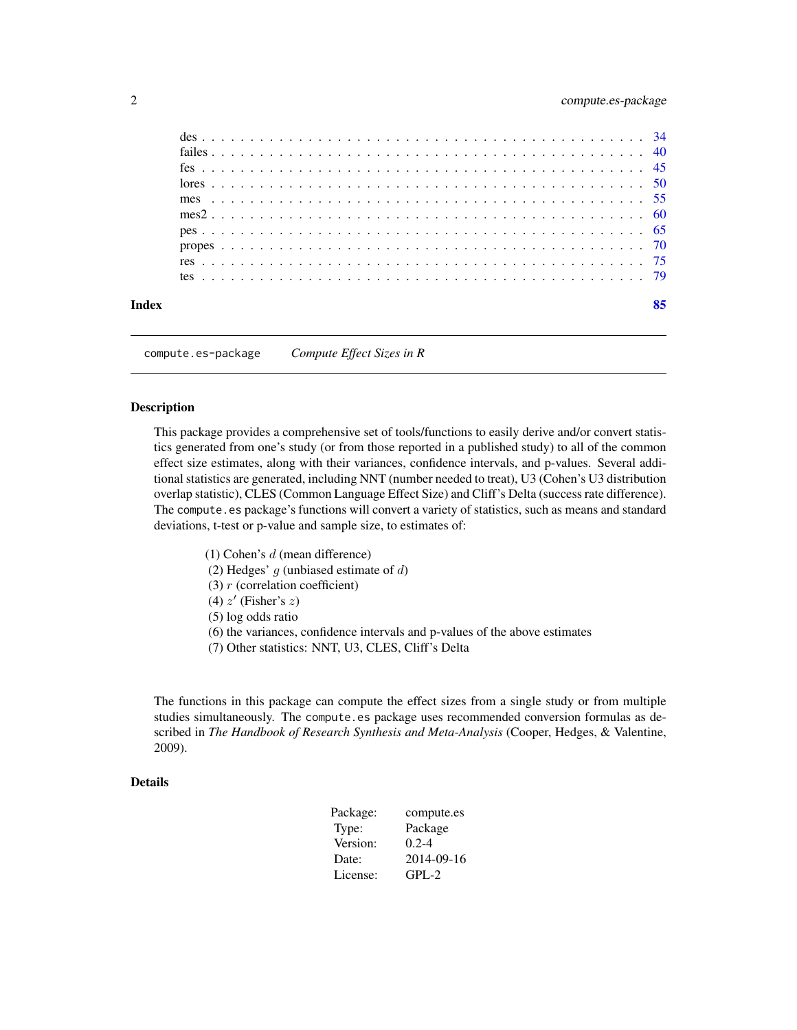<span id="page-1-0"></span>

compute.es-package *Compute Effect Sizes in R*

# **Description**

This package provides a comprehensive set of tools/functions to easily derive and/or convert statistics generated from one's study (or from those reported in a published study) to all of the common effect size estimates, along with their variances, confidence intervals, and p-values. Several additional statistics are generated, including NNT (number needed to treat), U3 (Cohen's U3 distribution overlap statistic), CLES (Common Language Effect Size) and Cliff's Delta (success rate difference). The compute.es package's functions will convert a variety of statistics, such as means and standard deviations, t-test or p-value and sample size, to estimates of:

(1) Cohen's d (mean difference) (2) Hedges'  $g$  (unbiased estimate of  $d$ ) (3)  $r$  (correlation coefficient) (4)  $z'$  (Fisher's  $z$ ) (5) log odds ratio (6) the variances, confidence intervals and p-values of the above estimates

(7) Other statistics: NNT, U3, CLES, Cliff's Delta

The functions in this package can compute the effect sizes from a single study or from multiple studies simultaneously. The compute es package uses recommended conversion formulas as described in *The Handbook of Research Synthesis and Meta-Analysis* (Cooper, Hedges, & Valentine, 2009).

#### Details

| Package: | compute.es |
|----------|------------|
| Type:    | Package    |
| Version: | $0.2 - 4$  |
| Date:    | 2014-09-16 |
| License: | $GPI - 2$  |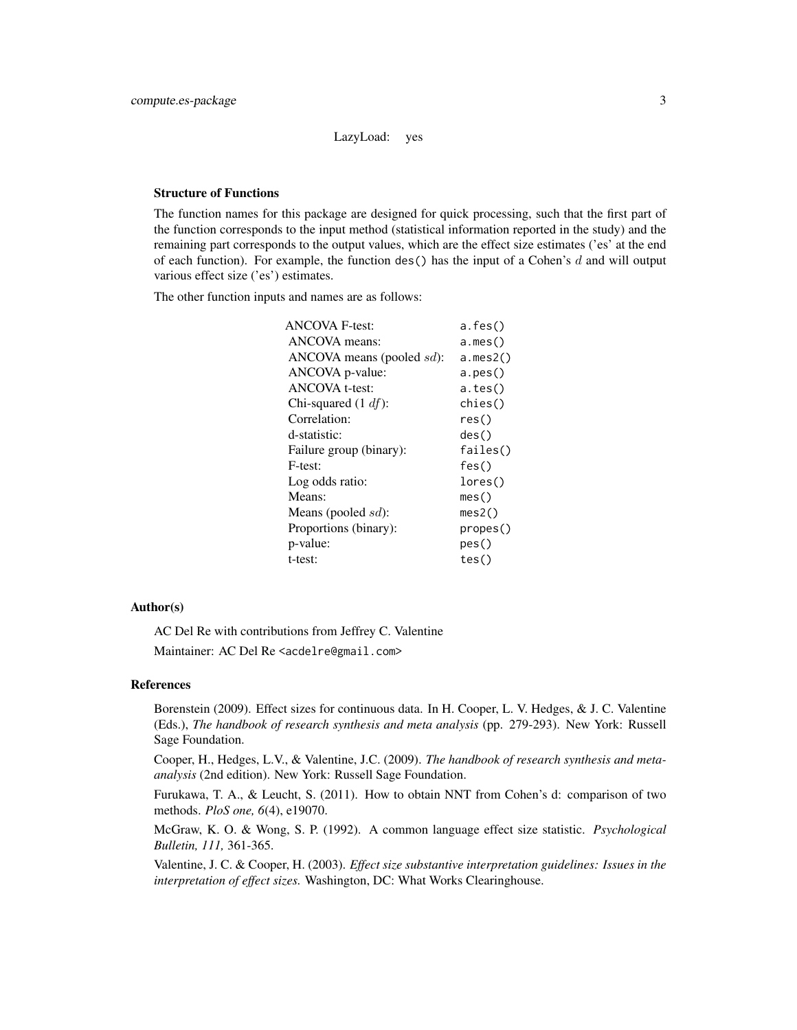# LazyLoad: yes

# Structure of Functions

The function names for this package are designed for quick processing, such that the first part of the function corresponds to the input method (statistical information reported in the study) and the remaining part corresponds to the output values, which are the effect size estimates ('es' at the end of each function). For example, the function des() has the input of a Cohen's d and will output various effect size ('es') estimates.

The other function inputs and names are as follows:

| <b>ANCOVA F-test:</b>     | a.fes()  |
|---------------------------|----------|
| ANCOVA means:             | a.mes()  |
| ANCOVA means (pooled sd): | a.mes2() |
| ANCOVA p-value:           | a.pes()  |
| <b>ANCOVA</b> t-test:     | a.tes()  |
| Chi-squared $(1 \, df)$ : | chies()  |
| Correlation:              | res()    |
| d-statistic:              | des()    |
| Failure group (binary):   | failes() |
| F-test:                   | fes()    |
| Log odds ratio:           | lores()  |
| Means:                    | mes()    |
| Means (pooled $sd$ ):     | mes2()   |
| Proportions (binary):     | propes() |
| p-value:                  | pes()    |
| t-test:                   | tes()    |

#### Author(s)

AC Del Re with contributions from Jeffrey C. Valentine Maintainer: AC Del Re <acdelre@gmail.com>

#### References

Borenstein (2009). Effect sizes for continuous data. In H. Cooper, L. V. Hedges, & J. C. Valentine (Eds.), *The handbook of research synthesis and meta analysis* (pp. 279-293). New York: Russell Sage Foundation.

Cooper, H., Hedges, L.V., & Valentine, J.C. (2009). *The handbook of research synthesis and metaanalysis* (2nd edition). New York: Russell Sage Foundation.

Furukawa, T. A., & Leucht, S. (2011). How to obtain NNT from Cohen's d: comparison of two methods. *PloS one, 6*(4), e19070.

McGraw, K. O. & Wong, S. P. (1992). A common language effect size statistic. *Psychological Bulletin, 111,* 361-365.

Valentine, J. C. & Cooper, H. (2003). *Effect size substantive interpretation guidelines: Issues in the interpretation of effect sizes.* Washington, DC: What Works Clearinghouse.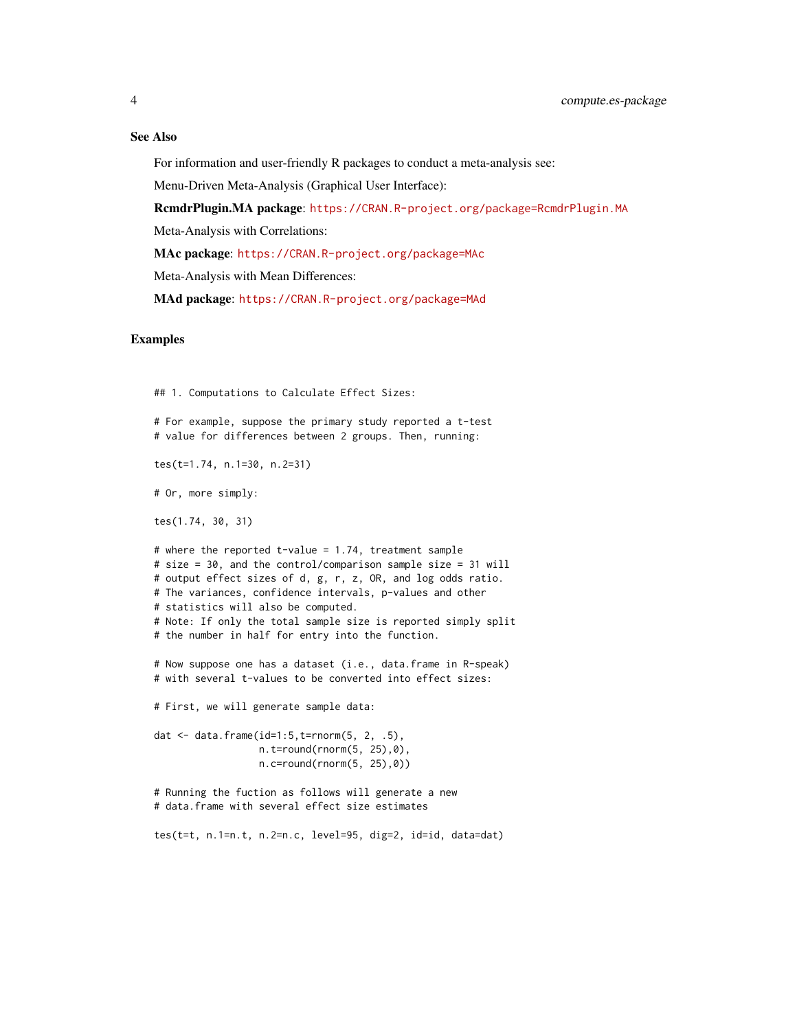# See Also

For information and user-friendly R packages to conduct a meta-analysis see:

Menu-Driven Meta-Analysis (Graphical User Interface):

RcmdrPlugin.MA package: <https://CRAN.R-project.org/package=RcmdrPlugin.MA>

Meta-Analysis with Correlations:

MAc package: <https://CRAN.R-project.org/package=MAc>

Meta-Analysis with Mean Differences:

MAd package: <https://CRAN.R-project.org/package=MAd>

#### Examples

```
## 1. Computations to Calculate Effect Sizes:
# For example, suppose the primary study reported a t-test
# value for differences between 2 groups. Then, running:
tes(t=1.74, n.1=30, n.2=31)
# Or, more simply:
tes(1.74, 30, 31)
# where the reported t-value = 1.74, treatment sample
# size = 30, and the control/comparison sample size = 31 will
# output effect sizes of d, g, r, z, OR, and log odds ratio.
# The variances, confidence intervals, p-values and other
# statistics will also be computed.
# Note: If only the total sample size is reported simply split
# the number in half for entry into the function.
# Now suppose one has a dataset (i.e., data.frame in R-speak)
# with several t-values to be converted into effect sizes:
# First, we will generate sample data:
dat <- data.frame(id=1:5,t=rnorm(5, 2, .5),
                  n.t=round(rnorm(5, 25),0),
                  n.c=round(rnorm(5, 25),0))
# Running the fuction as follows will generate a new
# data.frame with several effect size estimates
tes(t=t, n.1=n.t, n.2=n.c, level=95, dig=2, id=id, data=dat)
```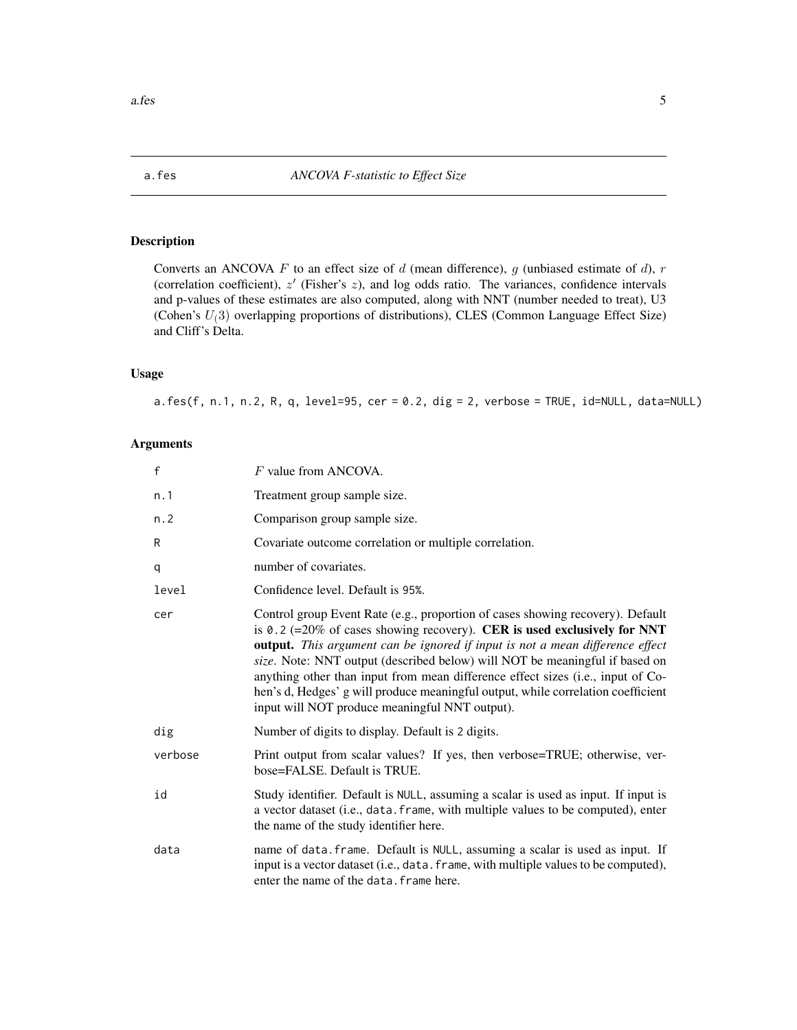# <span id="page-4-0"></span>Description

Converts an ANCOVA  $F$  to an effect size of  $d$  (mean difference),  $g$  (unbiased estimate of  $d$ ),  $r$ (correlation coefficient),  $z'$  (Fisher's  $z$ ), and log odds ratio. The variances, confidence intervals and p-values of these estimates are also computed, along with NNT (number needed to treat), U3 (Cohen's  $U_1(3)$  overlapping proportions of distributions), CLES (Common Language Effect Size) and Cliff's Delta.

# Usage

a.fes(f, n.1, n.2, R, q, level=95, cer = 0.2, dig = 2, verbose = TRUE, id=NULL, data=NULL)

### Arguments

| $\mathsf f$ | F value from ANCOVA.                                                                                                                                                                                                                                                                                                                                                                                                                                                                                                                                           |
|-------------|----------------------------------------------------------------------------------------------------------------------------------------------------------------------------------------------------------------------------------------------------------------------------------------------------------------------------------------------------------------------------------------------------------------------------------------------------------------------------------------------------------------------------------------------------------------|
| n.1         | Treatment group sample size.                                                                                                                                                                                                                                                                                                                                                                                                                                                                                                                                   |
| n.2         | Comparison group sample size.                                                                                                                                                                                                                                                                                                                                                                                                                                                                                                                                  |
| R           | Covariate outcome correlation or multiple correlation.                                                                                                                                                                                                                                                                                                                                                                                                                                                                                                         |
| q           | number of covariates.                                                                                                                                                                                                                                                                                                                                                                                                                                                                                                                                          |
| level       | Confidence level. Default is 95%.                                                                                                                                                                                                                                                                                                                                                                                                                                                                                                                              |
| cer         | Control group Event Rate (e.g., proportion of cases showing recovery). Default<br>is 0.2 (= $20\%$ of cases showing recovery). CER is used exclusively for NNT<br><b>output.</b> This argument can be ignored if input is not a mean difference effect<br>size. Note: NNT output (described below) will NOT be meaningful if based on<br>anything other than input from mean difference effect sizes (i.e., input of Co-<br>hen's d, Hedges' g will produce meaningful output, while correlation coefficient<br>input will NOT produce meaningful NNT output). |
| dig         | Number of digits to display. Default is 2 digits.                                                                                                                                                                                                                                                                                                                                                                                                                                                                                                              |
| verbose     | Print output from scalar values? If yes, then verbose=TRUE; otherwise, ver-<br>bose=FALSE. Default is TRUE.                                                                                                                                                                                                                                                                                                                                                                                                                                                    |
| id          | Study identifier. Default is NULL, assuming a scalar is used as input. If input is<br>a vector dataset (i.e., data. frame, with multiple values to be computed), enter<br>the name of the study identifier here.                                                                                                                                                                                                                                                                                                                                               |
| data        | name of data. frame. Default is NULL, assuming a scalar is used as input. If<br>input is a vector dataset (i.e., data. frame, with multiple values to be computed),<br>enter the name of the data. frame here.                                                                                                                                                                                                                                                                                                                                                 |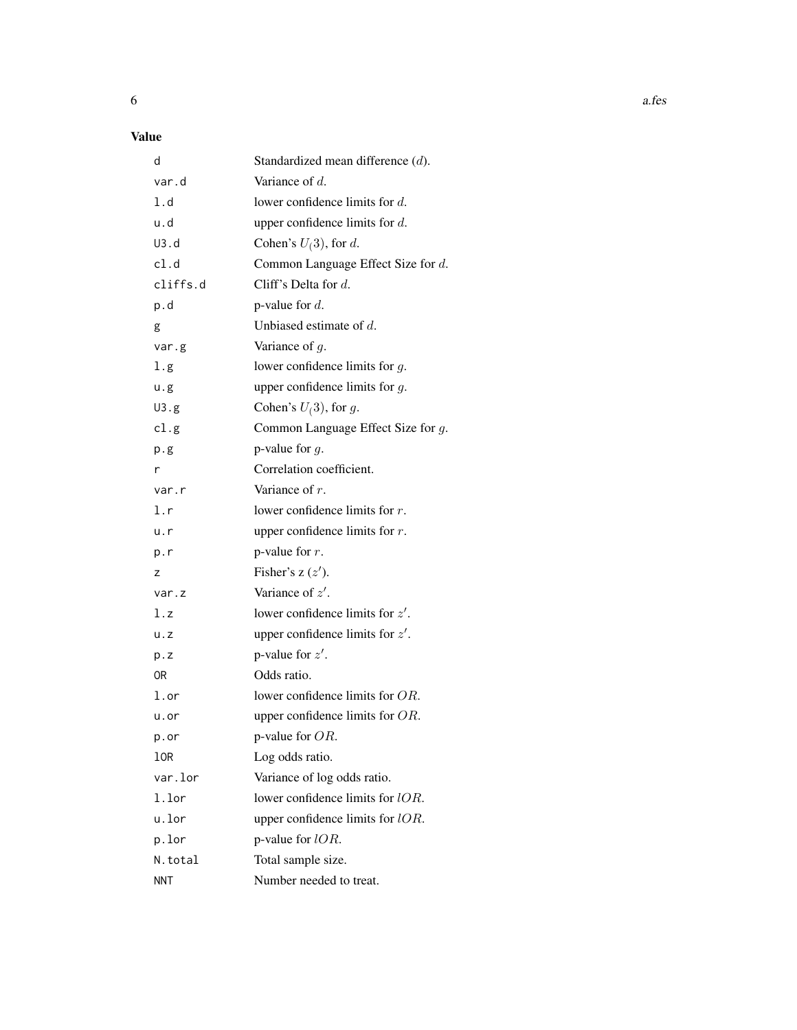# Value

| d          | Standardized mean difference $(d)$ . |
|------------|--------------------------------------|
| var.d      | Variance of $d$ .                    |
| 1.d        | lower confidence limits for $d$ .    |
| u.d        | upper confidence limits for $d$ .    |
| U3.d       | Cohen's $U(3)$ , for d.              |
| cl.d       | Common Language Effect Size for d.   |
| cliffs.d   | Cliff's Delta for $d$ .              |
| p.d        | p-value for $d$ .                    |
| g          | Unbiased estimate of $d$ .           |
| var.g      | Variance of $g$ .                    |
| 1.g        | lower confidence limits for $g$ .    |
| u.g        | upper confidence limits for $g$ .    |
| U3.g       | Cohen's $U(3)$ , for g.              |
| cl.g       | Common Language Effect Size for g.   |
| p.g        | p-value for $g$ .                    |
| r          | Correlation coefficient.             |
| var.r      | Variance of $r$ .                    |
| 1.r        | lower confidence limits for $r$ .    |
| u.r        | upper confidence limits for $r$ .    |
| p.r        | p-value for $r$ .                    |
| z          | Fisher's $z(z')$ .                   |
| var.z      | Variance of $z'$ .                   |
| l.z        | lower confidence limits for $z'$ .   |
| u. z       | upper confidence limits for $z'$ .   |
| p.z        | p-value for $z'$ .                   |
| 0R         | Odds ratio.                          |
| 1.or       | lower confidence limits for $OR$ .   |
| u.or       | upper confidence limits for $OR$ .   |
| p.or       | p-value for OR.                      |
| 10R        | Log odds ratio.                      |
| var.lor    | Variance of log odds ratio.          |
| 1.lor      | lower confidence limits for lOR.     |
| u.lor      | upper confidence limits for lOR.     |
| p.lor      | p-value for $lOR$ .                  |
| N.total    | Total sample size.                   |
| <b>NNT</b> | Number needed to treat.              |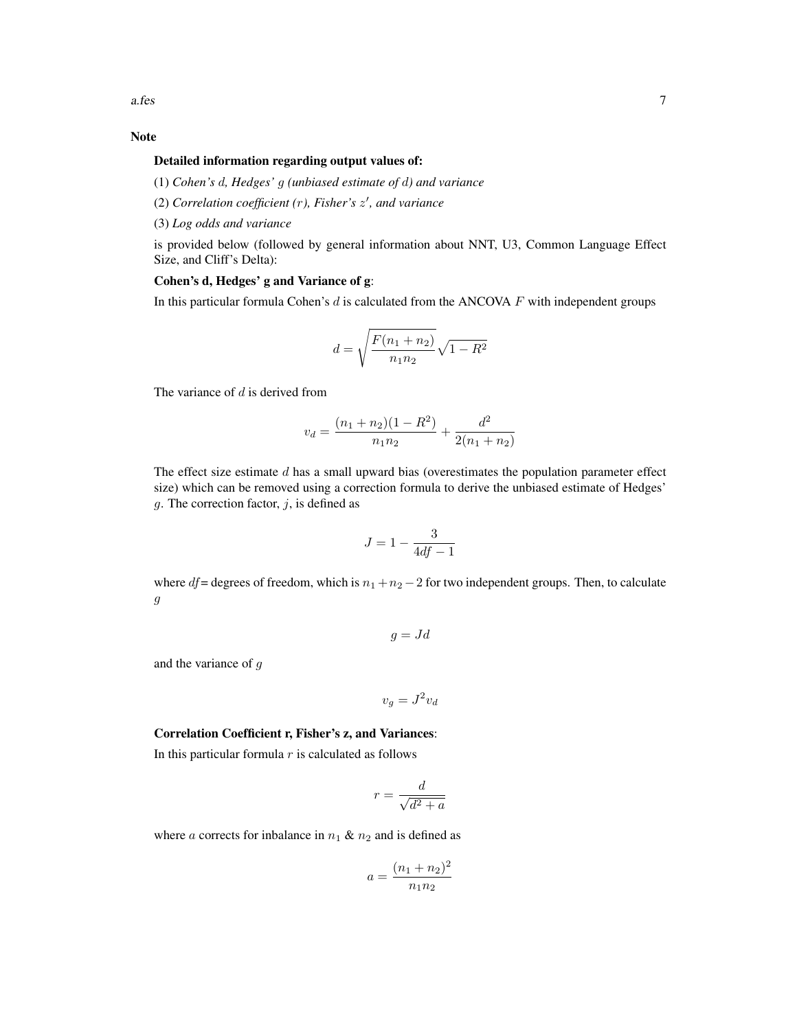# Note

#### Detailed information regarding output values of:

(1) *Cohen's* d*, Hedges'* g *(unbiased estimate of* d*) and variance*

- (2) *Correlation coefficient (*r*), Fisher's* z 0 *, and variance*
- (3) *Log odds and variance*

is provided below (followed by general information about NNT, U3, Common Language Effect Size, and Cliff's Delta):

### Cohen's d, Hedges' g and Variance of g:

In this particular formula Cohen's  $d$  is calculated from the ANCOVA  $F$  with independent groups

$$
d = \sqrt{\frac{F(n_1 + n_2)}{n_1 n_2}} \sqrt{1 - R^2}
$$

The variance of  $d$  is derived from

$$
v_d = \frac{(n_1 + n_2)(1 - R^2)}{n_1 n_2} + \frac{d^2}{2(n_1 + n_2)}
$$

The effect size estimate  $d$  has a small upward bias (overestimates the population parameter effect size) which can be removed using a correction formula to derive the unbiased estimate of Hedges' g. The correction factor,  $j$ , is defined as

$$
J = 1 - \frac{3}{4df - 1}
$$

where df = degrees of freedom, which is  $n_1 + n_2 - 2$  for two independent groups. Then, to calculate  $\ensuremath{g}$ 

$$
g = Jd
$$

and the variance of g

$$
v_g = J^2 v_d
$$

#### Correlation Coefficient r, Fisher's z, and Variances:

In this particular formula  $r$  is calculated as follows

$$
r = \frac{d}{\sqrt{d^2 + a}}
$$

where a corrects for inbalance in  $n_1$  &  $n_2$  and is defined as

$$
a = \frac{(n_1 + n_2)^2}{n_1 n_2}
$$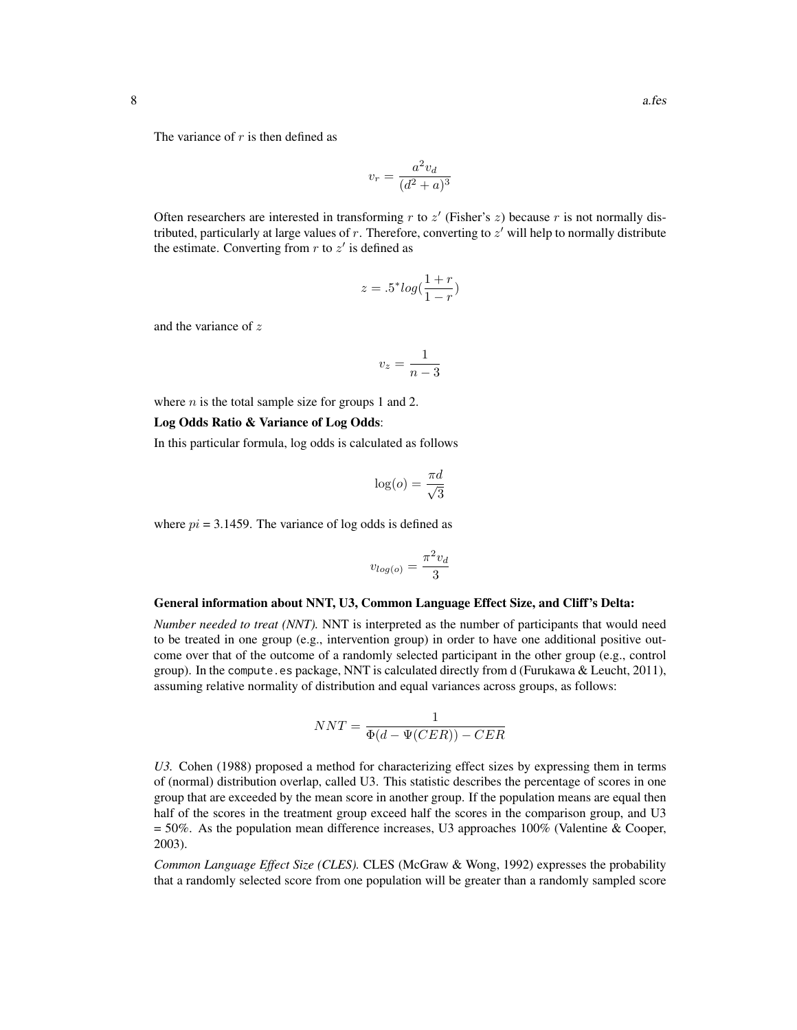The variance of  $r$  is then defined as

$$
v_r = \frac{a^2 v_d}{(d^2 + a)^3}
$$

Often researchers are interested in transforming  $r$  to  $z'$  (Fisher's  $z$ ) because  $r$  is not normally distributed, particularly at large values of  $r$ . Therefore, converting to  $z'$  will help to normally distribute the estimate. Converting from  $r$  to  $z'$  is defined as

$$
z = .5^* log(\frac{1+r}{1-r})
$$

and the variance of z

$$
v_z = \frac{1}{n-3}
$$

where  $n$  is the total sample size for groups 1 and 2.

#### Log Odds Ratio & Variance of Log Odds:

In this particular formula, log odds is calculated as follows

$$
\log(o) = \frac{\pi d}{\sqrt{3}}
$$

where  $pi = 3.1459$ . The variance of log odds is defined as

$$
v_{log(o)} = \frac{\pi^2 v_d}{3}
$$

#### General information about NNT, U3, Common Language Effect Size, and Cliff's Delta:

*Number needed to treat (NNT).* NNT is interpreted as the number of participants that would need to be treated in one group (e.g., intervention group) in order to have one additional positive outcome over that of the outcome of a randomly selected participant in the other group (e.g., control group). In the compute.es package, NNT is calculated directly from d (Furukawa & Leucht, 2011), assuming relative normality of distribution and equal variances across groups, as follows:

$$
NNT = \frac{1}{\Phi(d - \Psi(CER)) - CER}
$$

*U3.* Cohen (1988) proposed a method for characterizing effect sizes by expressing them in terms of (normal) distribution overlap, called U3. This statistic describes the percentage of scores in one group that are exceeded by the mean score in another group. If the population means are equal then half of the scores in the treatment group exceed half the scores in the comparison group, and U3  $= 50\%$ . As the population mean difference increases, U3 approaches 100% (Valentine & Cooper, 2003).

*Common Language Effect Size (CLES).* CLES (McGraw & Wong, 1992) expresses the probability that a randomly selected score from one population will be greater than a randomly sampled score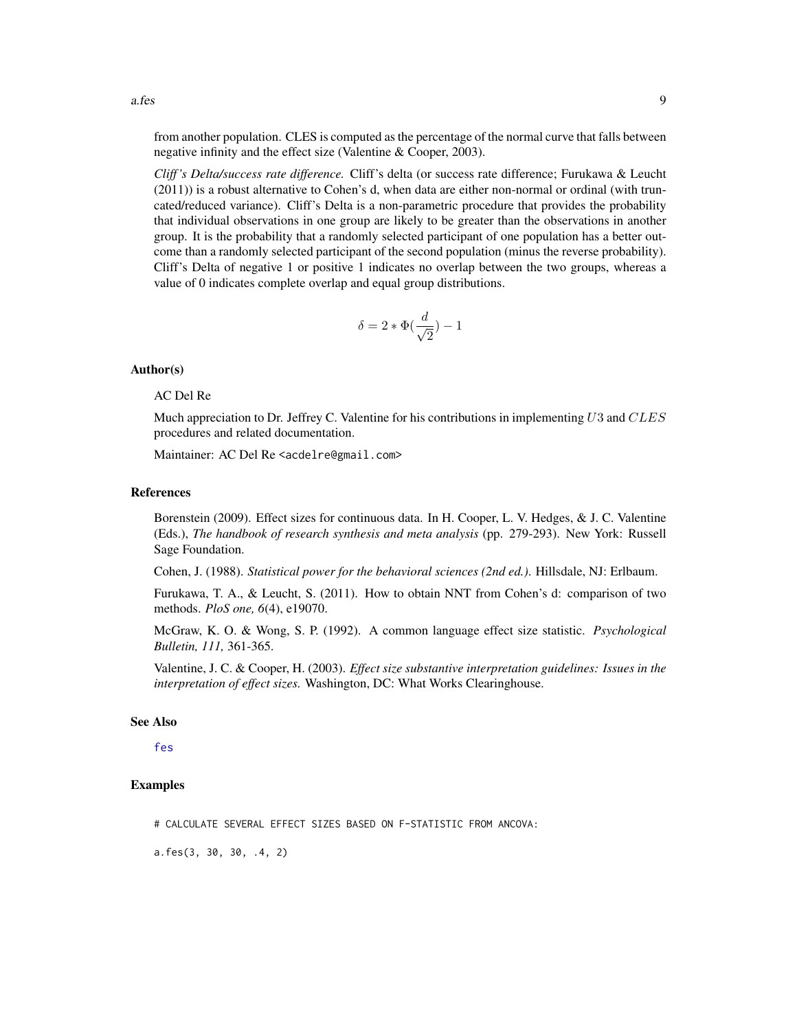from another population. CLES is computed as the percentage of the normal curve that falls between negative infinity and the effect size (Valentine & Cooper, 2003).

*Cliff 's Delta/success rate difference.* Cliff's delta (or success rate difference; Furukawa & Leucht (2011)) is a robust alternative to Cohen's d, when data are either non-normal or ordinal (with truncated/reduced variance). Cliff's Delta is a non-parametric procedure that provides the probability that individual observations in one group are likely to be greater than the observations in another group. It is the probability that a randomly selected participant of one population has a better outcome than a randomly selected participant of the second population (minus the reverse probability). Cliff's Delta of negative 1 or positive 1 indicates no overlap between the two groups, whereas a value of 0 indicates complete overlap and equal group distributions.

$$
\delta=2*\Phi(\frac{d}{\sqrt{2}})-1
$$

#### Author(s)

# AC Del Re

Much appreciation to Dr. Jeffrey C. Valentine for his contributions in implementing  $U3$  and  $CLES$ procedures and related documentation.

Maintainer: AC Del Re <acdelre@gmail.com>

#### References

Borenstein (2009). Effect sizes for continuous data. In H. Cooper, L. V. Hedges, & J. C. Valentine (Eds.), *The handbook of research synthesis and meta analysis* (pp. 279-293). New York: Russell Sage Foundation.

Cohen, J. (1988). *Statistical power for the behavioral sciences (2nd ed.)*. Hillsdale, NJ: Erlbaum.

Furukawa, T. A., & Leucht, S. (2011). How to obtain NNT from Cohen's d: comparison of two methods. *PloS one, 6*(4), e19070.

McGraw, K. O. & Wong, S. P. (1992). A common language effect size statistic. *Psychological Bulletin, 111,* 361-365.

Valentine, J. C. & Cooper, H. (2003). *Effect size substantive interpretation guidelines: Issues in the interpretation of effect sizes.* Washington, DC: What Works Clearinghouse.

# See Also

[fes](#page-44-1)

#### Examples

# CALCULATE SEVERAL EFFECT SIZES BASED ON F-STATISTIC FROM ANCOVA:

a.fes(3, 30, 30, .4, 2)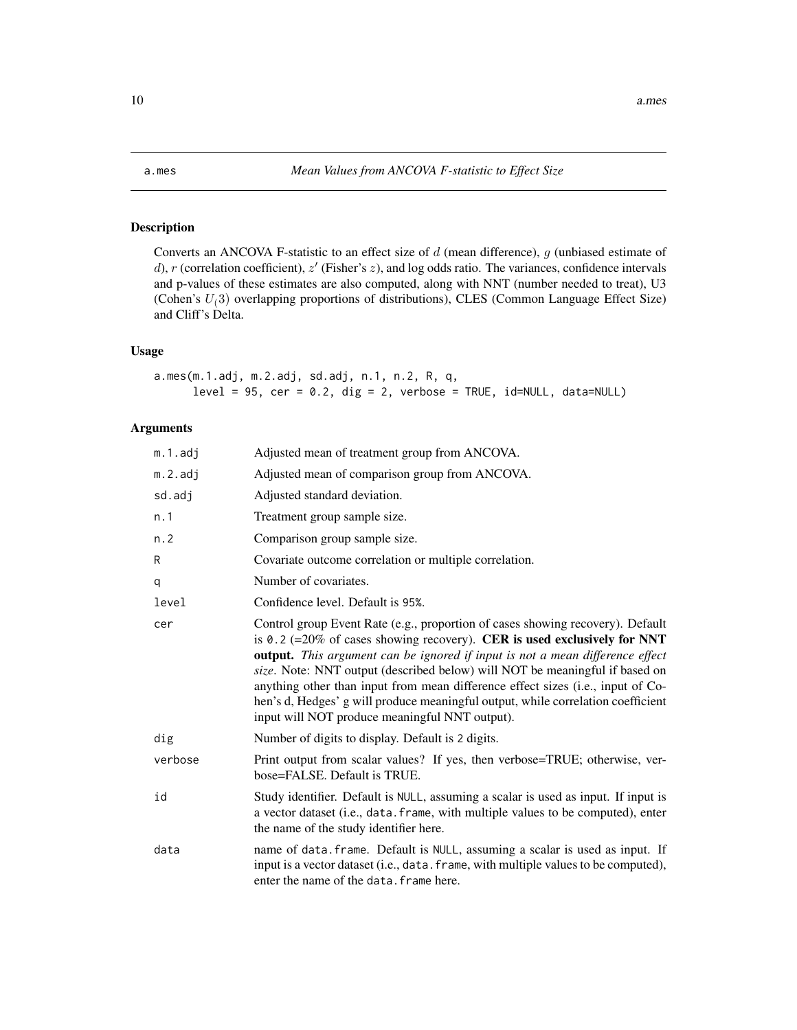<span id="page-9-1"></span><span id="page-9-0"></span>

# Description

Converts an ANCOVA F-statistic to an effect size of  $d$  (mean difference),  $g$  (unbiased estimate of d), r (correlation coefficient),  $z'$  (Fisher's  $z$ ), and log odds ratio. The variances, confidence intervals and p-values of these estimates are also computed, along with NNT (number needed to treat), U3 (Cohen's  $U(3)$  overlapping proportions of distributions), CLES (Common Language Effect Size) and Cliff's Delta.

# Usage

```
a.mes(m.1.adj, m.2.adj, sd.adj, n.1, n.2, R, q,
     level = 95, cer = 0.2, dig = 2, verbose = TRUE, id=NULL, data=NULL
```
# Arguments

| m.1.adj | Adjusted mean of treatment group from ANCOVA.                                                                                                                                                                                                                                                                                                                                                                                                                                                                                                              |
|---------|------------------------------------------------------------------------------------------------------------------------------------------------------------------------------------------------------------------------------------------------------------------------------------------------------------------------------------------------------------------------------------------------------------------------------------------------------------------------------------------------------------------------------------------------------------|
| m.2.adj | Adjusted mean of comparison group from ANCOVA.                                                                                                                                                                                                                                                                                                                                                                                                                                                                                                             |
| sd.adj  | Adjusted standard deviation.                                                                                                                                                                                                                                                                                                                                                                                                                                                                                                                               |
| n.1     | Treatment group sample size.                                                                                                                                                                                                                                                                                                                                                                                                                                                                                                                               |
| n.2     | Comparison group sample size.                                                                                                                                                                                                                                                                                                                                                                                                                                                                                                                              |
| R       | Covariate outcome correlation or multiple correlation.                                                                                                                                                                                                                                                                                                                                                                                                                                                                                                     |
| q       | Number of covariates.                                                                                                                                                                                                                                                                                                                                                                                                                                                                                                                                      |
| level   | Confidence level. Default is 95%.                                                                                                                                                                                                                                                                                                                                                                                                                                                                                                                          |
| cer     | Control group Event Rate (e.g., proportion of cases showing recovery). Default<br>is 0.2 (=20% of cases showing recovery). CER is used exclusively for NNT<br><b>output.</b> This argument can be ignored if input is not a mean difference effect<br>size. Note: NNT output (described below) will NOT be meaningful if based on<br>anything other than input from mean difference effect sizes (i.e., input of Co-<br>hen's d, Hedges' g will produce meaningful output, while correlation coefficient<br>input will NOT produce meaningful NNT output). |
| dig     | Number of digits to display. Default is 2 digits.                                                                                                                                                                                                                                                                                                                                                                                                                                                                                                          |
| verbose | Print output from scalar values? If yes, then verbose=TRUE; otherwise, ver-<br>bose=FALSE. Default is TRUE.                                                                                                                                                                                                                                                                                                                                                                                                                                                |
| id      | Study identifier. Default is NULL, assuming a scalar is used as input. If input is<br>a vector dataset (i.e., data. frame, with multiple values to be computed), enter<br>the name of the study identifier here.                                                                                                                                                                                                                                                                                                                                           |
| data    | name of data. frame. Default is NULL, assuming a scalar is used as input. If<br>input is a vector dataset (i.e., data. frame, with multiple values to be computed),<br>enter the name of the data. frame here.                                                                                                                                                                                                                                                                                                                                             |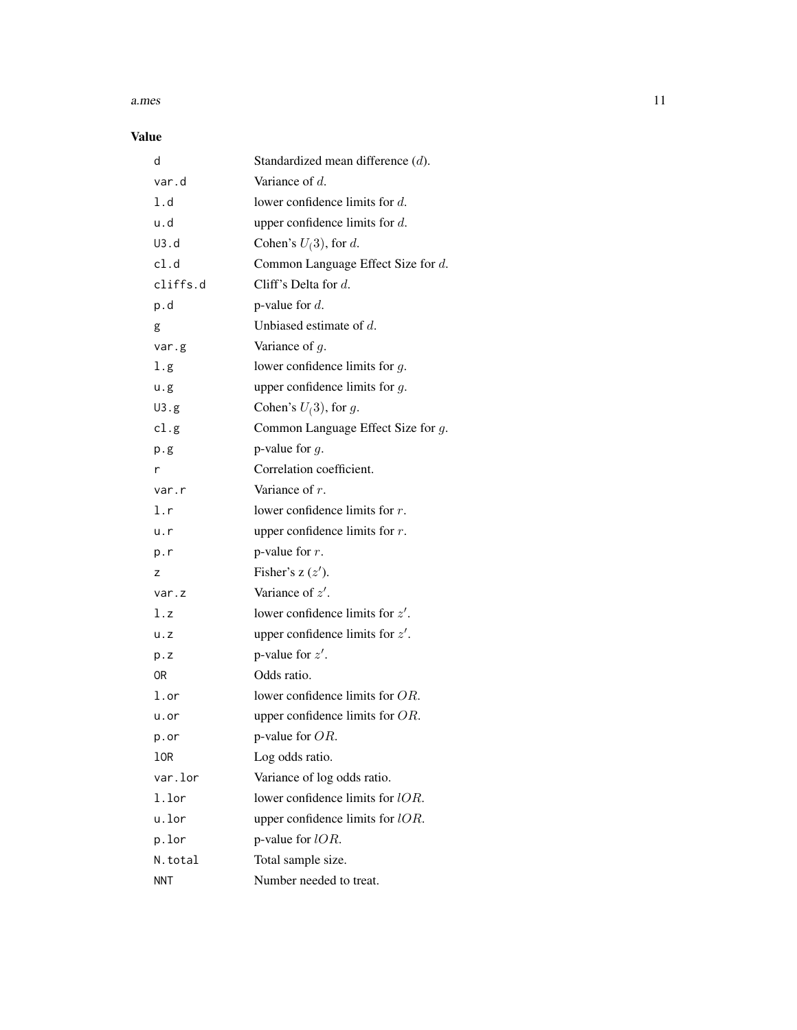#### a.mes and the set of the set of the set of the set of the set of the set of the set of the set of the set of the set of the set of the set of the set of the set of the set of the set of the set of the set of the set of the

# Value

| d           | Standardized mean difference (d).     |
|-------------|---------------------------------------|
| var.d       | Variance of d.                        |
| 1.d         | lower confidence limits for $d$ .     |
| u.d         | upper confidence limits for $d$ .     |
| U3.d        | Cohen's $U(3)$ , for d.               |
| cl.d        | Common Language Effect Size for d.    |
| cliffs.d    | Cliff's Delta for $d$ .               |
| p.d         | p-value for $d$ .                     |
| g           | Unbiased estimate of $d$ .            |
| var.g       | Variance of $g$ .                     |
| 1.g         | lower confidence limits for $g$ .     |
| u.g         | upper confidence limits for $g$ .     |
| U3.g        | Cohen's $U(3)$ , for g.               |
| cl.g        | Common Language Effect Size for $g$ . |
| p.g         | p-value for $q$ .                     |
| r           | Correlation coefficient.              |
| var.r       | Variance of $r$ .                     |
| l.r         | lower confidence limits for $r$ .     |
| u.r         | upper confidence limits for $r$ .     |
| p.r         | p-value for $r$ .                     |
| z           | Fisher's $z(z')$ .                    |
| var.z       | Variance of $z'$ .                    |
| l.z         | lower confidence limits for $z'$ .    |
| $u \cdot z$ | upper confidence limits for $z'$ .    |
| p.z         | p-value for $z'$ .                    |
| 0R          | Odds ratio.                           |
| l.or        | lower confidence limits for OR.       |
| u.or        | upper confidence limits for $OR$ .    |
| p.or        | p-value for $OR$ .                    |
| 10R         | Log odds ratio.                       |
| var.lor     | Variance of log odds ratio.           |
| 1.lor       | lower confidence limits for $lOR$ .   |
| u.lor       | upper confidence limits for $lOR$ .   |
| p.lor       | p-value for $lOR$ .                   |
| N.total     | Total sample size.                    |
| <b>NNT</b>  | Number needed to treat.               |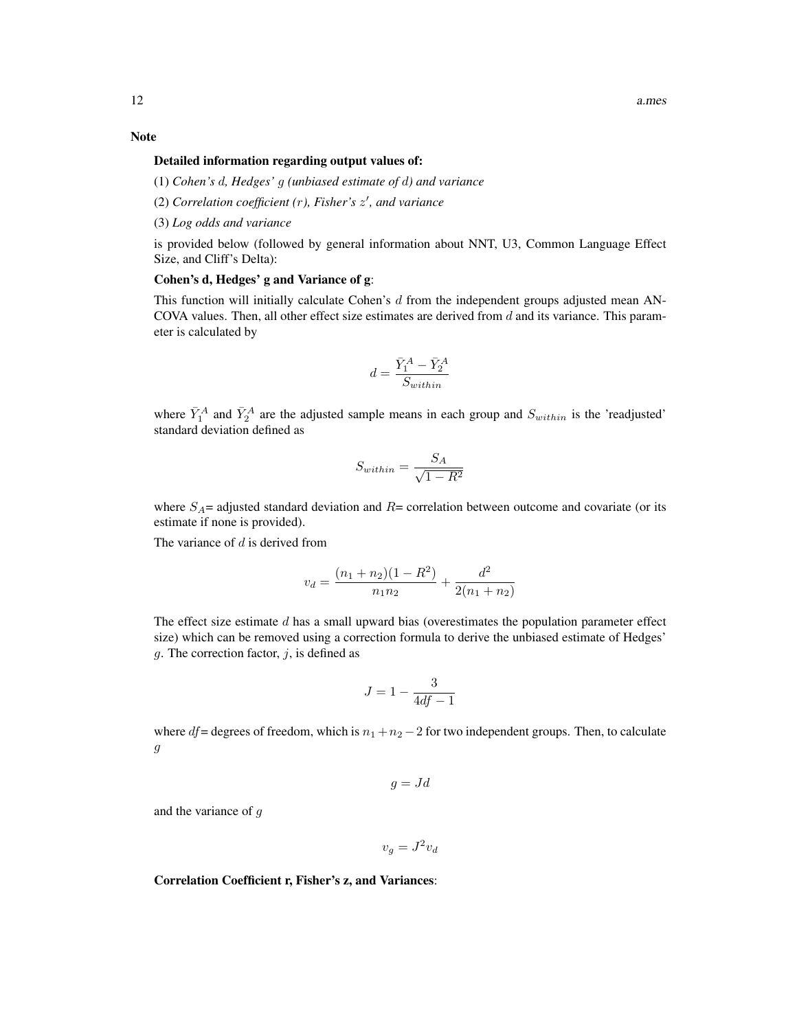# Note

#### Detailed information regarding output values of:

(1) *Cohen's* d*, Hedges'* g *(unbiased estimate of* d*) and variance*

- (2) *Correlation coefficient (*r*), Fisher's* z 0 *, and variance*
- (3) *Log odds and variance*

is provided below (followed by general information about NNT, U3, Common Language Effect Size, and Cliff's Delta):

# Cohen's d, Hedges' g and Variance of g:

This function will initially calculate Cohen's  $d$  from the independent groups adjusted mean AN-COVA values. Then, all other effect size estimates are derived from  $d$  and its variance. This parameter is calculated by

$$
d=\frac{\bar{Y}_1^A-\bar{Y}_2^A}{S_{within}}
$$

where  $\bar{Y}_1^A$  and  $\bar{Y}_2^A$  are the adjusted sample means in each group and  $S_{within}$  is the 'readjusted' standard deviation defined as

$$
S_{within} = \frac{S_A}{\sqrt{1 - R^2}}
$$

where  $S_A$ = adjusted standard deviation and  $R=$  correlation between outcome and covariate (or its estimate if none is provided).

The variance of  $d$  is derived from

$$
v_d = \frac{(n_1 + n_2)(1 - R^2)}{n_1 n_2} + \frac{d^2}{2(n_1 + n_2)}
$$

The effect size estimate  $d$  has a small upward bias (overestimates the population parameter effect size) which can be removed using a correction formula to derive the unbiased estimate of Hedges' g. The correction factor,  $j$ , is defined as

$$
J=1-\frac{3}{4df-1}
$$

where df = degrees of freedom, which is  $n_1 + n_2 - 2$  for two independent groups. Then, to calculate g

$$
g = Jd
$$

and the variance of g

$$
v_g = J^2 v_d
$$

Correlation Coefficient r, Fisher's z, and Variances: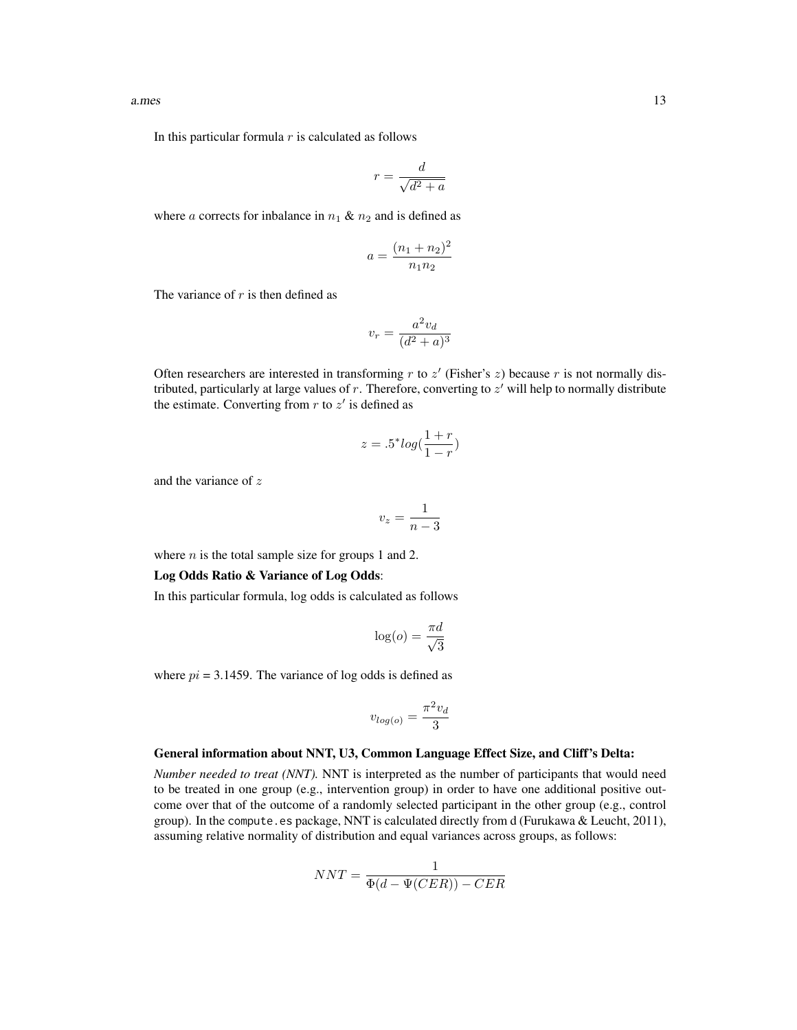In this particular formula  $r$  is calculated as follows

$$
r = \frac{d}{\sqrt{d^2 + a}}
$$

where a corrects for inbalance in  $n_1 \& n_2$  and is defined as

$$
a = \frac{(n_1 + n_2)^2}{n_1 n_2}
$$

The variance of  $r$  is then defined as

$$
v_r = \frac{a^2 v_d}{(d^2 + a)^3}
$$

Often researchers are interested in transforming  $r$  to  $z'$  (Fisher's  $z$ ) because  $r$  is not normally distributed, particularly at large values of  $r$ . Therefore, converting to  $z'$  will help to normally distribute the estimate. Converting from  $r$  to  $z'$  is defined as

$$
z = .5^* \log(\frac{1+r}{1-r})
$$

and the variance of z

$$
v_z = \frac{1}{n-3}
$$

where  $n$  is the total sample size for groups 1 and 2.

#### Log Odds Ratio & Variance of Log Odds:

In this particular formula, log odds is calculated as follows

$$
\log(o) = \frac{\pi d}{\sqrt{3}}
$$

where  $pi = 3.1459$ . The variance of log odds is defined as

$$
v_{log(o)} = \frac{\pi^2 v_d}{3}
$$

#### General information about NNT, U3, Common Language Effect Size, and Cliff's Delta:

*Number needed to treat (NNT).* NNT is interpreted as the number of participants that would need to be treated in one group (e.g., intervention group) in order to have one additional positive outcome over that of the outcome of a randomly selected participant in the other group (e.g., control group). In the compute.es package, NNT is calculated directly from d (Furukawa & Leucht, 2011), assuming relative normality of distribution and equal variances across groups, as follows:

$$
NNT = \frac{1}{\Phi(d - \Psi(CER)) - CER}
$$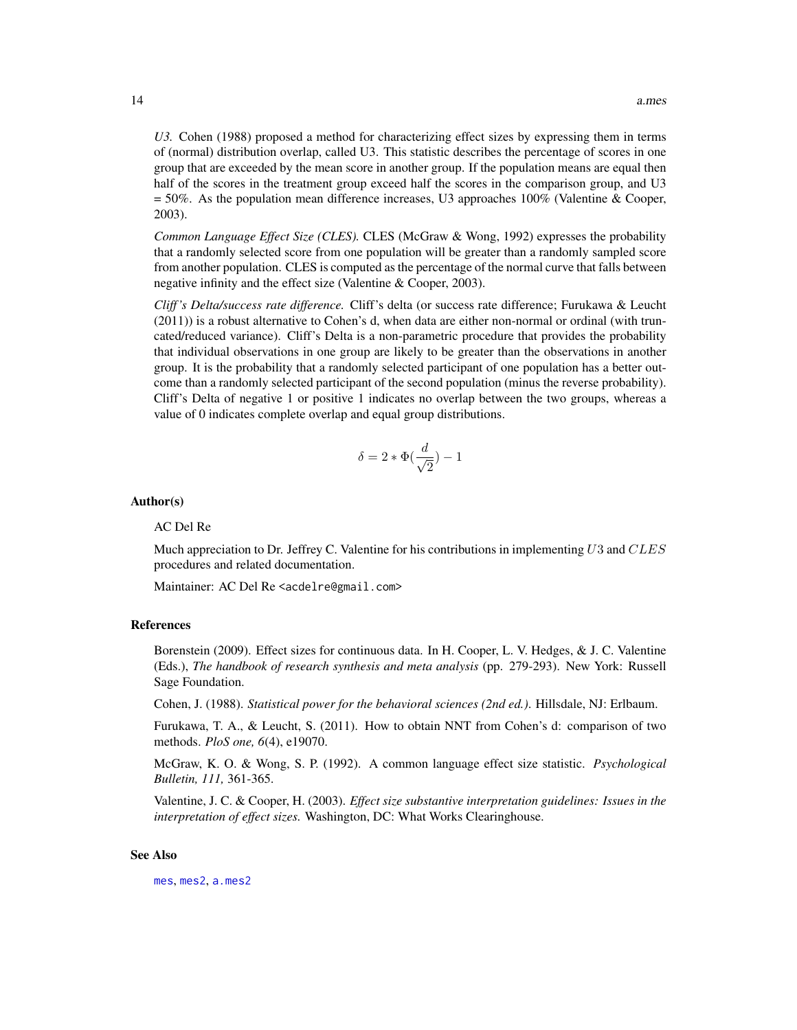*U3.* Cohen (1988) proposed a method for characterizing effect sizes by expressing them in terms of (normal) distribution overlap, called U3. This statistic describes the percentage of scores in one group that are exceeded by the mean score in another group. If the population means are equal then half of the scores in the treatment group exceed half the scores in the comparison group, and U3 = 50%. As the population mean difference increases, U3 approaches 100% (Valentine & Cooper, 2003).

*Common Language Effect Size (CLES).* CLES (McGraw & Wong, 1992) expresses the probability that a randomly selected score from one population will be greater than a randomly sampled score from another population. CLES is computed as the percentage of the normal curve that falls between negative infinity and the effect size (Valentine & Cooper, 2003).

*Cliff 's Delta/success rate difference.* Cliff's delta (or success rate difference; Furukawa & Leucht (2011)) is a robust alternative to Cohen's d, when data are either non-normal or ordinal (with truncated/reduced variance). Cliff's Delta is a non-parametric procedure that provides the probability that individual observations in one group are likely to be greater than the observations in another group. It is the probability that a randomly selected participant of one population has a better outcome than a randomly selected participant of the second population (minus the reverse probability). Cliff's Delta of negative 1 or positive 1 indicates no overlap between the two groups, whereas a value of 0 indicates complete overlap and equal group distributions.

$$
\delta = 2 * \Phi(\frac{d}{\sqrt{2}}) - 1
$$

#### Author(s)

#### AC Del Re

Much appreciation to Dr. Jeffrey C. Valentine for his contributions in implementing  $U3$  and  $CLES$ procedures and related documentation.

Maintainer: AC Del Re <acdelre@gmail.com>

#### References

Borenstein (2009). Effect sizes for continuous data. In H. Cooper, L. V. Hedges, & J. C. Valentine (Eds.), *The handbook of research synthesis and meta analysis* (pp. 279-293). New York: Russell Sage Foundation.

Cohen, J. (1988). *Statistical power for the behavioral sciences (2nd ed.)*. Hillsdale, NJ: Erlbaum.

Furukawa, T. A., & Leucht, S. (2011). How to obtain NNT from Cohen's d: comparison of two methods. *PloS one, 6*(4), e19070.

McGraw, K. O. & Wong, S. P. (1992). A common language effect size statistic. *Psychological Bulletin, 111,* 361-365.

Valentine, J. C. & Cooper, H. (2003). *Effect size substantive interpretation guidelines: Issues in the interpretation of effect sizes.* Washington, DC: What Works Clearinghouse.

#### See Also

[mes](#page-54-1), [mes2](#page-59-1), [a.mes2](#page-14-1)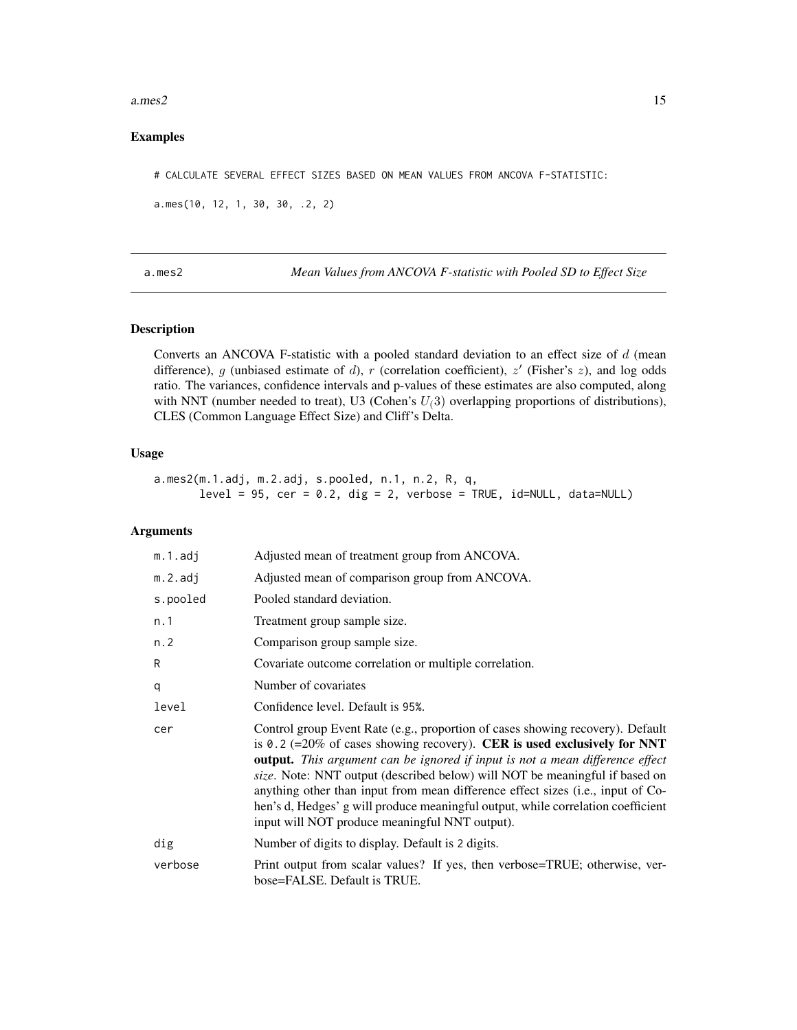#### <span id="page-14-0"></span>a.mes2  $15$

### Examples

# CALCULATE SEVERAL EFFECT SIZES BASED ON MEAN VALUES FROM ANCOVA F-STATISTIC:

```
a.mes(10, 12, 1, 30, 30, .2, 2)
```
<span id="page-14-1"></span>a.mes2 *Mean Values from ANCOVA F-statistic with Pooled SD to Effect Size*

# Description

Converts an ANCOVA F-statistic with a pooled standard deviation to an effect size of d (mean difference), g (unbiased estimate of d), r (correlation coefficient),  $z'$  (Fisher's  $z$ ), and log odds ratio. The variances, confidence intervals and p-values of these estimates are also computed, along with NNT (number needed to treat), U3 (Cohen's  $U(3)$  overlapping proportions of distributions), CLES (Common Language Effect Size) and Cliff's Delta.

# Usage

a.mes2(m.1.adj, m.2.adj, s.pooled, n.1, n.2, R, q,  $level = 95$ ,  $cer = 0.2$ ,  $dig = 2$ ,  $verbose = TRUE$ ,  $id=NULL$ ,  $data=NULL$ 

#### Arguments

| m.1.adj    | Adjusted mean of treatment group from ANCOVA.                                                                                                                                                                                                                                                                                                                                                                                                                                                                                                              |
|------------|------------------------------------------------------------------------------------------------------------------------------------------------------------------------------------------------------------------------------------------------------------------------------------------------------------------------------------------------------------------------------------------------------------------------------------------------------------------------------------------------------------------------------------------------------------|
| $m.2.$ adj | Adjusted mean of comparison group from ANCOVA.                                                                                                                                                                                                                                                                                                                                                                                                                                                                                                             |
| s.pooled   | Pooled standard deviation.                                                                                                                                                                                                                                                                                                                                                                                                                                                                                                                                 |
| n.1        | Treatment group sample size.                                                                                                                                                                                                                                                                                                                                                                                                                                                                                                                               |
| n.2        | Comparison group sample size.                                                                                                                                                                                                                                                                                                                                                                                                                                                                                                                              |
| R          | Covariate outcome correlation or multiple correlation.                                                                                                                                                                                                                                                                                                                                                                                                                                                                                                     |
| q          | Number of covariates                                                                                                                                                                                                                                                                                                                                                                                                                                                                                                                                       |
| level      | Confidence level. Default is 95%.                                                                                                                                                                                                                                                                                                                                                                                                                                                                                                                          |
| cer        | Control group Event Rate (e.g., proportion of cases showing recovery). Default<br>is 0.2 (=20% of cases showing recovery). CER is used exclusively for NNT<br><b>output.</b> This argument can be ignored if input is not a mean difference effect<br>size. Note: NNT output (described below) will NOT be meaningful if based on<br>anything other than input from mean difference effect sizes (i.e., input of Co-<br>hen's d, Hedges' g will produce meaningful output, while correlation coefficient<br>input will NOT produce meaningful NNT output). |
| dig        | Number of digits to display. Default is 2 digits.                                                                                                                                                                                                                                                                                                                                                                                                                                                                                                          |
| verbose    | Print output from scalar values? If yes, then verbose=TRUE; otherwise, ver-<br>bose=FALSE. Default is TRUE.                                                                                                                                                                                                                                                                                                                                                                                                                                                |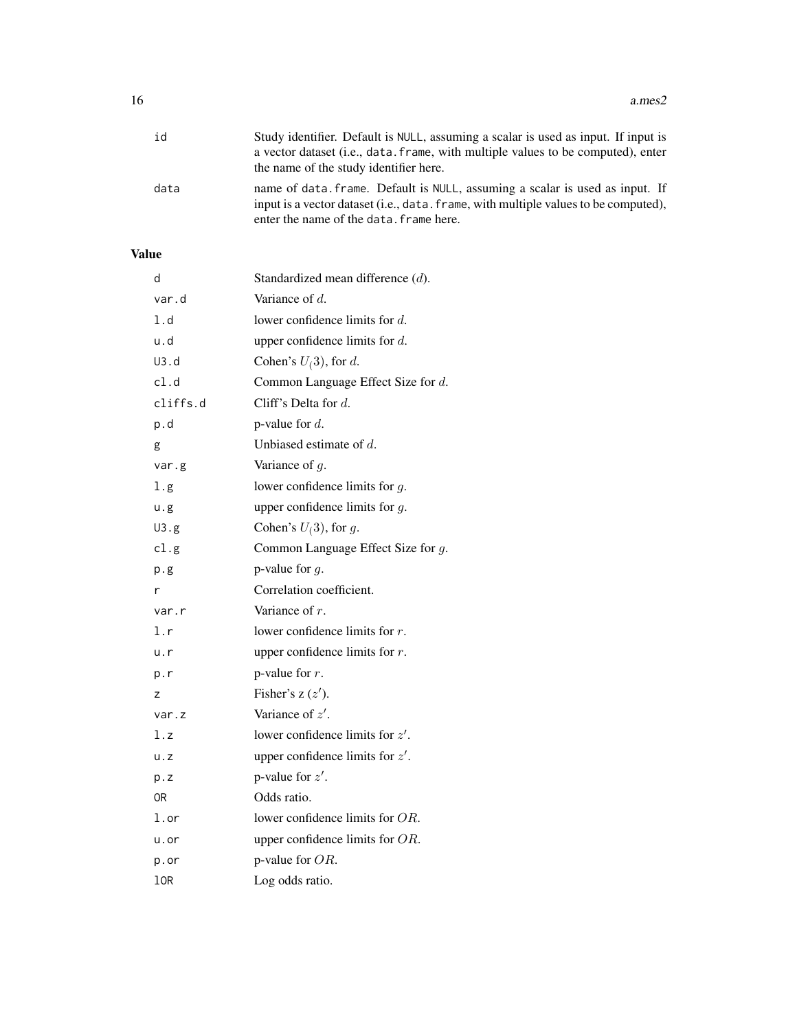| id   | Study identifier. Default is NULL, assuming a scalar is used as input. If input is                                                                                                                             |
|------|----------------------------------------------------------------------------------------------------------------------------------------------------------------------------------------------------------------|
|      | a vector dataset ( <i>i.e.</i> , data, frame, with multiple values to be computed), enter                                                                                                                      |
|      | the name of the study identifier here.                                                                                                                                                                         |
| data | name of data. frame. Default is NULL, assuming a scalar is used as input. If<br>input is a vector dataset (i.e., data, frame, with multiple values to be computed),<br>enter the name of the data. frame here. |

# Value

| d           | Standardized mean difference $(d)$ . |
|-------------|--------------------------------------|
| var.d       | Variance of $d$ .                    |
| 1.d         | lower confidence limits for $d$ .    |
| u.d         | upper confidence limits for $d$ .    |
| U3.d        | Cohen's $U(3)$ , for d.              |
| cl.d        | Common Language Effect Size for d.   |
| cliffs.d    | Cliff's Delta for $d$ .              |
| p.d         | p-value for $d$ .                    |
| g           | Unbiased estimate of $d$ .           |
| var.g       | Variance of $q$ .                    |
| 1.g.        | lower confidence limits for $q$ .    |
| u.g         | upper confidence limits for $g$ .    |
| U3.g        | Cohen's $U(3)$ , for g.              |
| cl.g        | Common Language Effect Size for g.   |
| p.g         | p-value for $q$ .                    |
| r           | Correlation coefficient.             |
| var.r       | Variance of $r$ .                    |
| l.r         | lower confidence limits for $r$ .    |
| u.r         | upper confidence limits for $r$ .    |
| p.r         | p-value for $r$ .                    |
| z           | Fisher's $z(z')$ .                   |
| var.z       | Variance of z'.                      |
| 1.7         | lower confidence limits for $z'$ .   |
| $u \cdot z$ | upper confidence limits for $z'$ .   |
| p. z        | p-value for $z'$ .                   |
| 0R          | Odds ratio.                          |
| l.or        | lower confidence limits for $OR$ .   |
| u.or        | upper confidence limits for $OR$ .   |
| p.or        | p-value for $OR$ .                   |
| lOR         | Log odds ratio.                      |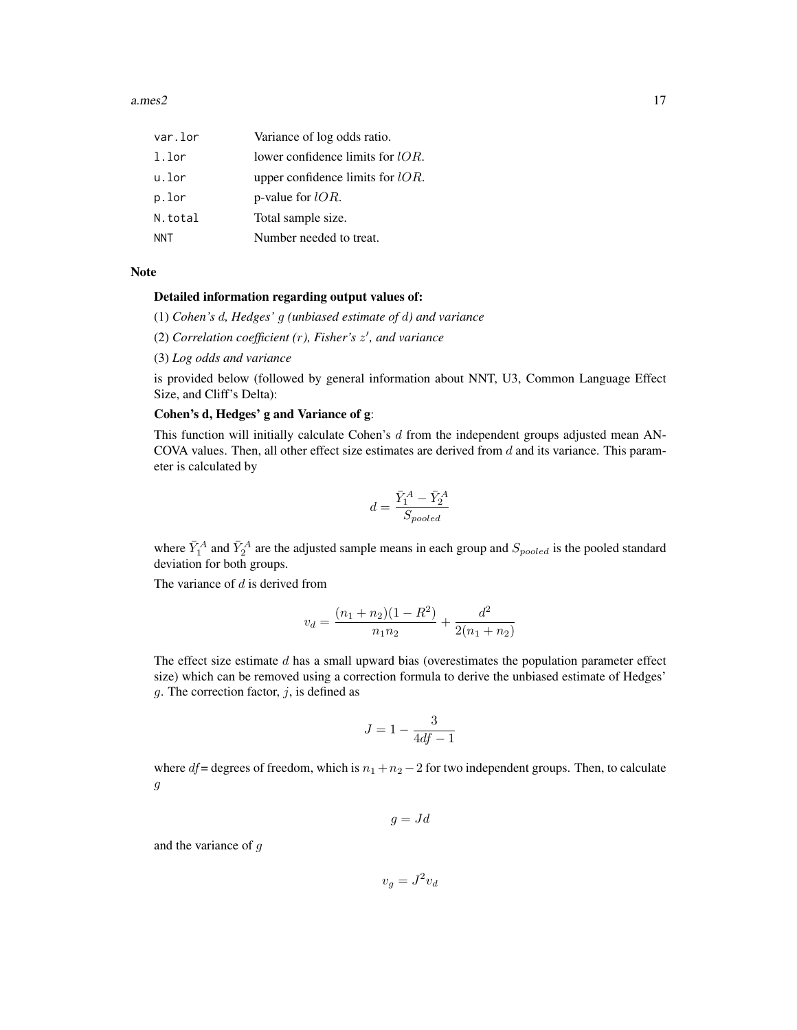a.mes2  $17$ 

| var.lor    | Variance of log odds ratio.         |
|------------|-------------------------------------|
| 1.lor      | lower confidence limits for $lOR$ . |
| u.lor      | upper confidence limits for $lOR$ . |
| p.lor      | p-value for $lOR$ .                 |
| N.total    | Total sample size.                  |
| <b>NNT</b> | Number needed to treat.             |

#### Note

#### Detailed information regarding output values of:

(1) *Cohen's* d*, Hedges'* g *(unbiased estimate of* d*) and variance*

(2) *Correlation coefficient (*r*), Fisher's* z 0 *, and variance*

(3) *Log odds and variance*

is provided below (followed by general information about NNT, U3, Common Language Effect Size, and Cliff's Delta):

#### Cohen's d, Hedges' g and Variance of g:

This function will initially calculate Cohen's  $d$  from the independent groups adjusted mean AN-COVA values. Then, all other effect size estimates are derived from  $d$  and its variance. This parameter is calculated by

$$
d = \frac{\bar{Y}_1^A - \bar{Y}_2^A}{S_{pooled}}
$$

where  $\bar{Y}_1^A$  and  $\bar{Y}_2^A$  are the adjusted sample means in each group and  $S_{pooled}$  is the pooled standard deviation for both groups.

The variance of  $d$  is derived from

$$
v_d = \frac{(n_1 + n_2)(1 - R^2)}{n_1 n_2} + \frac{d^2}{2(n_1 + n_2)}
$$

The effect size estimate  $d$  has a small upward bias (overestimates the population parameter effect size) which can be removed using a correction formula to derive the unbiased estimate of Hedges' g. The correction factor,  $j$ , is defined as

$$
J = 1 - \frac{3}{4df - 1}
$$

where  $df$  = degrees of freedom, which is  $n_1 + n_2 - 2$  for two independent groups. Then, to calculate  $\ensuremath{g}$ 

$$
g = Jd
$$

and the variance of g

 $v_g = J^2 v_d$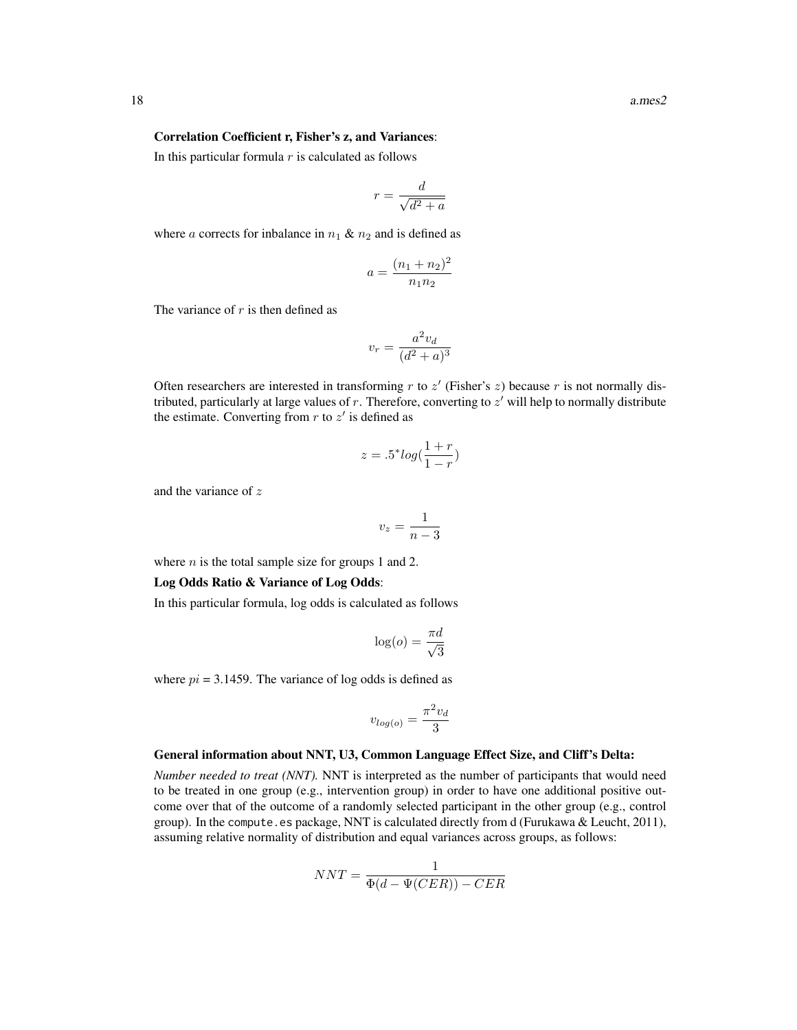#### Correlation Coefficient r, Fisher's z, and Variances:

In this particular formula  $r$  is calculated as follows

$$
r = \frac{d}{\sqrt{d^2 + a}}
$$

where a corrects for inbalance in  $n_1 \& n_2$  and is defined as

$$
a = \frac{(n_1 + n_2)^2}{n_1 n_2}
$$

The variance of  $r$  is then defined as

$$
v_r = \frac{a^2 v_d}{(d^2 + a)^3}
$$

Often researchers are interested in transforming  $r$  to  $z'$  (Fisher's  $z$ ) because  $r$  is not normally distributed, particularly at large values of  $r$ . Therefore, converting to  $z'$  will help to normally distribute the estimate. Converting from  $r$  to  $z'$  is defined as

$$
z = .5^* log(\frac{1+r}{1-r})
$$

and the variance of z

$$
v_z = \frac{1}{n-3}
$$

where  $n$  is the total sample size for groups 1 and 2.

#### Log Odds Ratio & Variance of Log Odds:

In this particular formula, log odds is calculated as follows

$$
\log(o) = \frac{\pi d}{\sqrt{3}}
$$

where  $pi = 3.1459$ . The variance of log odds is defined as

$$
v_{log(o)} = \frac{\pi^2 v_d}{3}
$$

#### General information about NNT, U3, Common Language Effect Size, and Cliff's Delta:

*Number needed to treat (NNT).* NNT is interpreted as the number of participants that would need to be treated in one group (e.g., intervention group) in order to have one additional positive outcome over that of the outcome of a randomly selected participant in the other group (e.g., control group). In the compute.es package, NNT is calculated directly from d (Furukawa & Leucht, 2011), assuming relative normality of distribution and equal variances across groups, as follows:

$$
NNT = \frac{1}{\Phi(d - \Psi(CER)) - CER}
$$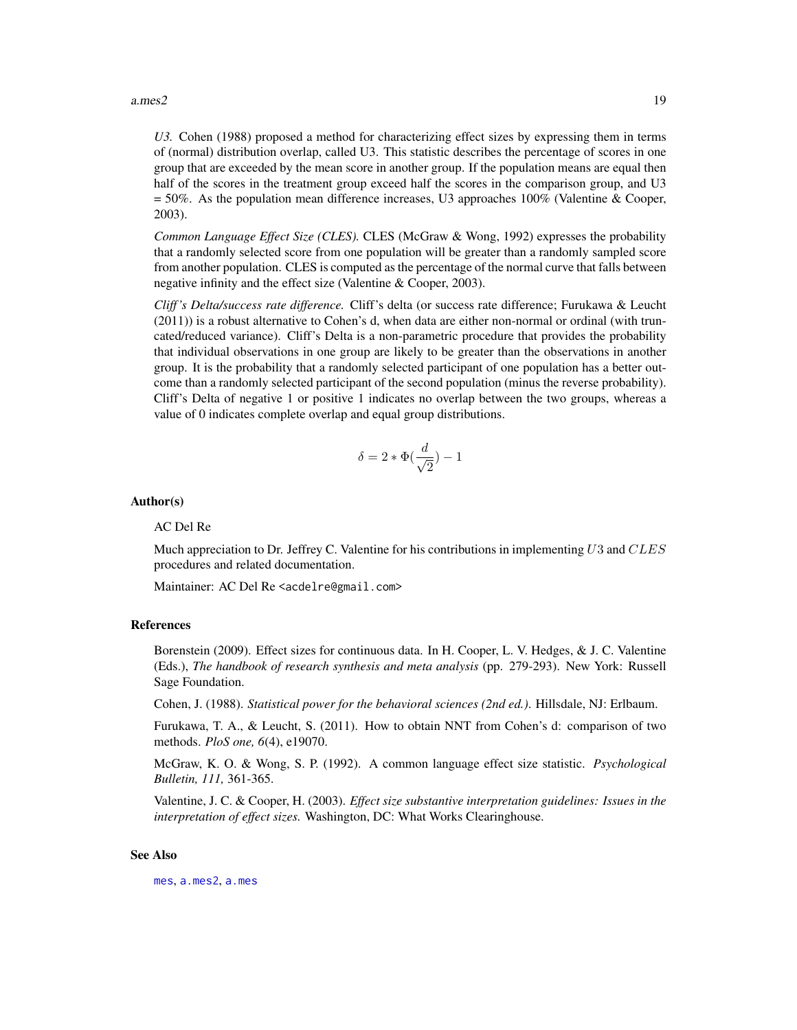#### a.mes2  $19$

*U3.* Cohen (1988) proposed a method for characterizing effect sizes by expressing them in terms of (normal) distribution overlap, called U3. This statistic describes the percentage of scores in one group that are exceeded by the mean score in another group. If the population means are equal then half of the scores in the treatment group exceed half the scores in the comparison group, and U3 = 50%. As the population mean difference increases, U3 approaches 100% (Valentine & Cooper, 2003).

*Common Language Effect Size (CLES).* CLES (McGraw & Wong, 1992) expresses the probability that a randomly selected score from one population will be greater than a randomly sampled score from another population. CLES is computed as the percentage of the normal curve that falls between negative infinity and the effect size (Valentine & Cooper, 2003).

*Cliff 's Delta/success rate difference.* Cliff's delta (or success rate difference; Furukawa & Leucht (2011)) is a robust alternative to Cohen's d, when data are either non-normal or ordinal (with truncated/reduced variance). Cliff's Delta is a non-parametric procedure that provides the probability that individual observations in one group are likely to be greater than the observations in another group. It is the probability that a randomly selected participant of one population has a better outcome than a randomly selected participant of the second population (minus the reverse probability). Cliff's Delta of negative 1 or positive 1 indicates no overlap between the two groups, whereas a value of 0 indicates complete overlap and equal group distributions.

$$
\delta = 2 * \Phi(\frac{d}{\sqrt{2}}) - 1
$$

#### Author(s)

#### AC Del Re

Much appreciation to Dr. Jeffrey C. Valentine for his contributions in implementing  $U3$  and  $CLES$ procedures and related documentation.

Maintainer: AC Del Re <acdelre@gmail.com>

#### References

Borenstein (2009). Effect sizes for continuous data. In H. Cooper, L. V. Hedges, & J. C. Valentine (Eds.), *The handbook of research synthesis and meta analysis* (pp. 279-293). New York: Russell Sage Foundation.

Cohen, J. (1988). *Statistical power for the behavioral sciences (2nd ed.)*. Hillsdale, NJ: Erlbaum.

Furukawa, T. A., & Leucht, S. (2011). How to obtain NNT from Cohen's d: comparison of two methods. *PloS one, 6*(4), e19070.

McGraw, K. O. & Wong, S. P. (1992). A common language effect size statistic. *Psychological Bulletin, 111,* 361-365.

Valentine, J. C. & Cooper, H. (2003). *Effect size substantive interpretation guidelines: Issues in the interpretation of effect sizes.* Washington, DC: What Works Clearinghouse.

#### See Also

[mes](#page-54-1), [a.mes2](#page-14-1), [a.mes](#page-9-1)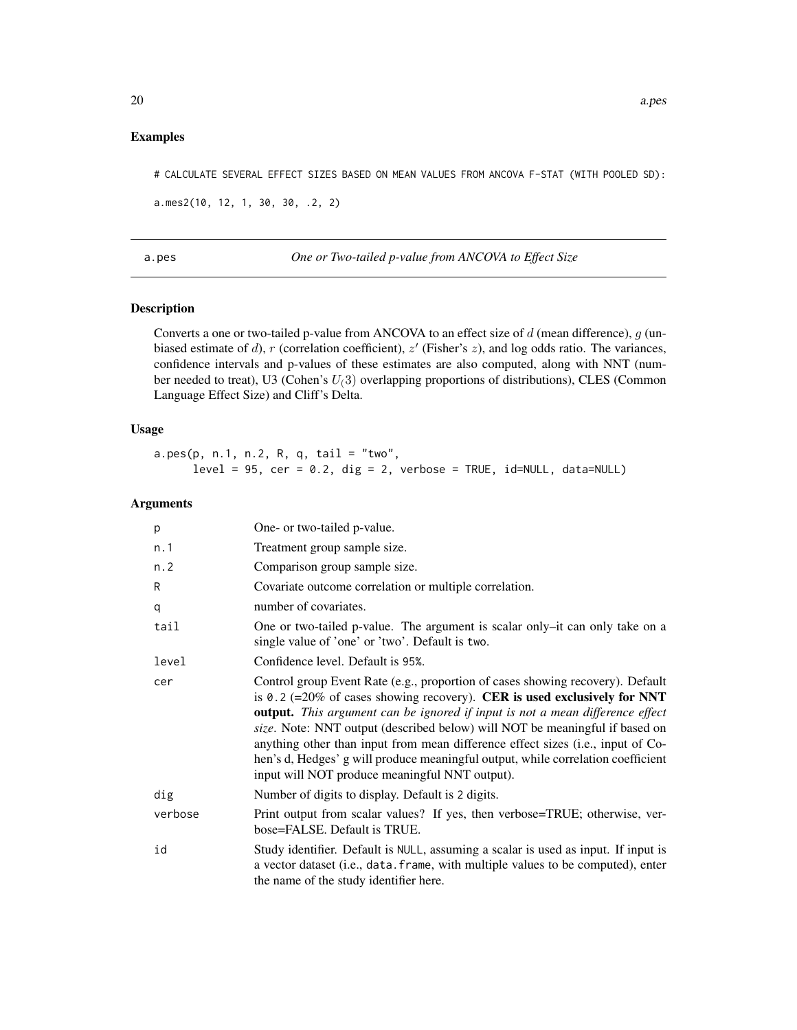#### <span id="page-19-0"></span>Examples

# CALCULATE SEVERAL EFFECT SIZES BASED ON MEAN VALUES FROM ANCOVA F-STAT (WITH POOLED SD):

a.mes2(10, 12, 1, 30, 30, .2, 2)

a.pes *One or Two-tailed p-value from ANCOVA to Effect Size*

# Description

Converts a one or two-tailed p-value from ANCOVA to an effect size of d (mean difference), g (unbiased estimate of d), r (correlation coefficient),  $z'$  (Fisher's  $z$ ), and log odds ratio. The variances, confidence intervals and p-values of these estimates are also computed, along with NNT (number needed to treat), U3 (Cohen's  $U(3)$  overlapping proportions of distributions), CLES (Common Language Effect Size) and Cliff's Delta.

# Usage

a.pes(p, n.1, n.2, R, q, tail = "two",  $level = 95$ ,  $cer = 0.2$ ,  $dig = 2$ , verbose = TRUE,  $id=NULL$ , data=NULL)

#### Arguments

| p       | One- or two-tailed p-value.                                                                                                                                                                                                                                                                                                                                                                                                                                                                                                                                |
|---------|------------------------------------------------------------------------------------------------------------------------------------------------------------------------------------------------------------------------------------------------------------------------------------------------------------------------------------------------------------------------------------------------------------------------------------------------------------------------------------------------------------------------------------------------------------|
| n.1     | Treatment group sample size.                                                                                                                                                                                                                                                                                                                                                                                                                                                                                                                               |
| n.2     | Comparison group sample size.                                                                                                                                                                                                                                                                                                                                                                                                                                                                                                                              |
| R       | Covariate outcome correlation or multiple correlation.                                                                                                                                                                                                                                                                                                                                                                                                                                                                                                     |
| q       | number of covariates.                                                                                                                                                                                                                                                                                                                                                                                                                                                                                                                                      |
| tail    | One or two-tailed p-value. The argument is scalar only-it can only take on a<br>single value of 'one' or 'two'. Default is two.                                                                                                                                                                                                                                                                                                                                                                                                                            |
| level   | Confidence level. Default is 95%.                                                                                                                                                                                                                                                                                                                                                                                                                                                                                                                          |
| cer     | Control group Event Rate (e.g., proportion of cases showing recovery). Default<br>is 0.2 (=20% of cases showing recovery). CER is used exclusively for NNT<br><b>output.</b> This argument can be ignored if input is not a mean difference effect<br>size. Note: NNT output (described below) will NOT be meaningful if based on<br>anything other than input from mean difference effect sizes (i.e., input of Co-<br>hen's d, Hedges' g will produce meaningful output, while correlation coefficient<br>input will NOT produce meaningful NNT output). |
| dig     | Number of digits to display. Default is 2 digits.                                                                                                                                                                                                                                                                                                                                                                                                                                                                                                          |
| verbose | Print output from scalar values? If yes, then verbose=TRUE; otherwise, ver-<br>bose=FALSE. Default is TRUE.                                                                                                                                                                                                                                                                                                                                                                                                                                                |
| id      | Study identifier. Default is NULL, assuming a scalar is used as input. If input is<br>a vector dataset (i.e., data. frame, with multiple values to be computed), enter<br>the name of the study identifier here.                                                                                                                                                                                                                                                                                                                                           |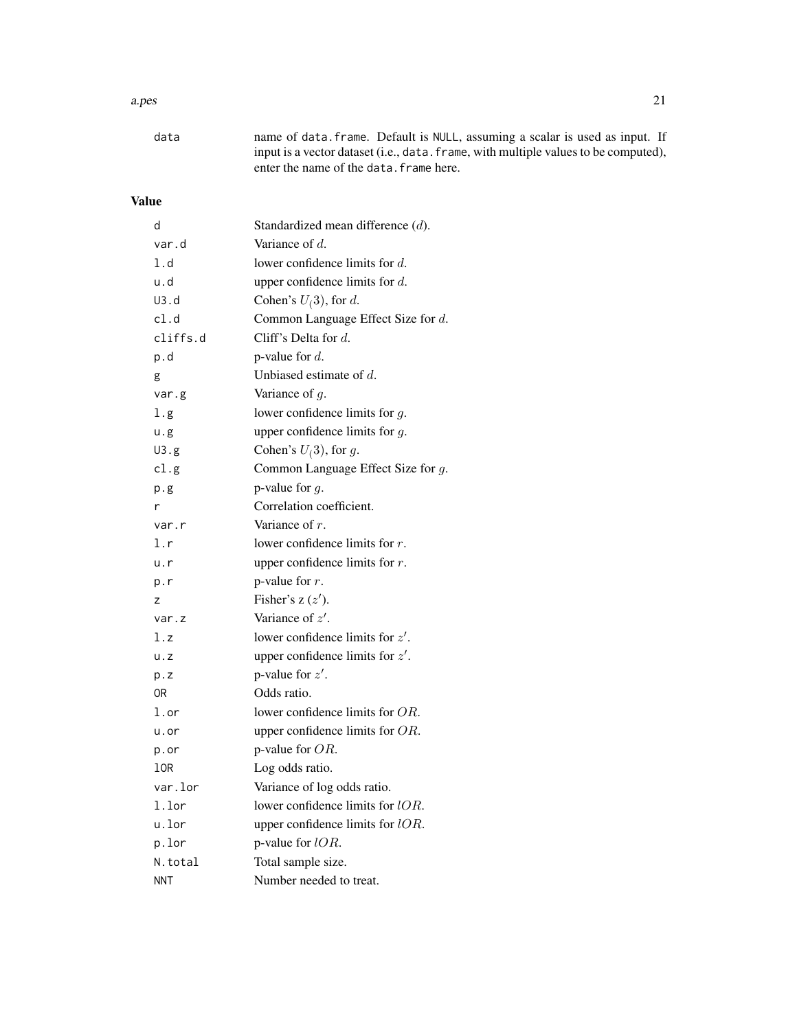# a.pes 21

| data | name of data. frame. Default is NULL, assuming a scalar is used as input. If        |
|------|-------------------------------------------------------------------------------------|
|      | input is a vector dataset (i.e., data. frame, with multiple values to be computed), |
|      | enter the name of the data. frame here.                                             |

# Value

| d           | Standardized mean difference $(d)$ . |
|-------------|--------------------------------------|
| var.d       | Variance of $d$ .                    |
| 1.d         | lower confidence limits for $d$ .    |
| u.d         | upper confidence limits for $d$ .    |
| U3.d        | Cohen's $U(3)$ , for d.              |
| cl.d        | Common Language Effect Size for d.   |
| cliffs.d    | Cliff's Delta for d.                 |
| p.d         | p-value for $d$ .                    |
| g           | Unbiased estimate of $d$ .           |
| var.g       | Variance of $g$ .                    |
| l.g.        | lower confidence limits for $g$ .    |
| u.g         | upper confidence limits for $q$ .    |
| U3.g        | Cohen's $U(3)$ , for g.              |
| cl.g        | Common Language Effect Size for g.   |
| p.g         | p-value for $g$ .                    |
| r           | Correlation coefficient.             |
| var.r       | Variance of $r$ .                    |
| l.r         | lower confidence limits for $r$ .    |
| u.r         | upper confidence limits for $r$ .    |
| p.r         | p-value for $r$ .                    |
| Z           | Fisher's $z(z')$ .                   |
| var.z       | Variance of $z'$ .                   |
| 1.z         | lower confidence limits for $z'$ .   |
| $u \cdot z$ | upper confidence limits for $z'$ .   |
| p. z        | p-value for $z'$ .                   |
| 0R          | Odds ratio.                          |
| l.or        | lower confidence limits for $OR$ .   |
| u.or        | upper confidence limits for $OR$ .   |
| p.or        | p-value for $OR$ .                   |
| lOR         | Log odds ratio.                      |
| var.lor     | Variance of log odds ratio.          |
| l.lor       | lower confidence limits for $lOR$ .  |
| u.lor       | upper confidence limits for $lOR$ .  |
| p.lor       | p-value for $lOR$ .                  |
| N.total     | Total sample size.                   |
| NNT         | Number needed to treat.              |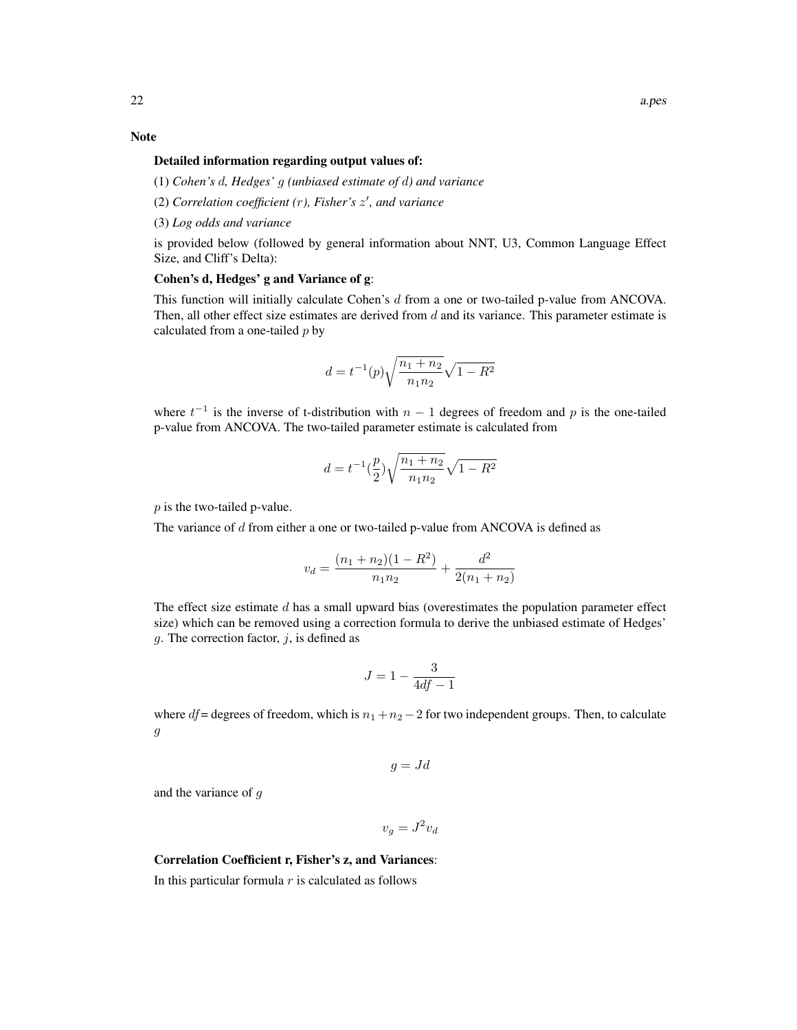# Note

#### Detailed information regarding output values of:

(1) *Cohen's* d*, Hedges'* g *(unbiased estimate of* d*) and variance*

- (2) *Correlation coefficient (*r*), Fisher's* z 0 *, and variance*
- (3) *Log odds and variance*

is provided below (followed by general information about NNT, U3, Common Language Effect Size, and Cliff's Delta):

# Cohen's d, Hedges' g and Variance of g:

This function will initially calculate Cohen's d from a one or two-tailed p-value from ANCOVA. Then, all other effect size estimates are derived from  $d$  and its variance. This parameter estimate is calculated from a one-tailed  $p$  by

$$
d = t^{-1}(p)\sqrt{\frac{n_1 + n_2}{n_1 n_2}}\sqrt{1 - R^2}
$$

where  $t^{-1}$  is the inverse of t-distribution with  $n-1$  degrees of freedom and p is the one-tailed p-value from ANCOVA. The two-tailed parameter estimate is calculated from

$$
d = t^{-1} \left(\frac{p}{2}\right) \sqrt{\frac{n_1 + n_2}{n_1 n_2}} \sqrt{1 - R^2}
$$

p is the two-tailed p-value.

The variance of d from either a one or two-tailed p-value from ANCOVA is defined as

$$
v_d = \frac{(n_1 + n_2)(1 - R^2)}{n_1 n_2} + \frac{d^2}{2(n_1 + n_2)}
$$

The effect size estimate  $d$  has a small upward bias (overestimates the population parameter effect size) which can be removed using a correction formula to derive the unbiased estimate of Hedges' q. The correction factor,  $i$ , is defined as

$$
J = 1 - \frac{3}{4df - 1}
$$

where  $df$  = degrees of freedom, which is  $n_1 + n_2 - 2$  for two independent groups. Then, to calculate g

$$
g = Jd
$$

and the variance of g

 $v_g = J^2 v_d$ 

#### Correlation Coefficient r, Fisher's z, and Variances:

In this particular formula  $r$  is calculated as follows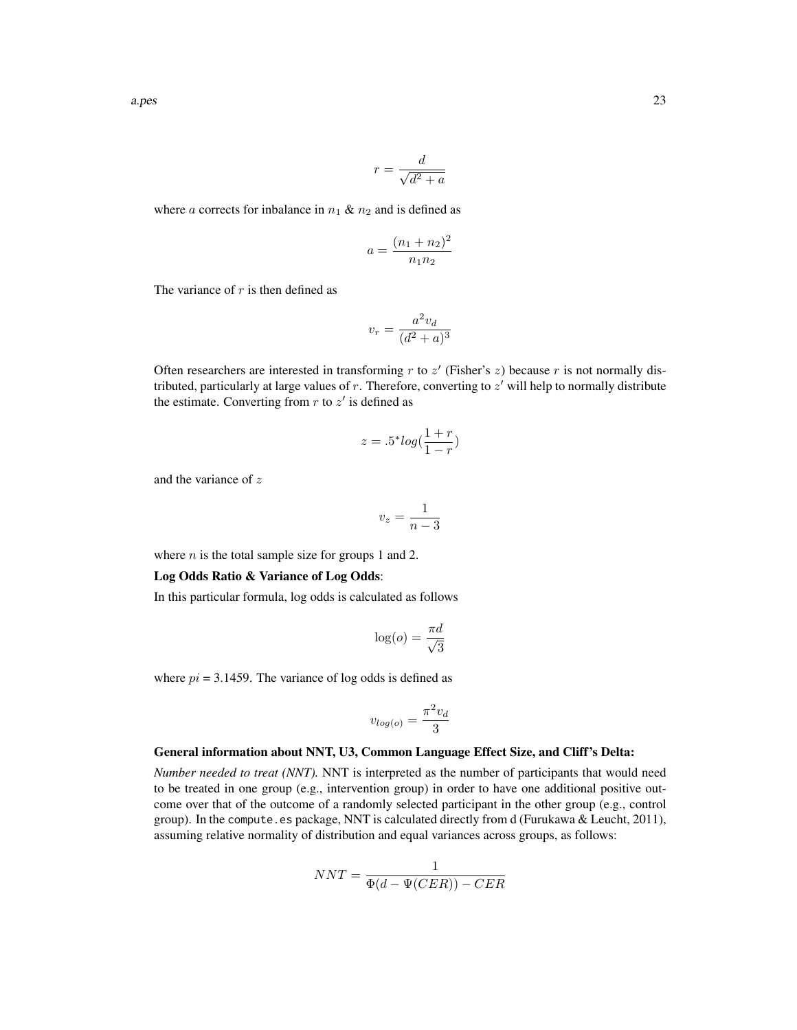$$
r = \frac{d}{\sqrt{d^2 + a}}
$$

where a corrects for inbalance in  $n_1 \& n_2$  and is defined as

$$
a = \frac{(n_1 + n_2)^2}{n_1 n_2}
$$

The variance of  $r$  is then defined as

$$
v_r = \frac{a^2 v_d}{(d^2 + a)^3}
$$

Often researchers are interested in transforming  $r$  to  $z'$  (Fisher's  $z$ ) because  $r$  is not normally distributed, particularly at large values of  $r$ . Therefore, converting to  $z'$  will help to normally distribute the estimate. Converting from  $r$  to  $z'$  is defined as

$$
z = .5^* \log(\frac{1+r}{1-r})
$$

and the variance of z

$$
v_z = \frac{1}{n-3}
$$

where  $n$  is the total sample size for groups 1 and 2.

#### Log Odds Ratio & Variance of Log Odds:

In this particular formula, log odds is calculated as follows

$$
\log(o) = \frac{\pi d}{\sqrt{3}}
$$

where  $pi = 3.1459$ . The variance of log odds is defined as

$$
v_{log(o)} = \frac{\pi^2 v_d}{3}
$$

#### General information about NNT, U3, Common Language Effect Size, and Cliff's Delta:

*Number needed to treat (NNT).* NNT is interpreted as the number of participants that would need to be treated in one group (e.g., intervention group) in order to have one additional positive outcome over that of the outcome of a randomly selected participant in the other group (e.g., control group). In the compute.es package, NNT is calculated directly from d (Furukawa & Leucht, 2011), assuming relative normality of distribution and equal variances across groups, as follows:

$$
NNT = \frac{1}{\Phi(d - \Psi(CER)) - CER}
$$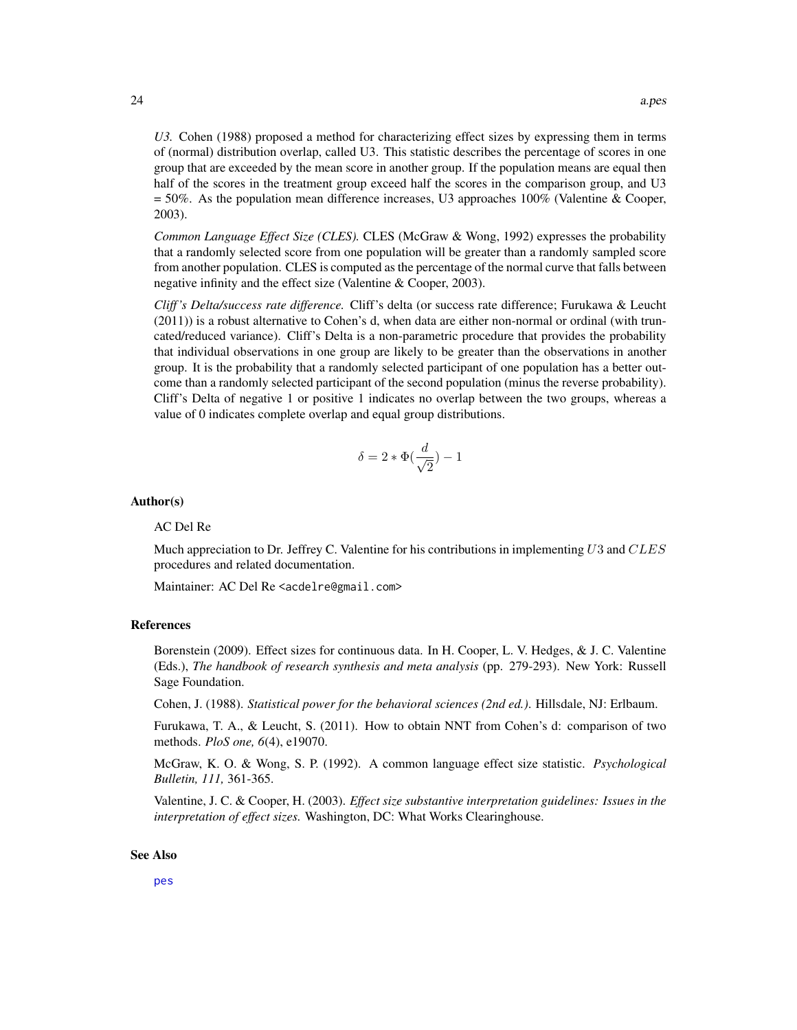*U3.* Cohen (1988) proposed a method for characterizing effect sizes by expressing them in terms of (normal) distribution overlap, called U3. This statistic describes the percentage of scores in one group that are exceeded by the mean score in another group. If the population means are equal then half of the scores in the treatment group exceed half the scores in the comparison group, and U3 = 50%. As the population mean difference increases, U3 approaches 100% (Valentine & Cooper, 2003).

*Common Language Effect Size (CLES).* CLES (McGraw & Wong, 1992) expresses the probability that a randomly selected score from one population will be greater than a randomly sampled score from another population. CLES is computed as the percentage of the normal curve that falls between negative infinity and the effect size (Valentine & Cooper, 2003).

*Cliff 's Delta/success rate difference.* Cliff's delta (or success rate difference; Furukawa & Leucht (2011)) is a robust alternative to Cohen's d, when data are either non-normal or ordinal (with truncated/reduced variance). Cliff's Delta is a non-parametric procedure that provides the probability that individual observations in one group are likely to be greater than the observations in another group. It is the probability that a randomly selected participant of one population has a better outcome than a randomly selected participant of the second population (minus the reverse probability). Cliff's Delta of negative 1 or positive 1 indicates no overlap between the two groups, whereas a value of 0 indicates complete overlap and equal group distributions.

$$
\delta = 2 * \Phi(\frac{d}{\sqrt{2}}) - 1
$$

#### Author(s)

#### AC Del Re

Much appreciation to Dr. Jeffrey C. Valentine for his contributions in implementing  $U3$  and  $CLES$ procedures and related documentation.

Maintainer: AC Del Re <acdelre@gmail.com>

#### References

Borenstein (2009). Effect sizes for continuous data. In H. Cooper, L. V. Hedges, & J. C. Valentine (Eds.), *The handbook of research synthesis and meta analysis* (pp. 279-293). New York: Russell Sage Foundation.

Cohen, J. (1988). *Statistical power for the behavioral sciences (2nd ed.)*. Hillsdale, NJ: Erlbaum.

Furukawa, T. A., & Leucht, S. (2011). How to obtain NNT from Cohen's d: comparison of two methods. *PloS one, 6*(4), e19070.

McGraw, K. O. & Wong, S. P. (1992). A common language effect size statistic. *Psychological Bulletin, 111,* 361-365.

Valentine, J. C. & Cooper, H. (2003). *Effect size substantive interpretation guidelines: Issues in the interpretation of effect sizes.* Washington, DC: What Works Clearinghouse.

#### See Also

[pes](#page-64-1)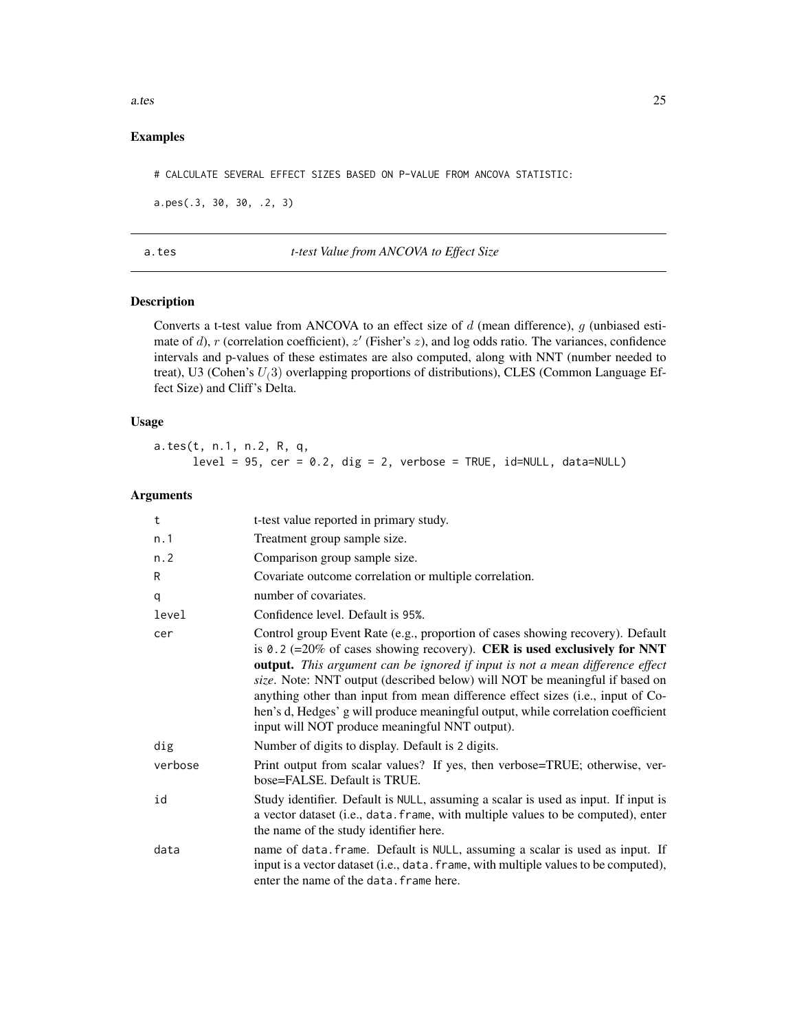<span id="page-24-0"></span>a.tes 25

# Examples

# CALCULATE SEVERAL EFFECT SIZES BASED ON P-VALUE FROM ANCOVA STATISTIC:

a.pes(.3, 30, 30, .2, 3)

a.tes *t-test Value from ANCOVA to Effect Size*

# Description

Converts a t-test value from ANCOVA to an effect size of  $d$  (mean difference),  $g$  (unbiased estimate of d), r (correlation coefficient),  $z'$  (Fisher's  $z$ ), and log odds ratio. The variances, confidence intervals and p-values of these estimates are also computed, along with NNT (number needed to treat), U3 (Cohen's  $U(3)$  overlapping proportions of distributions), CLES (Common Language Effect Size) and Cliff's Delta.

# Usage

a.tes(t, n.1, n.2, R, q,  $level = 95$ ,  $cer = 0.2$ ,  $dig = 2$ ,  $verbose = TRUE$ ,  $id=NULL$ ,  $data=NULL$ 

# Arguments

| t       | t-test value reported in primary study.                                                                                                                                                                                                                                                                                                                                                                                                                                                                                                             |
|---------|-----------------------------------------------------------------------------------------------------------------------------------------------------------------------------------------------------------------------------------------------------------------------------------------------------------------------------------------------------------------------------------------------------------------------------------------------------------------------------------------------------------------------------------------------------|
| n.1     | Treatment group sample size.                                                                                                                                                                                                                                                                                                                                                                                                                                                                                                                        |
| n.2     | Comparison group sample size.                                                                                                                                                                                                                                                                                                                                                                                                                                                                                                                       |
| R       | Covariate outcome correlation or multiple correlation.                                                                                                                                                                                                                                                                                                                                                                                                                                                                                              |
| q       | number of covariates.                                                                                                                                                                                                                                                                                                                                                                                                                                                                                                                               |
| level   | Confidence level. Default is 95%.                                                                                                                                                                                                                                                                                                                                                                                                                                                                                                                   |
| cer     | Control group Event Rate (e.g., proportion of cases showing recovery). Default<br>is 0.2 (=20% of cases showing recovery). CER is used exclusively for NNT<br>output. This argument can be ignored if input is not a mean difference effect<br>size. Note: NNT output (described below) will NOT be meaningful if based on<br>anything other than input from mean difference effect sizes (i.e., input of Co-<br>hen's d, Hedges' g will produce meaningful output, while correlation coefficient<br>input will NOT produce meaningful NNT output). |
| dig     | Number of digits to display. Default is 2 digits.                                                                                                                                                                                                                                                                                                                                                                                                                                                                                                   |
| verbose | Print output from scalar values? If yes, then verbose=TRUE; otherwise, ver-<br>bose=FALSE. Default is TRUE.                                                                                                                                                                                                                                                                                                                                                                                                                                         |
| id      | Study identifier. Default is NULL, assuming a scalar is used as input. If input is<br>a vector dataset (i.e., data. frame, with multiple values to be computed), enter<br>the name of the study identifier here.                                                                                                                                                                                                                                                                                                                                    |
| data    | name of data. frame. Default is NULL, assuming a scalar is used as input. If<br>input is a vector dataset (i.e., data. frame, with multiple values to be computed),<br>enter the name of the data. frame here.                                                                                                                                                                                                                                                                                                                                      |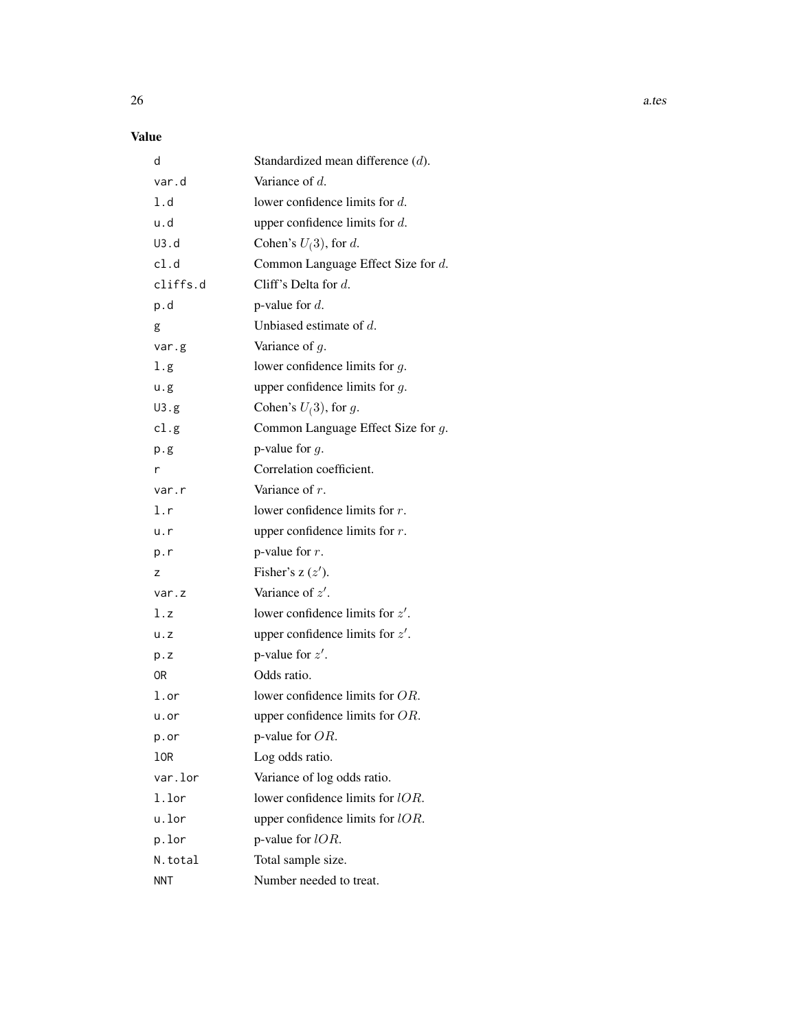# Value

| d                 | Standardized mean difference $(d)$ . |
|-------------------|--------------------------------------|
| var.d             | Variance of $d$ .                    |
| 1.d               | lower confidence limits for $d$ .    |
| u.d               | upper confidence limits for $d$ .    |
| U3.d              | Cohen's $U(3)$ , for d.              |
| cl.d              | Common Language Effect Size for d.   |
| cliffs.d          | Cliff's Delta for $d$ .              |
| p.d               | p-value for $d$ .                    |
| g                 | Unbiased estimate of $d$ .           |
| var.g             | Variance of $g$ .                    |
| 1.g               | lower confidence limits for $g$ .    |
| u.g               | upper confidence limits for $g$ .    |
| U3.g              | Cohen's $U(3)$ , for g.              |
| cl.g              | Common Language Effect Size for g.   |
| p.g               | p-value for $q$ .                    |
| r                 | Correlation coefficient.             |
| var.r             | Variance of $r$ .                    |
| l.r               | lower confidence limits for $r$ .    |
| u.r               | upper confidence limits for $r$ .    |
| p.r               | p-value for $r$ .                    |
| z                 | Fisher's $z(z')$ .                   |
| var.z             | Variance of $z'$ .                   |
| l.z               | lower confidence limits for $z'$ .   |
| u. z              | upper confidence limits for $z'$ .   |
| p.z               | p-value for $z'$ .                   |
| 0R                | Odds ratio.                          |
| $1.\,\mathrm{or}$ | lower confidence limits for $OR$ .   |
| u.or              | upper confidence limits for $OR$ .   |
| p.or              | p-value for OR.                      |
| 10R               | Log odds ratio.                      |
| var.lor           | Variance of log odds ratio.          |
| 1.lor             | lower confidence limits for lOR.     |
| u.lor             | upper confidence limits for $lOR$ .  |
| p.lor             | p-value for $lOR$ .                  |
| N.total           | Total sample size.                   |
| <b>NNT</b>        | Number needed to treat.              |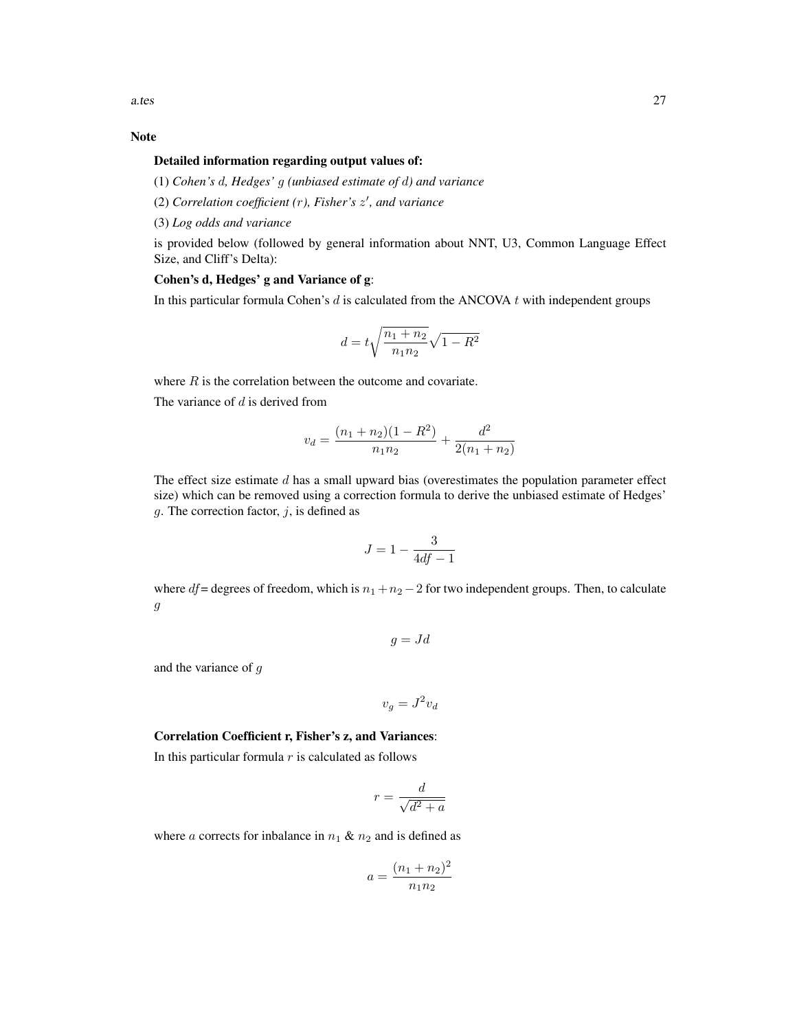# Note

#### Detailed information regarding output values of:

(1) *Cohen's* d*, Hedges'* g *(unbiased estimate of* d*) and variance*

(2) *Correlation coefficient (*r*), Fisher's* z 0 *, and variance*

(3) *Log odds and variance*

is provided below (followed by general information about NNT, U3, Common Language Effect Size, and Cliff's Delta):

# Cohen's d, Hedges' g and Variance of g:

In this particular formula Cohen's  $d$  is calculated from the ANCOVA  $t$  with independent groups

$$
d = t\sqrt{\frac{n_1 + n_2}{n_1 n_2}}\sqrt{1 - R^2}
$$

where  $R$  is the correlation between the outcome and covariate.

The variance of  $d$  is derived from

$$
v_d = \frac{(n_1 + n_2)(1 - R^2)}{n_1 n_2} + \frac{d^2}{2(n_1 + n_2)}
$$

The effect size estimate  $d$  has a small upward bias (overestimates the population parameter effect size) which can be removed using a correction formula to derive the unbiased estimate of Hedges' g. The correction factor,  $j$ , is defined as

$$
J = 1 - \frac{3}{4df - 1}
$$

where  $df$  = degrees of freedom, which is  $n_1 + n_2 - 2$  for two independent groups. Then, to calculate g

$$
g = Jd
$$

and the variance of g

 $v_g = J^2 v_d$ 

# Correlation Coefficient r, Fisher's z, and Variances:

In this particular formula  $r$  is calculated as follows

$$
r = \frac{d}{\sqrt{d^2 + a}}
$$

where a corrects for inbalance in  $n_1 \& n_2$  and is defined as

$$
a = \frac{(n_1 + n_2)^2}{n_1 n_2}
$$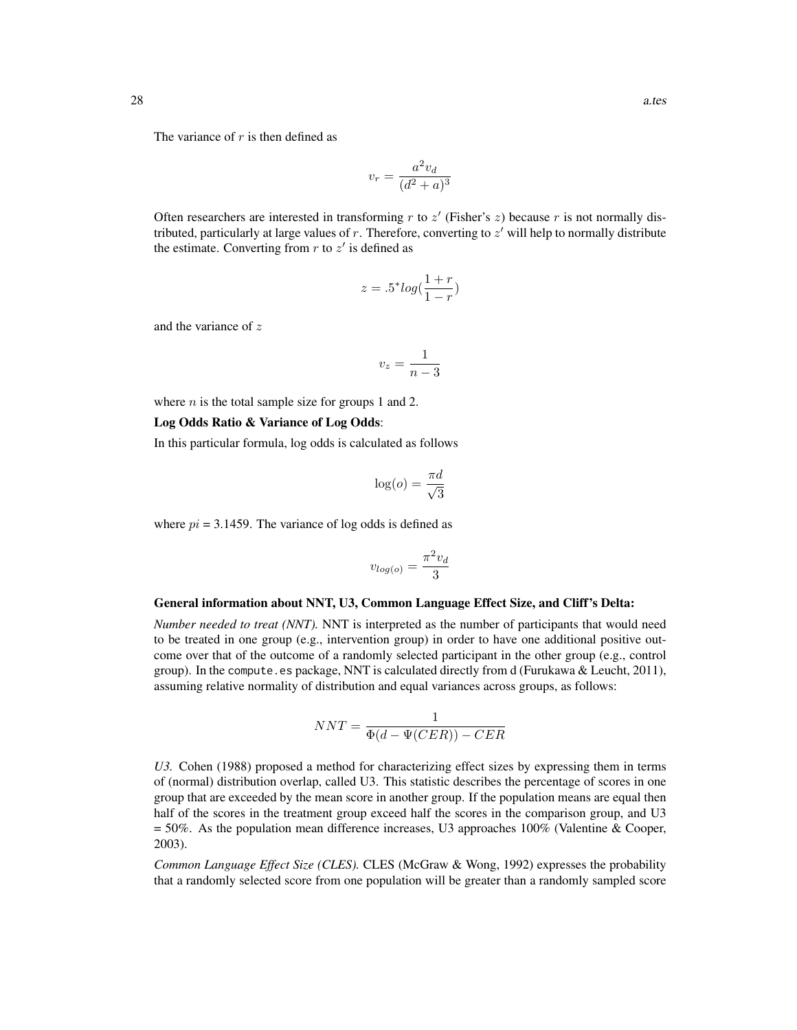The variance of  $r$  is then defined as

$$
v_r = \frac{a^2 v_d}{(d^2 + a)^3}
$$

Often researchers are interested in transforming  $r$  to  $z'$  (Fisher's  $z$ ) because  $r$  is not normally distributed, particularly at large values of  $r$ . Therefore, converting to  $z'$  will help to normally distribute the estimate. Converting from  $r$  to  $z'$  is defined as

$$
z = .5^* log(\frac{1+r}{1-r})
$$

and the variance of z

$$
v_z = \frac{1}{n-3}
$$

where  $n$  is the total sample size for groups 1 and 2.

#### Log Odds Ratio & Variance of Log Odds:

In this particular formula, log odds is calculated as follows

$$
\log(o) = \frac{\pi d}{\sqrt{3}}
$$

where  $pi = 3.1459$ . The variance of log odds is defined as

$$
v_{log(o)} = \frac{\pi^2 v_d}{3}
$$

#### General information about NNT, U3, Common Language Effect Size, and Cliff's Delta:

*Number needed to treat (NNT).* NNT is interpreted as the number of participants that would need to be treated in one group (e.g., intervention group) in order to have one additional positive outcome over that of the outcome of a randomly selected participant in the other group (e.g., control group). In the compute.es package, NNT is calculated directly from d (Furukawa & Leucht, 2011), assuming relative normality of distribution and equal variances across groups, as follows:

$$
NNT = \frac{1}{\Phi(d - \Psi(CER)) - CER}
$$

*U3.* Cohen (1988) proposed a method for characterizing effect sizes by expressing them in terms of (normal) distribution overlap, called U3. This statistic describes the percentage of scores in one group that are exceeded by the mean score in another group. If the population means are equal then half of the scores in the treatment group exceed half the scores in the comparison group, and U3  $= 50\%$ . As the population mean difference increases, U3 approaches 100% (Valentine & Cooper, 2003).

*Common Language Effect Size (CLES).* CLES (McGraw & Wong, 1992) expresses the probability that a randomly selected score from one population will be greater than a randomly sampled score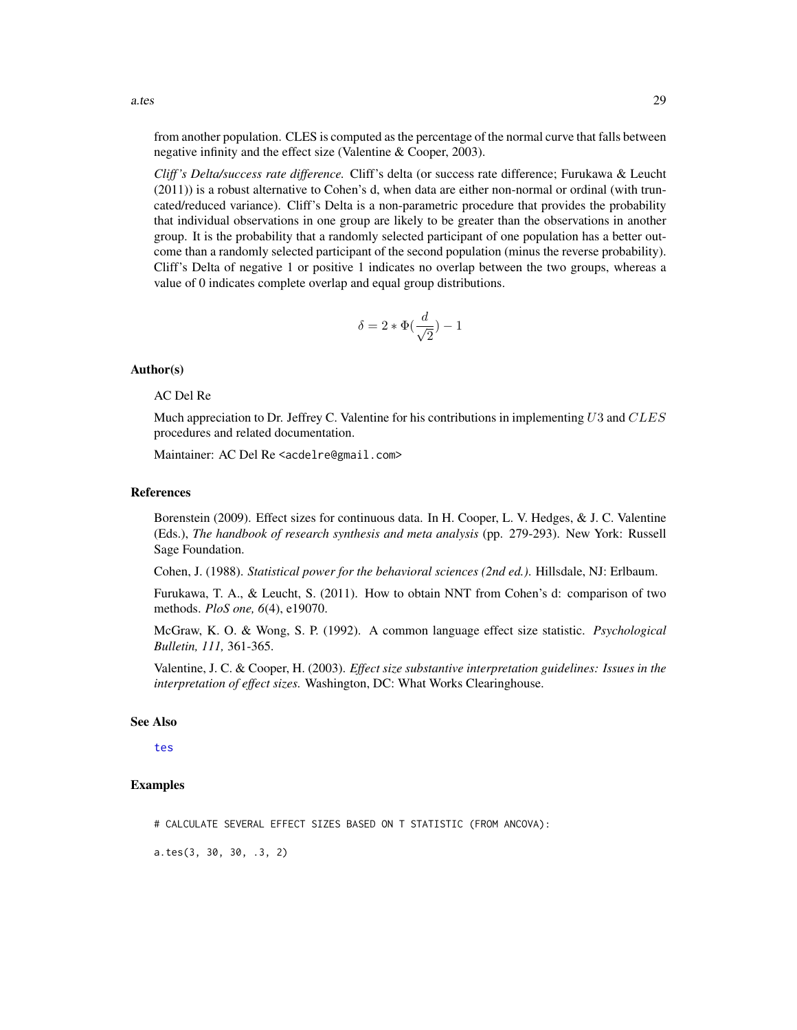from another population. CLES is computed as the percentage of the normal curve that falls between negative infinity and the effect size (Valentine & Cooper, 2003).

*Cliff 's Delta/success rate difference.* Cliff's delta (or success rate difference; Furukawa & Leucht (2011)) is a robust alternative to Cohen's d, when data are either non-normal or ordinal (with truncated/reduced variance). Cliff's Delta is a non-parametric procedure that provides the probability that individual observations in one group are likely to be greater than the observations in another group. It is the probability that a randomly selected participant of one population has a better outcome than a randomly selected participant of the second population (minus the reverse probability). Cliff's Delta of negative 1 or positive 1 indicates no overlap between the two groups, whereas a value of 0 indicates complete overlap and equal group distributions.

$$
\delta=2*\Phi(\frac{d}{\sqrt{2}})-1
$$

#### Author(s)

# AC Del Re

Much appreciation to Dr. Jeffrey C. Valentine for his contributions in implementing  $U3$  and  $CLES$ procedures and related documentation.

Maintainer: AC Del Re <acdelre@gmail.com>

#### References

Borenstein (2009). Effect sizes for continuous data. In H. Cooper, L. V. Hedges, & J. C. Valentine (Eds.), *The handbook of research synthesis and meta analysis* (pp. 279-293). New York: Russell Sage Foundation.

Cohen, J. (1988). *Statistical power for the behavioral sciences (2nd ed.)*. Hillsdale, NJ: Erlbaum.

Furukawa, T. A., & Leucht, S. (2011). How to obtain NNT from Cohen's d: comparison of two methods. *PloS one, 6*(4), e19070.

McGraw, K. O. & Wong, S. P. (1992). A common language effect size statistic. *Psychological Bulletin, 111,* 361-365.

Valentine, J. C. & Cooper, H. (2003). *Effect size substantive interpretation guidelines: Issues in the interpretation of effect sizes.* Washington, DC: What Works Clearinghouse.

# See Also

[tes](#page-78-1)

#### Examples

# CALCULATE SEVERAL EFFECT SIZES BASED ON T STATISTIC (FROM ANCOVA):

a.tes(3, 30, 30, .3, 2)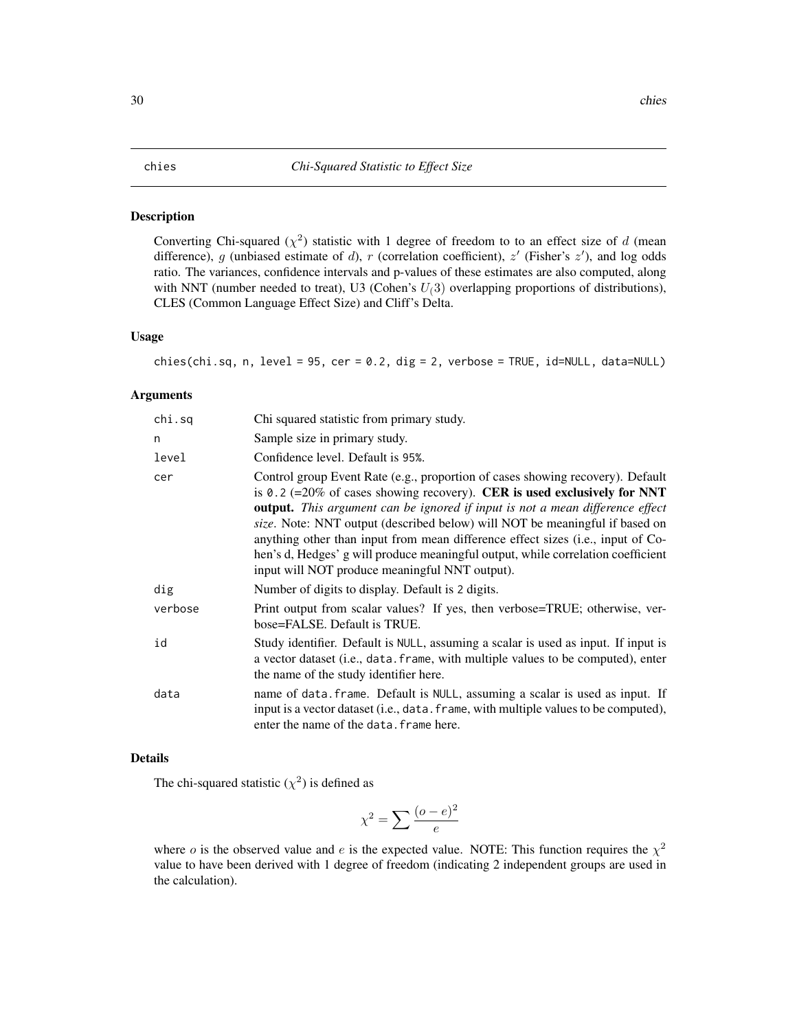#### <span id="page-29-0"></span>Description

Converting Chi-squared  $(\chi^2)$  statistic with 1 degree of freedom to to an effect size of d (mean difference), g (unbiased estimate of d), r (correlation coefficient),  $z'$  (Fisher's  $z'$ ), and log odds ratio. The variances, confidence intervals and p-values of these estimates are also computed, along with NNT (number needed to treat), U3 (Cohen's  $U(3)$  overlapping proportions of distributions), CLES (Common Language Effect Size) and Cliff's Delta.

# Usage

chies(chi.sq, n, level = 95, cer = 0.2, dig = 2, verbose = TRUE, id=NULL, data=NULL)

#### Arguments

| chi.sq  | Chi squared statistic from primary study.                                                                                                                                                                                                                                                                                                                                                                                                                                                                                                                  |
|---------|------------------------------------------------------------------------------------------------------------------------------------------------------------------------------------------------------------------------------------------------------------------------------------------------------------------------------------------------------------------------------------------------------------------------------------------------------------------------------------------------------------------------------------------------------------|
| n       | Sample size in primary study.                                                                                                                                                                                                                                                                                                                                                                                                                                                                                                                              |
| level   | Confidence level. Default is 95%.                                                                                                                                                                                                                                                                                                                                                                                                                                                                                                                          |
| cer     | Control group Event Rate (e.g., proportion of cases showing recovery). Default<br>is 0.2 (=20% of cases showing recovery). CER is used exclusively for NNT<br><b>output.</b> This argument can be ignored if input is not a mean difference effect<br>size. Note: NNT output (described below) will NOT be meaningful if based on<br>anything other than input from mean difference effect sizes (i.e., input of Co-<br>hen's d, Hedges' g will produce meaningful output, while correlation coefficient<br>input will NOT produce meaningful NNT output). |
| dig     | Number of digits to display. Default is 2 digits.                                                                                                                                                                                                                                                                                                                                                                                                                                                                                                          |
| verbose | Print output from scalar values? If yes, then verbose=TRUE; otherwise, ver-<br>bose=FALSE. Default is TRUE.                                                                                                                                                                                                                                                                                                                                                                                                                                                |
| id      | Study identifier. Default is NULL, assuming a scalar is used as input. If input is<br>a vector dataset (i.e., data. frame, with multiple values to be computed), enter<br>the name of the study identifier here.                                                                                                                                                                                                                                                                                                                                           |
| data    | name of data. frame. Default is NULL, assuming a scalar is used as input. If<br>input is a vector dataset (i.e., data. frame, with multiple values to be computed),<br>enter the name of the data. frame here.                                                                                                                                                                                                                                                                                                                                             |

### Details

The chi-squared statistic  $(\chi^2)$  is defined as

$$
\chi^2 = \sum \frac{(o-e)^2}{e}
$$

where *o* is the observed value and *e* is the expected value. NOTE: This function requires the  $\chi^2$ value to have been derived with 1 degree of freedom (indicating 2 independent groups are used in the calculation).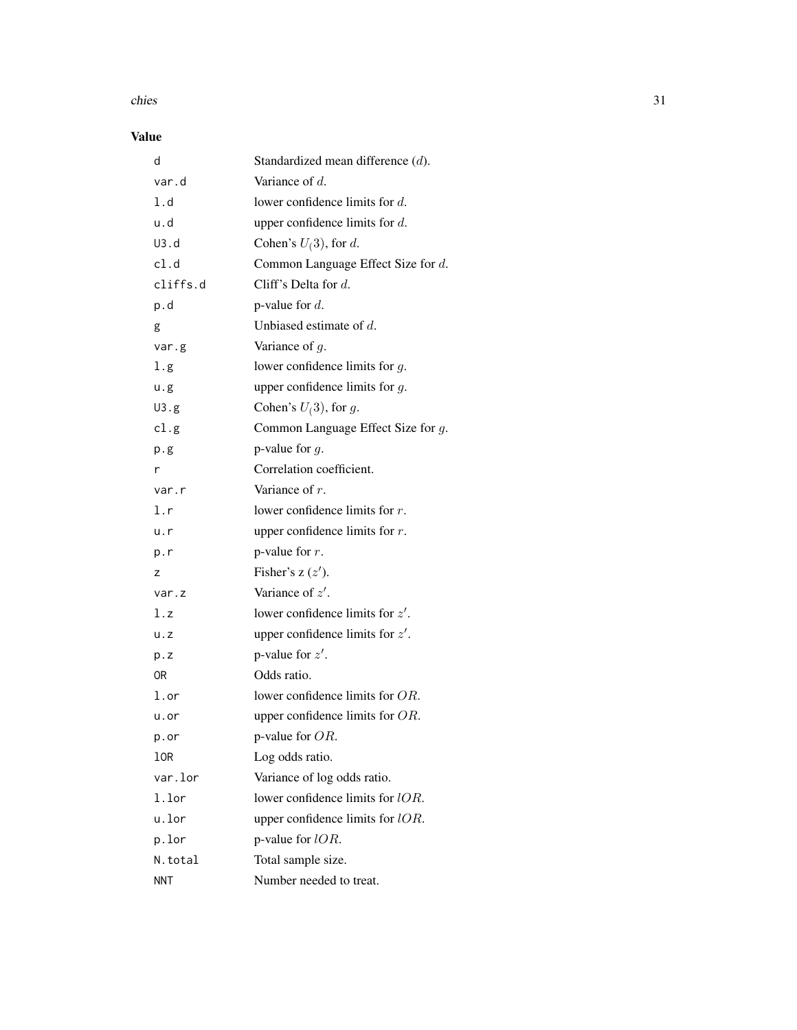#### chies 31

# Value

| d           | Standardized mean difference (d).     |
|-------------|---------------------------------------|
| var.d       | Variance of d.                        |
| 1.d         | lower confidence limits for $d$ .     |
| u.d         | upper confidence limits for $d$ .     |
| U3.d        | Cohen's $U(3)$ , for d.               |
| cl.d        | Common Language Effect Size for d.    |
| cliffs.d    | Cliff's Delta for $d$ .               |
| p.d         | p-value for $d$ .                     |
| g           | Unbiased estimate of $d$ .            |
| var.g       | Variance of $g$ .                     |
| l.g         | lower confidence limits for $g$ .     |
| u.g         | upper confidence limits for $g$ .     |
| U3.g        | Cohen's $U(3)$ , for g.               |
| cl.g        | Common Language Effect Size for $g$ . |
| p.g         | p-value for $q$ .                     |
| r           | Correlation coefficient.              |
| var.r       | Variance of $r$ .                     |
| l.r         | lower confidence limits for $r$ .     |
| u.r         | upper confidence limits for $r$ .     |
| p.r         | p-value for $r$ .                     |
| z           | Fisher's $z(z')$ .                    |
| var.z       | Variance of $z'$ .                    |
| l.z         | lower confidence limits for $z'$ .    |
| $u \cdot z$ | upper confidence limits for $z'$ .    |
| p.z         | p-value for $z'$ .                    |
| 0R          | Odds ratio.                           |
| l.or        | lower confidence limits for OR.       |
| u.or        | upper confidence limits for $OR$ .    |
| p.or        | p-value for $OR$ .                    |
| 10R         | Log odds ratio.                       |
| var.lor     | Variance of log odds ratio.           |
| 1.lor       | lower confidence limits for lOR.      |
| u.lor       | upper confidence limits for $lOR$ .   |
| p.lor       | p-value for $lOR$ .                   |
| N.total     | Total sample size.                    |
| <b>NNT</b>  | Number needed to treat.               |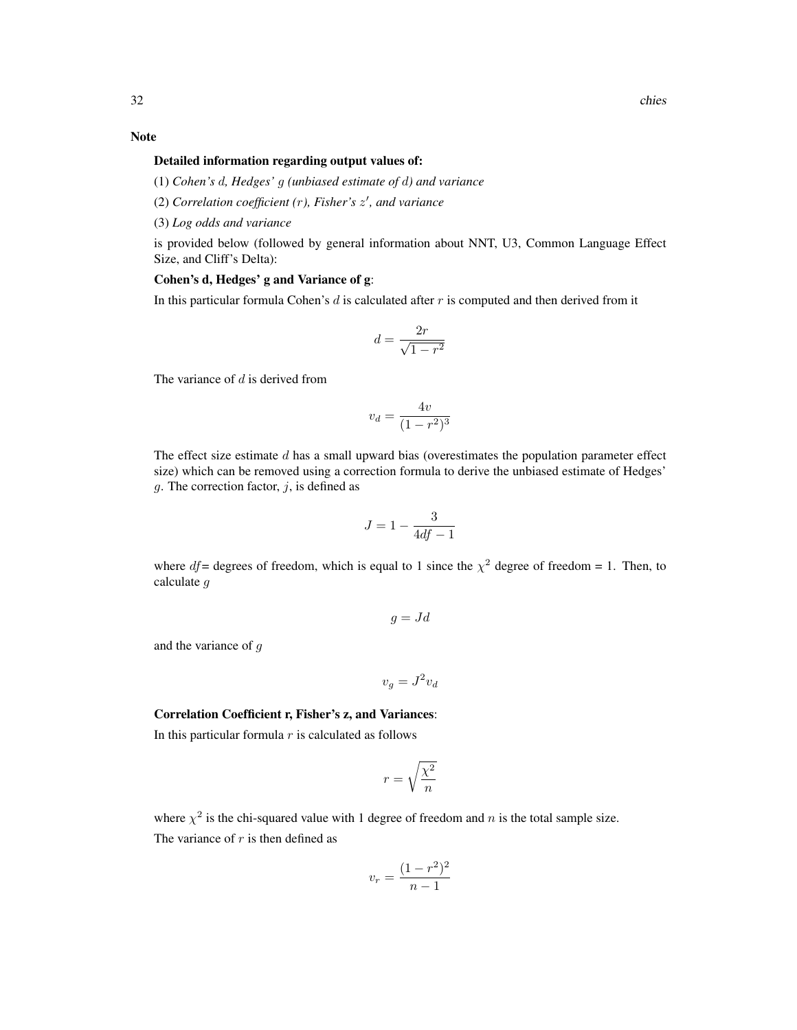### Note

#### Detailed information regarding output values of:

(1) *Cohen's* d*, Hedges'* g *(unbiased estimate of* d*) and variance*

(2) *Correlation coefficient (*r*), Fisher's* z 0 *, and variance*

(3) *Log odds and variance*

is provided below (followed by general information about NNT, U3, Common Language Effect Size, and Cliff's Delta):

# Cohen's d, Hedges' g and Variance of g:

In this particular formula Cohen's  $d$  is calculated after  $r$  is computed and then derived from it

$$
d = \frac{2r}{\sqrt{1 - r^2}}
$$

The variance of  $d$  is derived from

$$
v_d = \frac{4v}{(1 - r^2)^3}
$$

The effect size estimate  $d$  has a small upward bias (overestimates the population parameter effect size) which can be removed using a correction formula to derive the unbiased estimate of Hedges' g. The correction factor,  $j$ , is defined as

$$
J = 1 - \frac{3}{4df - 1}
$$

where  $df =$  degrees of freedom, which is equal to 1 since the  $\chi^2$  degree of freedom = 1. Then, to calculate g

$$
g = Jd
$$

and the variance of g

$$
v_g = J^2 v_d
$$

# Correlation Coefficient r, Fisher's z, and Variances:

In this particular formula  $r$  is calculated as follows

$$
r = \sqrt{\frac{\chi^2}{n}}
$$

where  $\chi^2$  is the chi-squared value with 1 degree of freedom and n is the total sample size. The variance of  $r$  is then defined as

$$
v_r = \frac{(1 - r^2)^2}{n - 1}
$$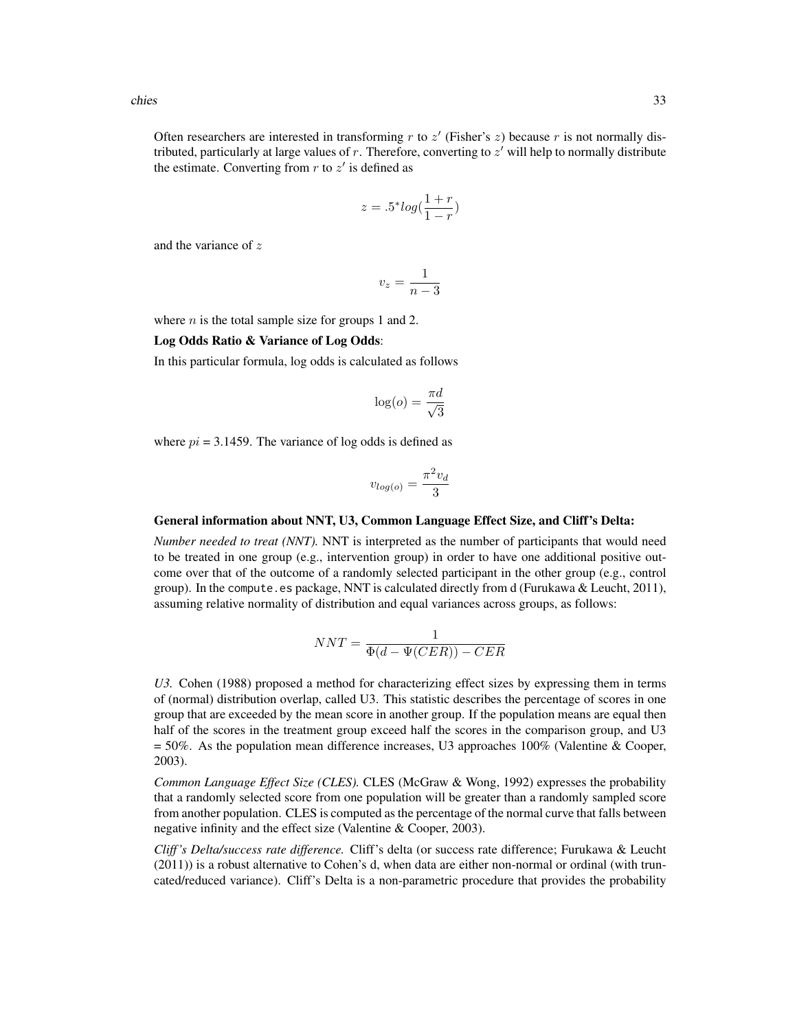Often researchers are interested in transforming  $r$  to  $z'$  (Fisher's  $z$ ) because  $r$  is not normally distributed, particularly at large values of  $r$ . Therefore, converting to  $z'$  will help to normally distribute the estimate. Converting from  $r$  to  $z'$  is defined as

$$
z = .5^* log(\frac{1+r}{1-r})
$$

and the variance of z

$$
v_z = \frac{1}{n-3}
$$

where  $n$  is the total sample size for groups 1 and 2.

# Log Odds Ratio & Variance of Log Odds:

In this particular formula, log odds is calculated as follows

$$
\log(o) = \frac{\pi d}{\sqrt{3}}
$$

where  $pi = 3.1459$ . The variance of log odds is defined as

$$
v_{log(o)} = \frac{\pi^2 v_d}{3}
$$

#### General information about NNT, U3, Common Language Effect Size, and Cliff's Delta:

*Number needed to treat (NNT).* NNT is interpreted as the number of participants that would need to be treated in one group (e.g., intervention group) in order to have one additional positive outcome over that of the outcome of a randomly selected participant in the other group (e.g., control group). In the compute.es package, NNT is calculated directly from d (Furukawa & Leucht, 2011), assuming relative normality of distribution and equal variances across groups, as follows:

$$
NNT = \frac{1}{\Phi(d - \Psi(CER)) - CER}
$$

*U3.* Cohen (1988) proposed a method for characterizing effect sizes by expressing them in terms of (normal) distribution overlap, called U3. This statistic describes the percentage of scores in one group that are exceeded by the mean score in another group. If the population means are equal then half of the scores in the treatment group exceed half the scores in the comparison group, and U3 = 50%. As the population mean difference increases, U3 approaches 100% (Valentine & Cooper, 2003).

*Common Language Effect Size (CLES).* CLES (McGraw & Wong, 1992) expresses the probability that a randomly selected score from one population will be greater than a randomly sampled score from another population. CLES is computed as the percentage of the normal curve that falls between negative infinity and the effect size (Valentine & Cooper, 2003).

*Cliff 's Delta/success rate difference.* Cliff's delta (or success rate difference; Furukawa & Leucht (2011)) is a robust alternative to Cohen's d, when data are either non-normal or ordinal (with truncated/reduced variance). Cliff's Delta is a non-parametric procedure that provides the probability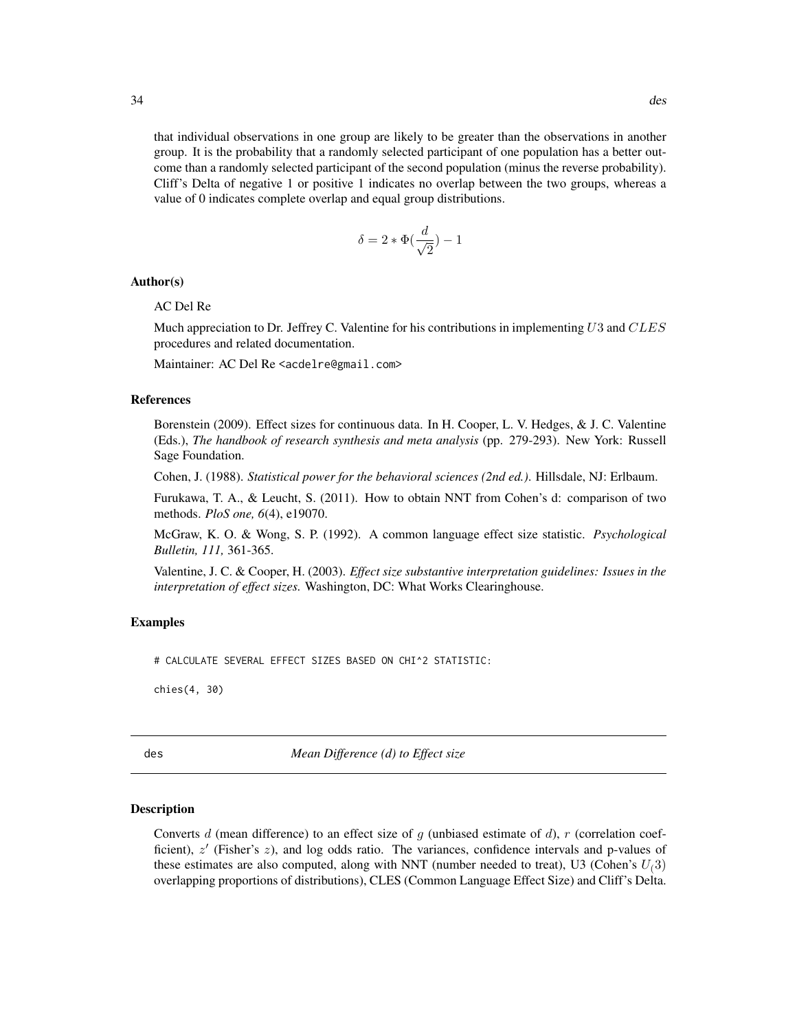<span id="page-33-0"></span>that individual observations in one group are likely to be greater than the observations in another group. It is the probability that a randomly selected participant of one population has a better outcome than a randomly selected participant of the second population (minus the reverse probability). Cliff's Delta of negative 1 or positive 1 indicates no overlap between the two groups, whereas a value of 0 indicates complete overlap and equal group distributions.

$$
\delta = 2*\Phi(\frac{d}{\sqrt{2}}) - 1
$$

#### Author(s)

### AC Del Re

Much appreciation to Dr. Jeffrey C. Valentine for his contributions in implementing  $U3$  and  $CLES$ procedures and related documentation.

Maintainer: AC Del Re <acdelre@gmail.com>

# References

Borenstein (2009). Effect sizes for continuous data. In H. Cooper, L. V. Hedges, & J. C. Valentine (Eds.), *The handbook of research synthesis and meta analysis* (pp. 279-293). New York: Russell Sage Foundation.

Cohen, J. (1988). *Statistical power for the behavioral sciences (2nd ed.)*. Hillsdale, NJ: Erlbaum.

Furukawa, T. A., & Leucht, S. (2011). How to obtain NNT from Cohen's d: comparison of two methods. *PloS one, 6*(4), e19070.

McGraw, K. O. & Wong, S. P. (1992). A common language effect size statistic. *Psychological Bulletin, 111,* 361-365.

Valentine, J. C. & Cooper, H. (2003). *Effect size substantive interpretation guidelines: Issues in the interpretation of effect sizes.* Washington, DC: What Works Clearinghouse.

#### Examples

# CALCULATE SEVERAL EFFECT SIZES BASED ON CHI^2 STATISTIC:

chies(4, 30)

des *Mean Difference (d) to Effect size*

#### Description

Converts d (mean difference) to an effect size of q (unbiased estimate of d), r (correlation coefficient),  $z'$  (Fisher's  $z$ ), and log odds ratio. The variances, confidence intervals and p-values of these estimates are also computed, along with NNT (number needed to treat), U3 (Cohen's  $U(3)$ overlapping proportions of distributions), CLES (Common Language Effect Size) and Cliff's Delta.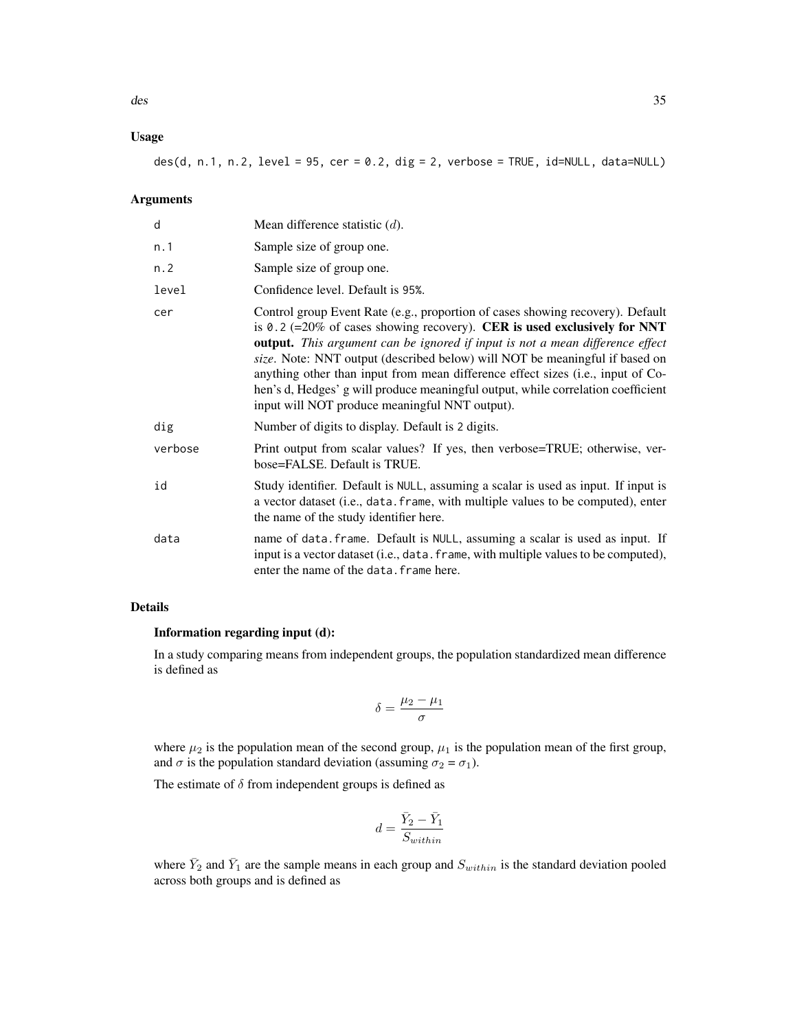# Usage

 $des(d, n.1, n.2, level = 95, cer = 0.2, dig = 2, verbose = TRUE, id=NULL, data=NULL)$ 

# Arguments

| d       | Mean difference statistic $(d)$ .                                                                                                                                                                                                                                                                                                                                                                                                                                                                                                                          |
|---------|------------------------------------------------------------------------------------------------------------------------------------------------------------------------------------------------------------------------------------------------------------------------------------------------------------------------------------------------------------------------------------------------------------------------------------------------------------------------------------------------------------------------------------------------------------|
| n.1     | Sample size of group one.                                                                                                                                                                                                                                                                                                                                                                                                                                                                                                                                  |
| n.2     | Sample size of group one.                                                                                                                                                                                                                                                                                                                                                                                                                                                                                                                                  |
| level   | Confidence level. Default is 95%.                                                                                                                                                                                                                                                                                                                                                                                                                                                                                                                          |
| cer     | Control group Event Rate (e.g., proportion of cases showing recovery). Default<br>is 0.2 (=20% of cases showing recovery). CER is used exclusively for NNT<br><b>output.</b> This argument can be ignored if input is not a mean difference effect<br>size. Note: NNT output (described below) will NOT be meaningful if based on<br>anything other than input from mean difference effect sizes (i.e., input of Co-<br>hen's d, Hedges' g will produce meaningful output, while correlation coefficient<br>input will NOT produce meaningful NNT output). |
| dig     | Number of digits to display. Default is 2 digits.                                                                                                                                                                                                                                                                                                                                                                                                                                                                                                          |
| verbose | Print output from scalar values? If yes, then verbose=TRUE; otherwise, ver-<br>bose=FALSE. Default is TRUE.                                                                                                                                                                                                                                                                                                                                                                                                                                                |
| id      | Study identifier. Default is NULL, assuming a scalar is used as input. If input is<br>a vector dataset (i.e., data. frame, with multiple values to be computed), enter<br>the name of the study identifier here.                                                                                                                                                                                                                                                                                                                                           |
| data    | name of data. frame. Default is NULL, assuming a scalar is used as input. If<br>input is a vector dataset (i.e., data. frame, with multiple values to be computed),<br>enter the name of the data. frame here.                                                                                                                                                                                                                                                                                                                                             |

# Details

# Information regarding input (d):

In a study comparing means from independent groups, the population standardized mean difference is defined as

$$
\delta = \frac{\mu_2 - \mu_1}{\sigma}
$$

where  $\mu_2$  is the population mean of the second group,  $\mu_1$  is the population mean of the first group, and  $\sigma$  is the population standard deviation (assuming  $\sigma_2 = \sigma_1$ ).

The estimate of  $\delta$  from independent groups is defined as

$$
d=\frac{\bar{Y}_2-\bar{Y}_1}{S_{within}}
$$

where  $\bar{Y}_2$  and  $\bar{Y}_1$  are the sample means in each group and  $S_{within}$  is the standard deviation pooled across both groups and is defined as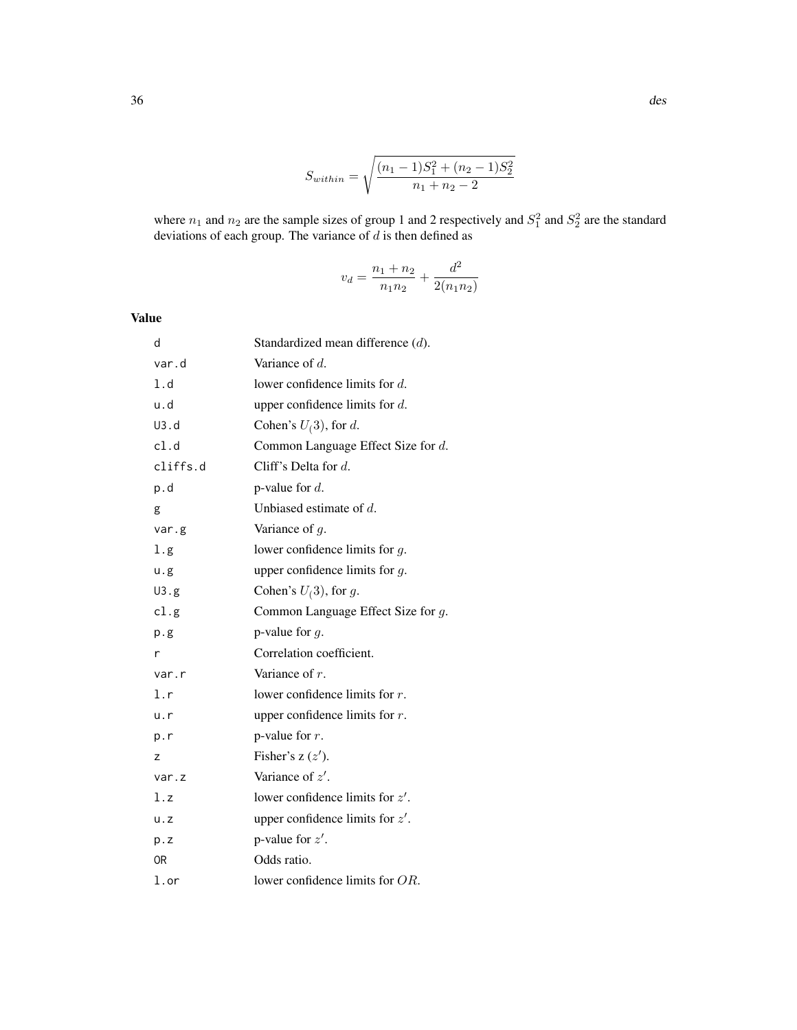$$
S_{within} = \sqrt{\frac{(n_1 - 1)S_1^2 + (n_2 - 1)S_2^2}{n_1 + n_2 - 2}}
$$

where  $n_1$  and  $n_2$  are the sample sizes of group 1 and 2 respectively and  $S_1^2$  and  $S_2^2$  are the standard deviations of each group. The variance of  $d$  is then defined as

$$
v_d = \frac{n_1 + n_2}{n_1 n_2} + \frac{d^2}{2(n_1 n_2)}
$$

Value

| d        | Standardized mean difference $(d)$ . |
|----------|--------------------------------------|
| var.d    | Variance of $d$ .                    |
| 1.d      | lower confidence limits for $d$ .    |
| u.d      | upper confidence limits for $d$ .    |
| U3.d     | Cohen's $U(3)$ , for d.              |
| cl.d     | Common Language Effect Size for d.   |
| cliffs.d | Cliff's Delta for d.                 |
| p.d      | p-value for $d$ .                    |
| g        | Unbiased estimate of $d$ .           |
| var.g    | Variance of $g$ .                    |
| 1.g      | lower confidence limits for $g$ .    |
| u.g      | upper confidence limits for $g$ .    |
| U3.g     | Cohen's $U(3)$ , for g.              |
| cl.g     | Common Language Effect Size for g.   |
| p.g      | p-value for $g$ .                    |
| r        | Correlation coefficient.             |
| var.r    | Variance of $r$ .                    |
| l.r      | lower confidence limits for $r$ .    |
| u.r      | upper confidence limits for $r$ .    |
| p.r      | p-value for $r$ .                    |
| z        | Fisher's $z(z')$ .                   |
| var.z    | Variance of $z'$ .                   |
| 1.z      | lower confidence limits for $z'$ .   |
| u. z     | upper confidence limits for $z'$ .   |
| p.z      | p-value for $z'$ .                   |
| 0R       | Odds ratio.                          |
| l.or     | lower confidence limits for $OR$ .   |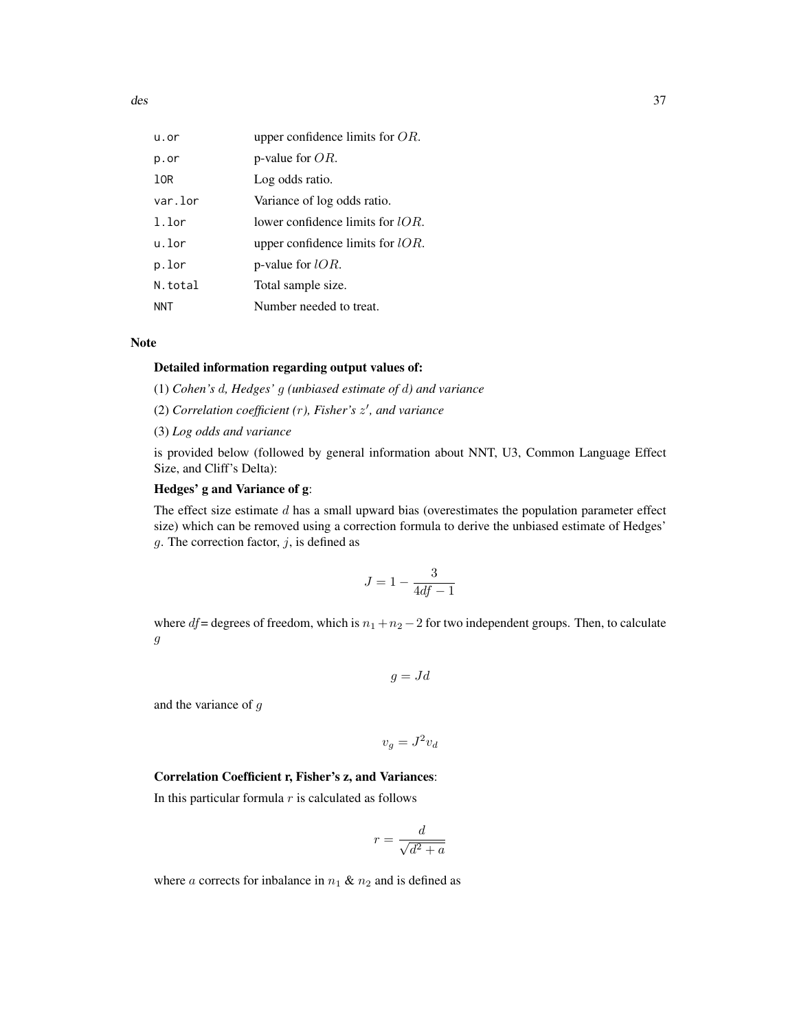| u.or     | upper confidence limits for $OR$ .  |
|----------|-------------------------------------|
| p.or     | p-value for $OR$ .                  |
| 10R      | Log odds ratio.                     |
| var.lor  | Variance of log odds ratio.         |
| $1.1$ or | lower confidence limits for $IOR$ . |
| u.lor    | upper confidence limits for $lOR$ . |
| p.lor    | p-value for $lOR$ .                 |
| N.total  | Total sample size.                  |
| NNT      | Number needed to treat.             |

### Note

#### Detailed information regarding output values of:

(1) *Cohen's* d*, Hedges'* g *(unbiased estimate of* d*) and variance*

(2) *Correlation coefficient (*r*), Fisher's* z 0 *, and variance*

(3) *Log odds and variance*

is provided below (followed by general information about NNT, U3, Common Language Effect Size, and Cliff's Delta):

#### Hedges' g and Variance of g:

The effect size estimate  $d$  has a small upward bias (overestimates the population parameter effect size) which can be removed using a correction formula to derive the unbiased estimate of Hedges' g. The correction factor,  $j$ , is defined as

$$
J = 1 - \frac{3}{4df - 1}
$$

where  $df$  = degrees of freedom, which is  $n_1 + n_2 - 2$  for two independent groups. Then, to calculate g

$$
g = Jd
$$

and the variance of g

$$
v_g = J^2 v_d
$$

#### Correlation Coefficient r, Fisher's z, and Variances:

In this particular formula  $r$  is calculated as follows

$$
r = \frac{d}{\sqrt{d^2 + a}}
$$

where a corrects for inbalance in  $n_1 \& n_2$  and is defined as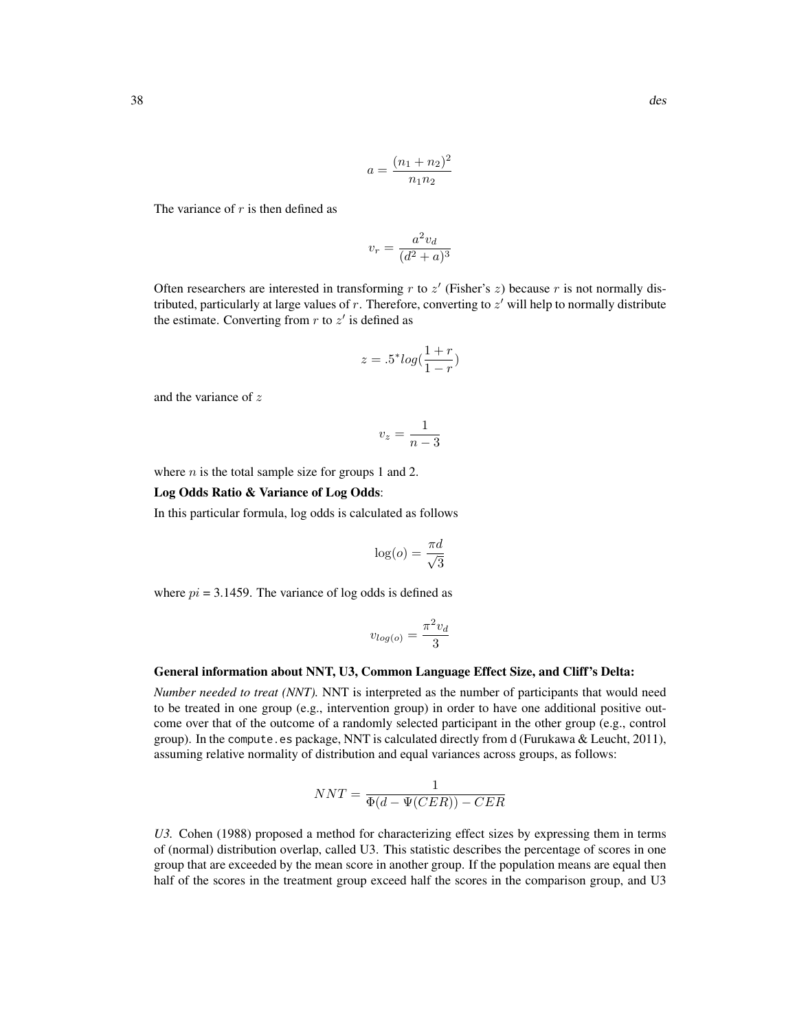$$
a = \frac{(n_1 + n_2)^2}{n_1 n_2}
$$

The variance of  $r$  is then defined as

$$
v_r = \frac{a^2 v_d}{(d^2 + a)^3}
$$

Often researchers are interested in transforming  $r$  to  $z'$  (Fisher's  $z$ ) because  $r$  is not normally distributed, particularly at large values of  $r$ . Therefore, converting to  $z'$  will help to normally distribute the estimate. Converting from  $r$  to  $z'$  is defined as

$$
z = .5^* log(\frac{1+r}{1-r})
$$

and the variance of z

$$
v_z = \frac{1}{n-3}
$$

where  $n$  is the total sample size for groups 1 and 2.

### Log Odds Ratio & Variance of Log Odds:

In this particular formula, log odds is calculated as follows

$$
\log(o) = \frac{\pi d}{\sqrt{3}}
$$

where  $pi = 3.1459$ . The variance of log odds is defined as

$$
v_{log(o)} = \frac{\pi^2 v_d}{3}
$$

#### General information about NNT, U3, Common Language Effect Size, and Cliff's Delta:

*Number needed to treat (NNT).* NNT is interpreted as the number of participants that would need to be treated in one group (e.g., intervention group) in order to have one additional positive outcome over that of the outcome of a randomly selected participant in the other group (e.g., control group). In the compute.es package, NNT is calculated directly from  $d$  (Furukawa & Leucht, 2011), assuming relative normality of distribution and equal variances across groups, as follows:

$$
NNT = \frac{1}{\Phi(d - \Psi(CER)) - CER}
$$

*U3.* Cohen (1988) proposed a method for characterizing effect sizes by expressing them in terms of (normal) distribution overlap, called U3. This statistic describes the percentage of scores in one group that are exceeded by the mean score in another group. If the population means are equal then half of the scores in the treatment group exceed half the scores in the comparison group, and U3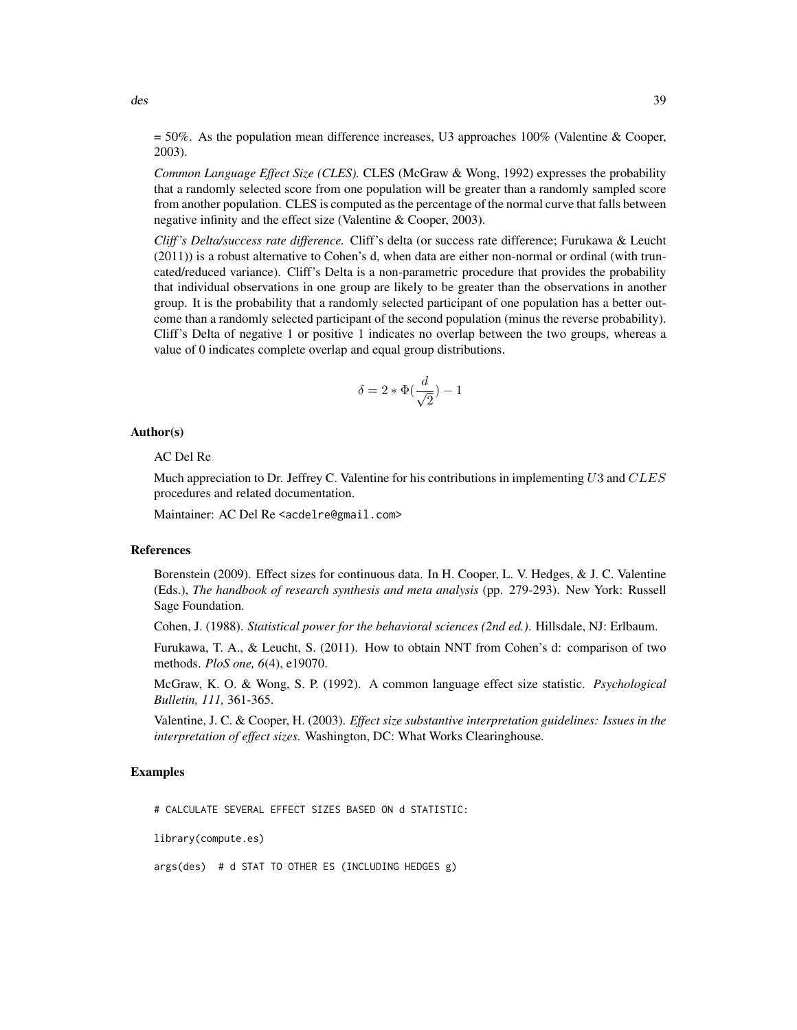*Common Language Effect Size (CLES).* CLES (McGraw & Wong, 1992) expresses the probability that a randomly selected score from one population will be greater than a randomly sampled score from another population. CLES is computed as the percentage of the normal curve that falls between negative infinity and the effect size (Valentine & Cooper, 2003).

*Cliff 's Delta/success rate difference.* Cliff's delta (or success rate difference; Furukawa & Leucht (2011)) is a robust alternative to Cohen's d, when data are either non-normal or ordinal (with truncated/reduced variance). Cliff's Delta is a non-parametric procedure that provides the probability that individual observations in one group are likely to be greater than the observations in another group. It is the probability that a randomly selected participant of one population has a better outcome than a randomly selected participant of the second population (minus the reverse probability). Cliff's Delta of negative 1 or positive 1 indicates no overlap between the two groups, whereas a value of 0 indicates complete overlap and equal group distributions.

$$
\delta = 2*\Phi(\frac{d}{\sqrt{2}}) - 1
$$

### Author(s)

### AC Del Re

Much appreciation to Dr. Jeffrey C. Valentine for his contributions in implementing  $U3$  and  $CLES$ procedures and related documentation.

Maintainer: AC Del Re <acdelre@gmail.com>

# References

Borenstein (2009). Effect sizes for continuous data. In H. Cooper, L. V. Hedges, & J. C. Valentine (Eds.), *The handbook of research synthesis and meta analysis* (pp. 279-293). New York: Russell Sage Foundation.

Cohen, J. (1988). *Statistical power for the behavioral sciences (2nd ed.)*. Hillsdale, NJ: Erlbaum.

Furukawa, T. A., & Leucht, S. (2011). How to obtain NNT from Cohen's d: comparison of two methods. *PloS one, 6*(4), e19070.

McGraw, K. O. & Wong, S. P. (1992). A common language effect size statistic. *Psychological Bulletin, 111,* 361-365.

Valentine, J. C. & Cooper, H. (2003). *Effect size substantive interpretation guidelines: Issues in the interpretation of effect sizes.* Washington, DC: What Works Clearinghouse.

### Examples

# CALCULATE SEVERAL EFFECT SIZES BASED ON d STATISTIC:

library(compute.es)

args(des) # d STAT TO OTHER ES (INCLUDING HEDGES g)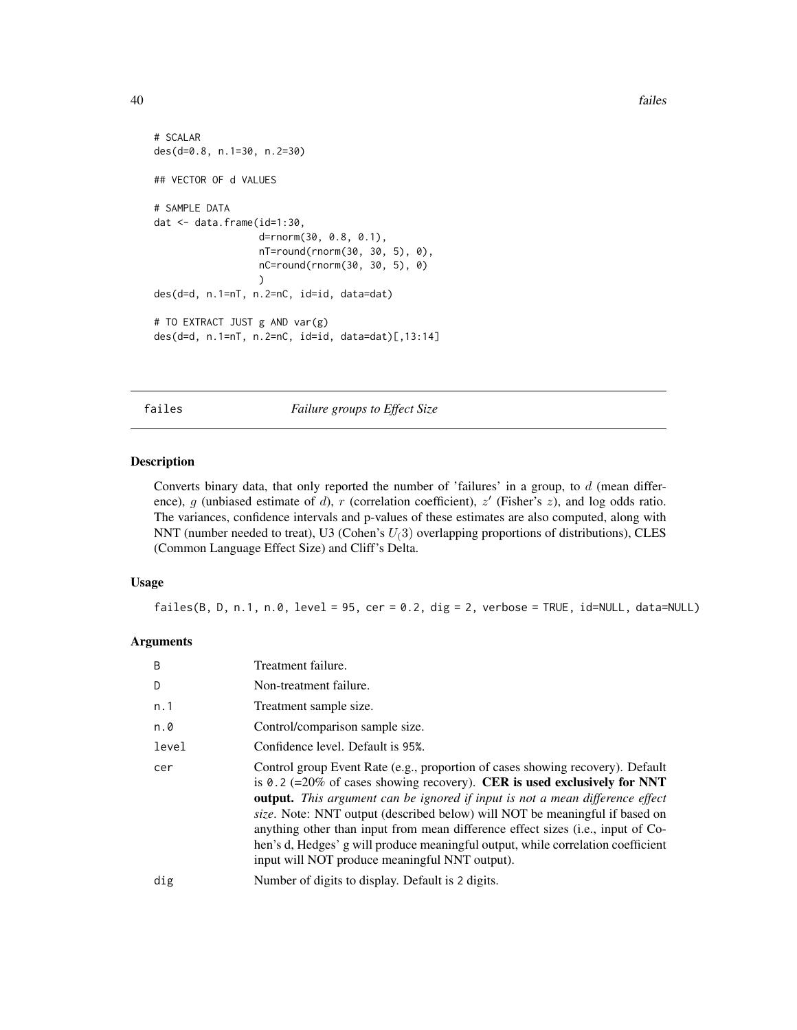```
# SCALAR
des(d=0.8, n.1=30, n.2=30)
## VECTOR OF d VALUES
# SAMPLE DATA
dat <- data.frame(id=1:30,
                  d=rnorm(30, 0.8, 0.1),
                  nT=round(rnorm(30, 30, 5), 0),
                  nC=round(rnorm(30, 30, 5), 0)
                  )
des(d=d, n.1=nT, n.2=nC, id=id, data=dat)
# TO EXTRACT JUST g AND var(g)
des(d=d, n.1=nT, n.2=nC, id=id, data=dat)[,13:14]
```
<span id="page-39-0"></span>failes *Failure groups to Effect Size*

### Description

Converts binary data, that only reported the number of 'failures' in a group, to  $d$  (mean difference), g (unbiased estimate of d), r (correlation coefficient),  $z'$  (Fisher's  $z$ ), and log odds ratio. The variances, confidence intervals and p-values of these estimates are also computed, along with NNT (number needed to treat), U3 (Cohen's  $U(3)$  overlapping proportions of distributions), CLES (Common Language Effect Size) and Cliff's Delta.

### Usage

failes(B, D, n.1, n.0, level =  $95$ , cer =  $0.2$ , dig =  $2$ , verbose = TRUE, id=NULL, data=NULL)

#### Arguments

| B     | Treatment failure.                                                                                                                                                                                                                                                                                                                                                                                                                                                                                                                                                |
|-------|-------------------------------------------------------------------------------------------------------------------------------------------------------------------------------------------------------------------------------------------------------------------------------------------------------------------------------------------------------------------------------------------------------------------------------------------------------------------------------------------------------------------------------------------------------------------|
| D     | Non-treatment failure.                                                                                                                                                                                                                                                                                                                                                                                                                                                                                                                                            |
| n. 1  | Treatment sample size.                                                                                                                                                                                                                                                                                                                                                                                                                                                                                                                                            |
| n.0   | Control/comparison sample size.                                                                                                                                                                                                                                                                                                                                                                                                                                                                                                                                   |
| level | Confidence level. Default is 95%.                                                                                                                                                                                                                                                                                                                                                                                                                                                                                                                                 |
| cer   | Control group Event Rate (e.g., proportion of cases showing recovery). Default<br>is 0.2 (=20% of cases showing recovery). CER is used exclusively for NNT<br><b>output.</b> This argument can be ignored if input is not a mean difference effect<br><i>size.</i> Note: NNT output (described below) will NOT be meaningful if based on<br>anything other than input from mean difference effect sizes (i.e., input of Co-<br>hen's d, Hedges' g will produce meaningful output, while correlation coefficient<br>input will NOT produce meaningful NNT output). |
| dig   | Number of digits to display. Default is 2 digits.                                                                                                                                                                                                                                                                                                                                                                                                                                                                                                                 |
|       |                                                                                                                                                                                                                                                                                                                                                                                                                                                                                                                                                                   |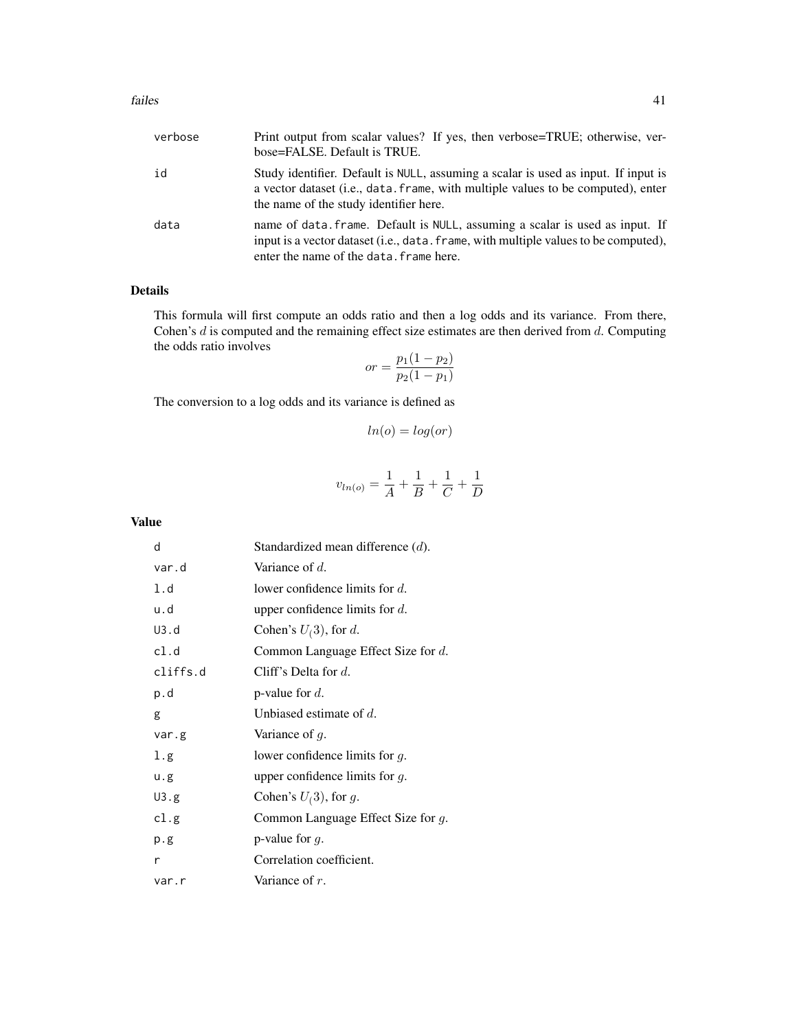| verbose | Print output from scalar values? If yes, then verbose=TRUE; otherwise, ver-<br>bose=FALSE. Default is TRUE.                                                                                                               |
|---------|---------------------------------------------------------------------------------------------------------------------------------------------------------------------------------------------------------------------------|
| id      | Study identifier. Default is NULL, assuming a scalar is used as input. If input is<br>a vector dataset ( <i>i.e.</i> , data, frame, with multiple values to be computed), enter<br>the name of the study identifier here. |
| data    | name of data. frame. Default is NULL, assuming a scalar is used as input. If<br>input is a vector dataset (i.e., data, frame, with multiple values to be computed),<br>enter the name of the data. frame here.            |

### Details

This formula will first compute an odds ratio and then a log odds and its variance. From there, Cohen's  $d$  is computed and the remaining effect size estimates are then derived from  $d$ . Computing the odds ratio involves

$$
or = \frac{p_1(1 - p_2)}{p_2(1 - p_1)}
$$

The conversion to a log odds and its variance is defined as

$$
ln(o) = log(or)
$$

$$
v_{ln(o)} = \frac{1}{A} + \frac{1}{B} + \frac{1}{C} + \frac{1}{D}
$$

Value

| d        | Standardized mean difference $(d)$ . |
|----------|--------------------------------------|
| var.d    | Variance of $d$ .                    |
| 1.d      | lower confidence limits for $d$ .    |
| u.d      | upper confidence limits for $d$ .    |
| U3.d     | Cohen's $U(3)$ , for d.              |
| cl.d     | Common Language Effect Size for d.   |
| cliffs.d | Cliff's Delta for $d$ .              |
| p.d      | p-value for $d$ .                    |
| g        | Unbiased estimate of $d$ .           |
| var.g    | Variance of $g$ .                    |
| 1.g      | lower confidence limits for $q$ .    |
| u.g      | upper confidence limits for $g$ .    |
| U3.g     | Cohen's $U(3)$ , for g.              |
| cl.g     | Common Language Effect Size for g.   |
| p.g      | p-value for $q$ .                    |
| r        | Correlation coefficient.             |
| var.r    | Variance of $r$ .                    |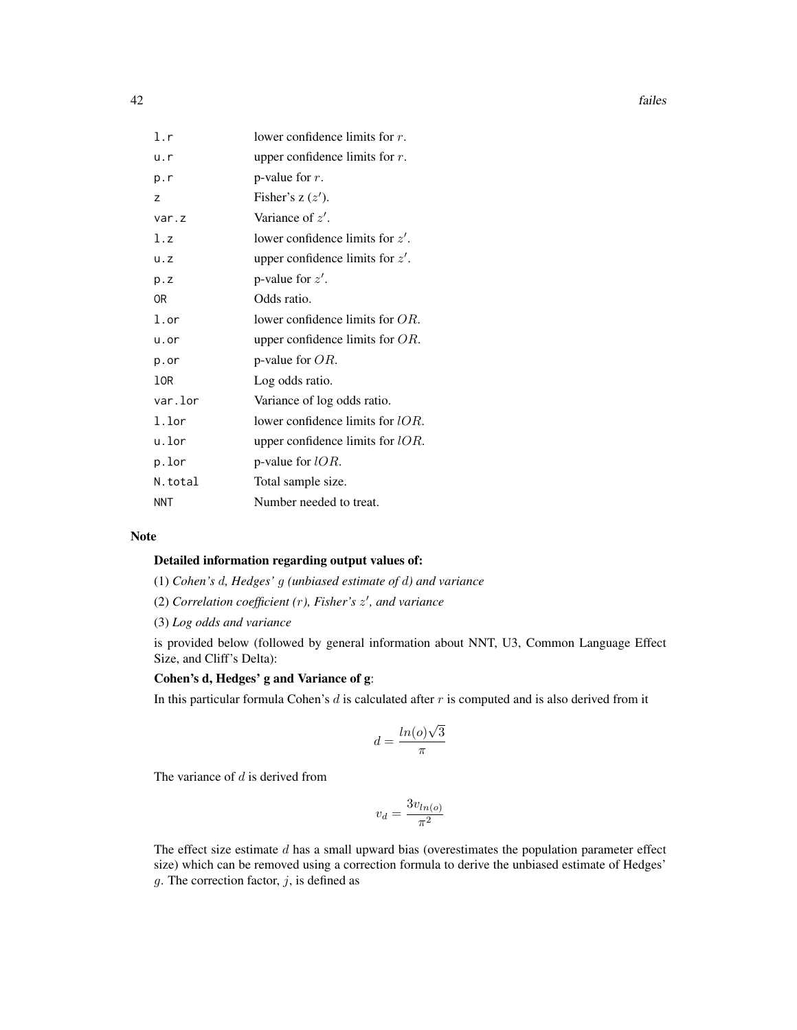| 1.r        | lower confidence limits for $r$ .   |
|------------|-------------------------------------|
| u.r        | upper confidence limits for $r$ .   |
| p.r        | p-value for $r$ .                   |
| Z          | Fisher's $z(z')$ .                  |
| var.z      | Variance of $z'$ .                  |
| l.z        | lower confidence limits for $z'$ .  |
| u.z        | upper confidence limits for $z'$ .  |
| p.Z        | p-value for $z'$ .                  |
| 0R         | Odds ratio.                         |
| l.or       | lower confidence limits for $OR$ .  |
| u.or       | upper confidence limits for $OR$ .  |
| p.or       | p-value for $OR$ .                  |
| 10R        | Log odds ratio.                     |
| var.lor    | Variance of log odds ratio.         |
| l.lor      | lower confidence limits for $lOR$ . |
| u.lor      | upper confidence limits for $IOR$ . |
| p.lor      | p-value for $lOR$ .                 |
| N.total    | Total sample size.                  |
| <b>NNT</b> | Number needed to treat.             |

### Note

## Detailed information regarding output values of:

(1) *Cohen's* d*, Hedges'* g *(unbiased estimate of* d*) and variance*

(2) *Correlation coefficient (*r*), Fisher's* z 0 *, and variance*

(3) *Log odds and variance*

is provided below (followed by general information about NNT, U3, Common Language Effect Size, and Cliff's Delta):

# Cohen's d, Hedges' g and Variance of g:

In this particular formula Cohen's  $d$  is calculated after  $r$  is computed and is also derived from it

$$
d = \frac{\ln(o)\sqrt{3}}{\pi}
$$

The variance of  $d$  is derived from

$$
v_d = \frac{3v_{ln(o)}}{\pi^2}
$$

The effect size estimate  $d$  has a small upward bias (overestimates the population parameter effect size) which can be removed using a correction formula to derive the unbiased estimate of Hedges' g. The correction factor,  $j$ , is defined as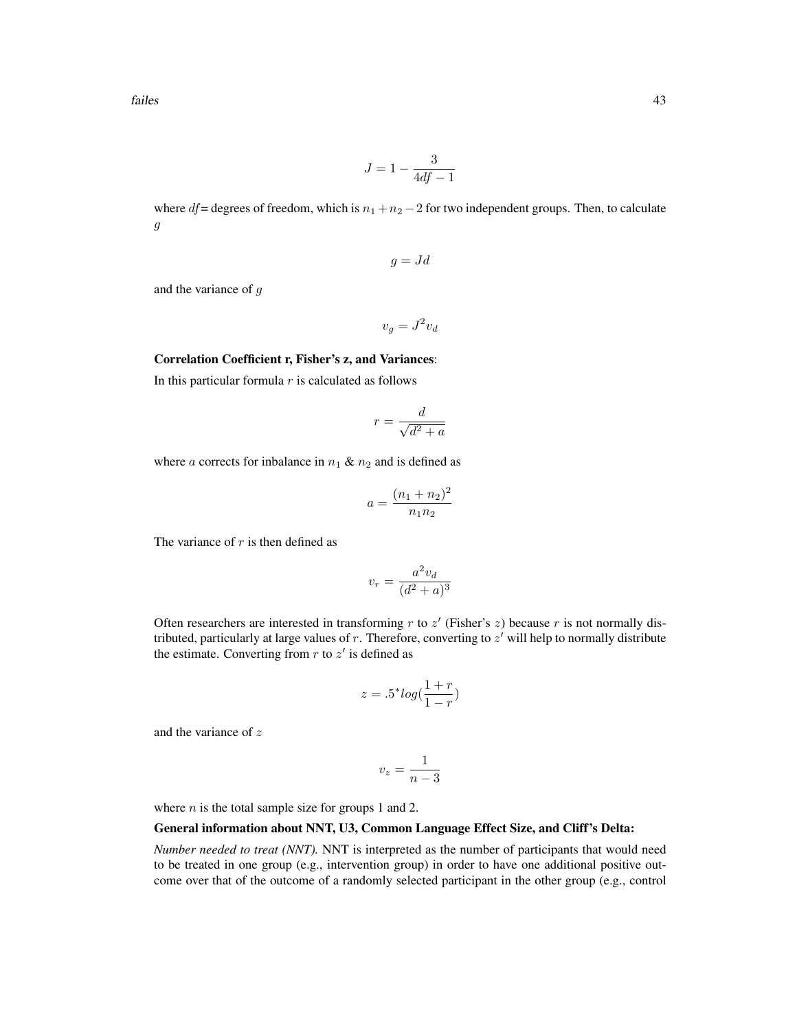$$
J = 1 - \frac{3}{4df - 1}
$$

where  $df =$  degrees of freedom, which is  $n_1 + n_2 - 2$  for two independent groups. Then, to calculate g

$$
g = Jd
$$

and the variance of g

 $v_g = J^2 v_d$ 

#### Correlation Coefficient r, Fisher's z, and Variances:

In this particular formula  $r$  is calculated as follows

$$
r = \frac{d}{\sqrt{d^2 + a}}
$$

where a corrects for inbalance in  $n_1 \& n_2$  and is defined as

$$
a = \frac{(n_1 + n_2)^2}{n_1 n_2}
$$

The variance of  $r$  is then defined as

$$
v_r = \frac{a^2 v_d}{(d^2 + a)^3}
$$

Often researchers are interested in transforming  $r$  to  $z'$  (Fisher's  $z$ ) because  $r$  is not normally distributed, particularly at large values of  $r$ . Therefore, converting to  $z'$  will help to normally distribute the estimate. Converting from  $r$  to  $z'$  is defined as

$$
z = .5^* \log(\frac{1+r}{1-r})
$$

and the variance of z

$$
v_z = \frac{1}{n-3}
$$

where  $n$  is the total sample size for groups 1 and 2.

# General information about NNT, U3, Common Language Effect Size, and Cliff's Delta:

*Number needed to treat (NNT).* NNT is interpreted as the number of participants that would need to be treated in one group (e.g., intervention group) in order to have one additional positive outcome over that of the outcome of a randomly selected participant in the other group (e.g., control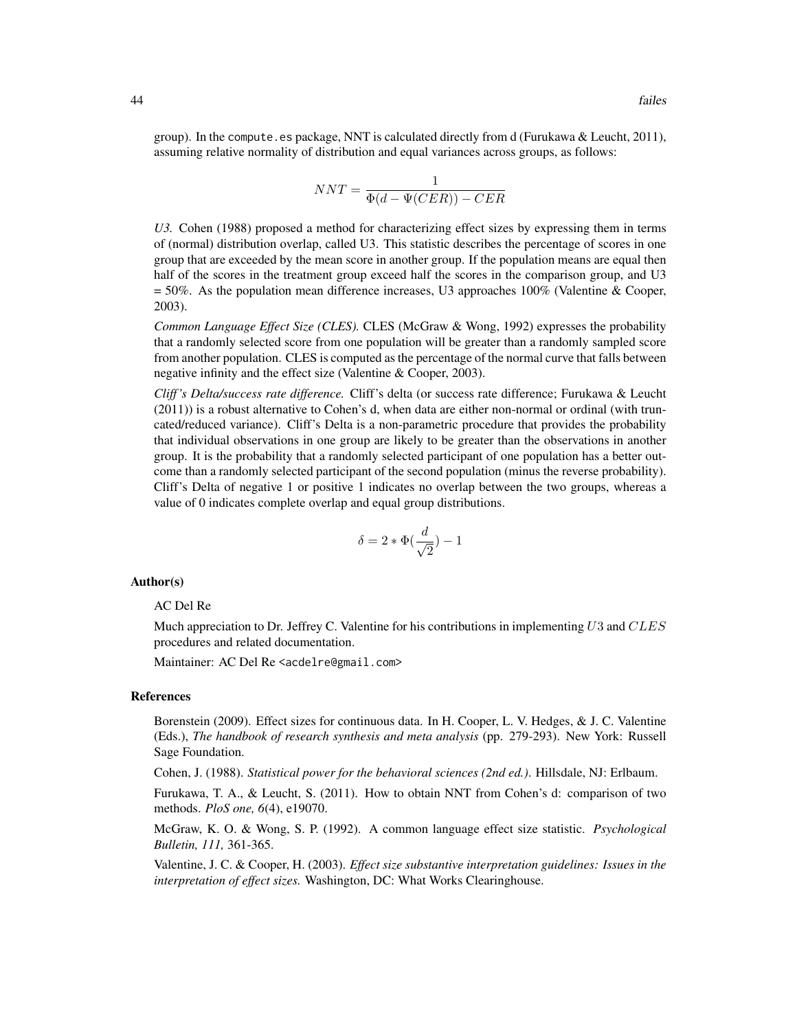group). In the compute.es package, NNT is calculated directly from d (Furukawa & Leucht, 2011), assuming relative normality of distribution and equal variances across groups, as follows:

$$
NNT = \frac{1}{\Phi(d - \Psi(CER)) - CER}
$$

*U3.* Cohen (1988) proposed a method for characterizing effect sizes by expressing them in terms of (normal) distribution overlap, called U3. This statistic describes the percentage of scores in one group that are exceeded by the mean score in another group. If the population means are equal then half of the scores in the treatment group exceed half the scores in the comparison group, and U3  $= 50\%$ . As the population mean difference increases, U3 approaches 100% (Valentine & Cooper, 2003).

*Common Language Effect Size (CLES).* CLES (McGraw & Wong, 1992) expresses the probability that a randomly selected score from one population will be greater than a randomly sampled score from another population. CLES is computed as the percentage of the normal curve that falls between negative infinity and the effect size (Valentine & Cooper, 2003).

*Cliff 's Delta/success rate difference.* Cliff's delta (or success rate difference; Furukawa & Leucht (2011)) is a robust alternative to Cohen's d, when data are either non-normal or ordinal (with truncated/reduced variance). Cliff's Delta is a non-parametric procedure that provides the probability that individual observations in one group are likely to be greater than the observations in another group. It is the probability that a randomly selected participant of one population has a better outcome than a randomly selected participant of the second population (minus the reverse probability). Cliff's Delta of negative 1 or positive 1 indicates no overlap between the two groups, whereas a value of 0 indicates complete overlap and equal group distributions.

$$
\delta=2*\Phi(\frac{d}{\sqrt{2}})-1
$$

#### Author(s)

#### AC Del Re

Much appreciation to Dr. Jeffrey C. Valentine for his contributions in implementing U3 and  $CLES$ procedures and related documentation.

Maintainer: AC Del Re <acdelre@gmail.com>

#### References

Borenstein (2009). Effect sizes for continuous data. In H. Cooper, L. V. Hedges, & J. C. Valentine (Eds.), *The handbook of research synthesis and meta analysis* (pp. 279-293). New York: Russell Sage Foundation.

Cohen, J. (1988). *Statistical power for the behavioral sciences (2nd ed.)*. Hillsdale, NJ: Erlbaum.

Furukawa, T. A., & Leucht, S. (2011). How to obtain NNT from Cohen's d: comparison of two methods. *PloS one, 6*(4), e19070.

McGraw, K. O. & Wong, S. P. (1992). A common language effect size statistic. *Psychological Bulletin, 111,* 361-365.

Valentine, J. C. & Cooper, H. (2003). *Effect size substantive interpretation guidelines: Issues in the interpretation of effect sizes.* Washington, DC: What Works Clearinghouse.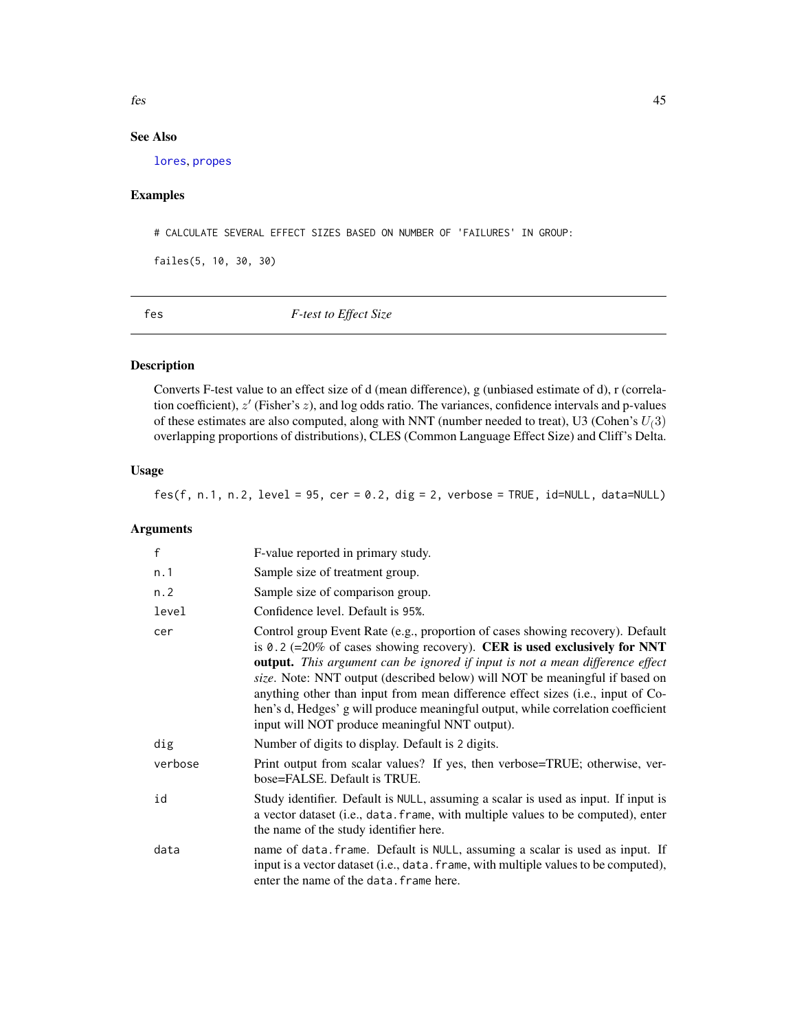fes 45

# See Also

[lores](#page-49-0), [propes](#page-69-0)

# Examples

# CALCULATE SEVERAL EFFECT SIZES BASED ON NUMBER OF 'FAILURES' IN GROUP:

failes(5, 10, 30, 30)

fes *F-test to Effect Size*

# Description

Converts F-test value to an effect size of d (mean difference), g (unbiased estimate of d), r (correlation coefficient),  $z'$  (Fisher's  $z$ ), and log odds ratio. The variances, confidence intervals and p-values of these estimates are also computed, along with NNT (number needed to treat), U3 (Cohen's  $U(3)$ overlapping proportions of distributions), CLES (Common Language Effect Size) and Cliff's Delta.

# Usage

fes(f, n.1, n.2, level =  $95$ , cer =  $0.2$ , dig = 2, verbose = TRUE, id=NULL, data=NULL)

# Arguments

| $\mathsf f$ | F-value reported in primary study.                                                                                                                                                                                                                                                                                                                                                                                                                                                                                                                         |
|-------------|------------------------------------------------------------------------------------------------------------------------------------------------------------------------------------------------------------------------------------------------------------------------------------------------------------------------------------------------------------------------------------------------------------------------------------------------------------------------------------------------------------------------------------------------------------|
| n.1         | Sample size of treatment group.                                                                                                                                                                                                                                                                                                                                                                                                                                                                                                                            |
| n.2         | Sample size of comparison group.                                                                                                                                                                                                                                                                                                                                                                                                                                                                                                                           |
| level       | Confidence level. Default is 95%.                                                                                                                                                                                                                                                                                                                                                                                                                                                                                                                          |
| cer         | Control group Event Rate (e.g., proportion of cases showing recovery). Default<br>is 0.2 (=20% of cases showing recovery). CER is used exclusively for NNT<br><b>output.</b> This argument can be ignored if input is not a mean difference effect<br>size. Note: NNT output (described below) will NOT be meaningful if based on<br>anything other than input from mean difference effect sizes (i.e., input of Co-<br>hen's d, Hedges' g will produce meaningful output, while correlation coefficient<br>input will NOT produce meaningful NNT output). |
| dig         | Number of digits to display. Default is 2 digits.                                                                                                                                                                                                                                                                                                                                                                                                                                                                                                          |
| verbose     | Print output from scalar values? If yes, then verbose=TRUE; otherwise, ver-<br>bose=FALSE. Default is TRUE.                                                                                                                                                                                                                                                                                                                                                                                                                                                |
| id          | Study identifier. Default is NULL, assuming a scalar is used as input. If input is<br>a vector dataset (i.e., data. frame, with multiple values to be computed), enter<br>the name of the study identifier here.                                                                                                                                                                                                                                                                                                                                           |
| data        | name of data. frame. Default is NULL, assuming a scalar is used as input. If<br>input is a vector dataset (i.e., data. frame, with multiple values to be computed),<br>enter the name of the data. frame here.                                                                                                                                                                                                                                                                                                                                             |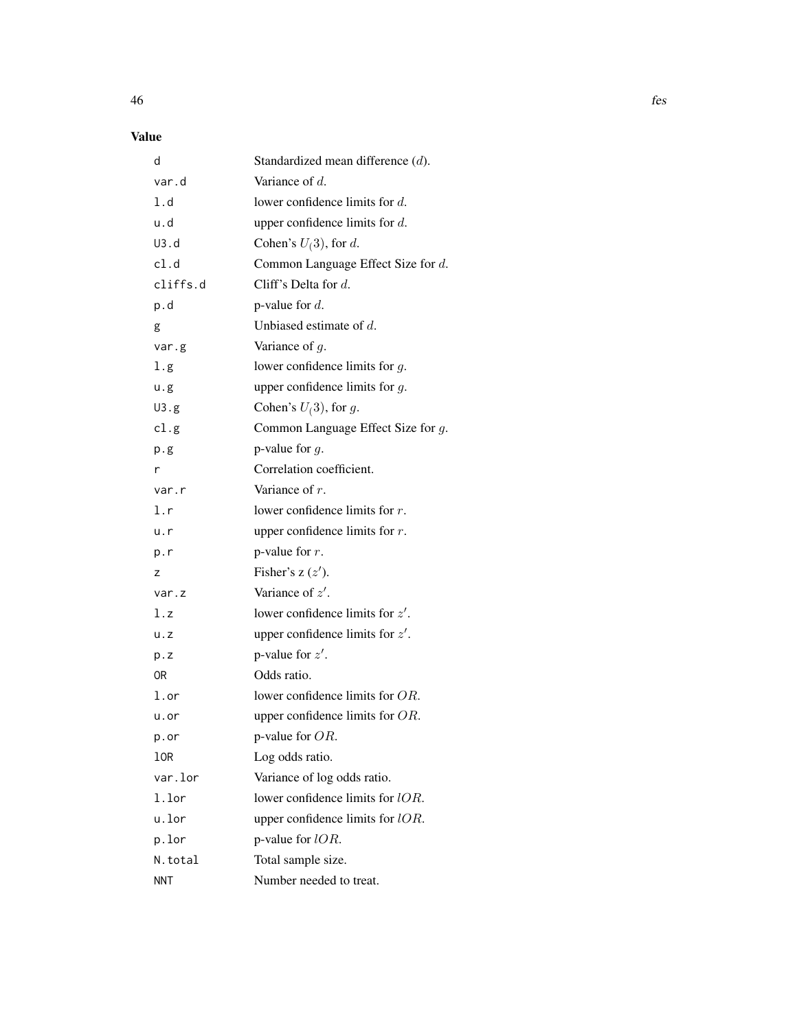# Value

| d          | Standardized mean difference $(d)$ . |
|------------|--------------------------------------|
| var.d      | Variance of $d$ .                    |
| 1.d        | lower confidence limits for $d$ .    |
| u.d        | upper confidence limits for $d$ .    |
| U3.d       | Cohen's $U(3)$ , for d.              |
| cl.d       | Common Language Effect Size for d.   |
| cliffs.d   | Cliff's Delta for $d$ .              |
| p.d        | p-value for $d$ .                    |
| g          | Unbiased estimate of $d$ .           |
| var.g      | Variance of $g$ .                    |
| l.g        | lower confidence limits for $g$ .    |
| u.g        | upper confidence limits for $g$ .    |
| U3.g       | Cohen's $U(3)$ , for g.              |
| cl.g       | Common Language Effect Size for g.   |
| p.g        | p-value for $g$ .                    |
| r          | Correlation coefficient.             |
| var.r      | Variance of $r$ .                    |
| l.r        | lower confidence limits for $r$ .    |
| u.r        | upper confidence limits for $r$ .    |
| p.r        | p-value for $r$ .                    |
| z          | Fisher's $z(z')$ .                   |
| var.z      | Variance of $z'$ .                   |
| l.z        | lower confidence limits for $z'$ .   |
| u. z       | upper confidence limits for $z'$ .   |
| p.z        | p-value for $z'$ .                   |
| 0R         | Odds ratio.                          |
| l.or       | lower confidence limits for OR.      |
| u.or       | upper confidence limits for $OR$ .   |
| p.or       | p-value for OR.                      |
| lOR        | Log odds ratio.                      |
| var.lor    | Variance of log odds ratio.          |
| 1.lor      | lower confidence limits for lOR.     |
| u.lor      | upper confidence limits for lOR.     |
| p.lor      | p-value for $lOR$ .                  |
| N.total    | Total sample size.                   |
| <b>NNT</b> | Number needed to treat.              |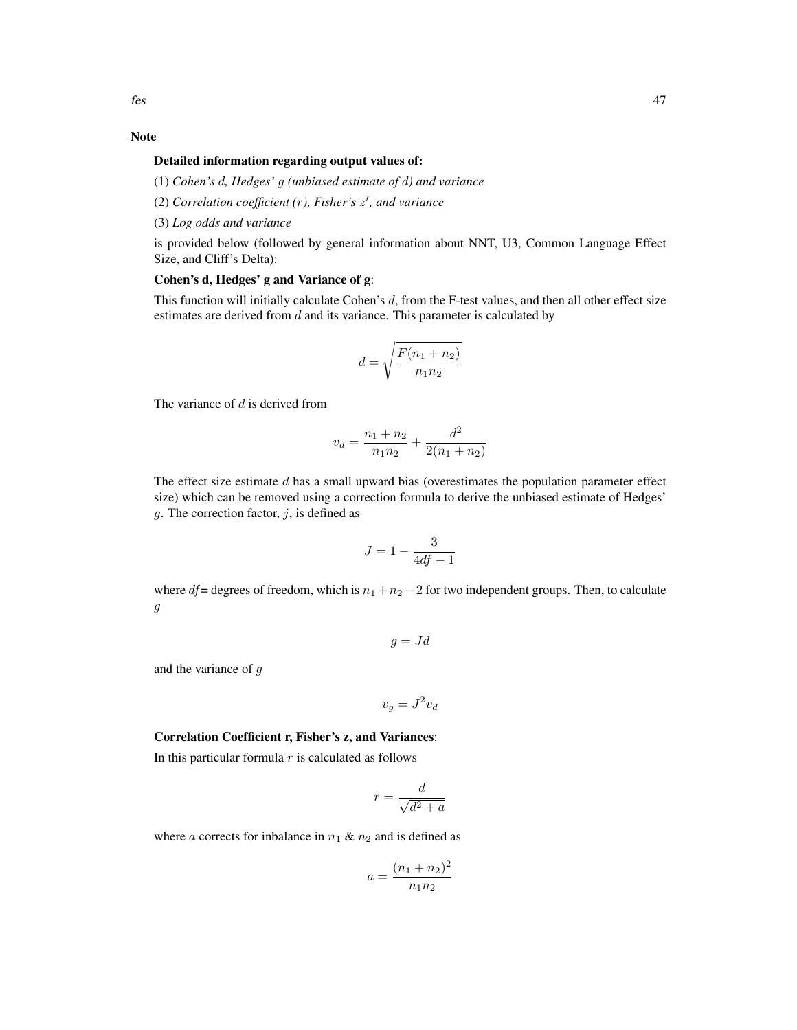# Note

### Detailed information regarding output values of:

(1) *Cohen's* d*, Hedges'* g *(unbiased estimate of* d*) and variance*

- (2) *Correlation coefficient (*r*), Fisher's* z 0 *, and variance*
- (3) *Log odds and variance*

is provided below (followed by general information about NNT, U3, Common Language Effect Size, and Cliff's Delta):

# Cohen's d, Hedges' g and Variance of g:

This function will initially calculate Cohen's  $d$ , from the F-test values, and then all other effect size estimates are derived from  $d$  and its variance. This parameter is calculated by

$$
d = \sqrt{\frac{F(n_1 + n_2)}{n_1 n_2}}
$$

The variance of  $d$  is derived from

$$
v_d = \frac{n_1 + n_2}{n_1 n_2} + \frac{d^2}{2(n_1 + n_2)}
$$

The effect size estimate  $d$  has a small upward bias (overestimates the population parameter effect size) which can be removed using a correction formula to derive the unbiased estimate of Hedges'  $g$ . The correction factor,  $j$ , is defined as

$$
J = 1 - \frac{3}{4df - 1}
$$

where  $df$  = degrees of freedom, which is  $n_1 + n_2 - 2$  for two independent groups. Then, to calculate g

$$
g = Jd
$$

and the variance of g

$$
v_g = J^2 v_d
$$

## Correlation Coefficient r, Fisher's z, and Variances:

In this particular formula  $r$  is calculated as follows

$$
r = \frac{d}{\sqrt{d^2 + a}}
$$

where a corrects for inbalance in  $n_1 \& n_2$  and is defined as

$$
a = \frac{(n_1 + n_2)^2}{n_1 n_2}
$$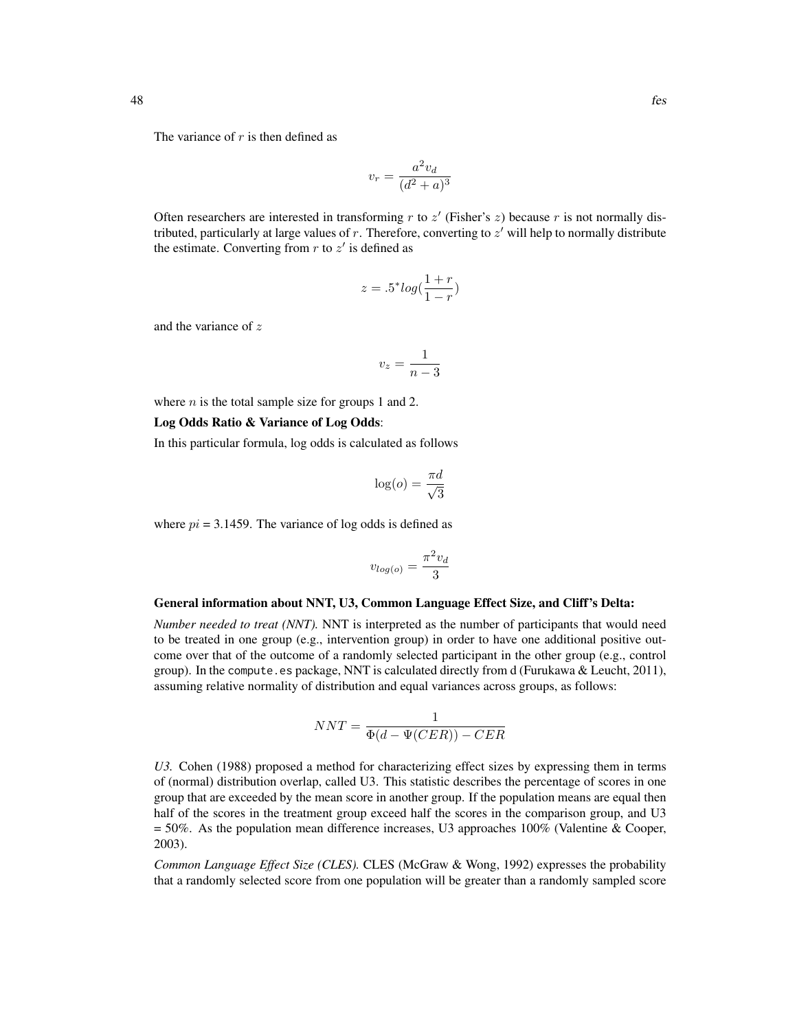The variance of  $r$  is then defined as

$$
v_r = \frac{a^2 v_d}{(d^2 + a)^3}
$$

Often researchers are interested in transforming  $r$  to  $z'$  (Fisher's  $z$ ) because  $r$  is not normally distributed, particularly at large values of  $r$ . Therefore, converting to  $z'$  will help to normally distribute the estimate. Converting from  $r$  to  $z'$  is defined as

$$
z = .5^* log(\frac{1+r}{1-r})
$$

and the variance of z

$$
v_z = \frac{1}{n-3}
$$

where  $n$  is the total sample size for groups 1 and 2.

#### Log Odds Ratio & Variance of Log Odds:

In this particular formula, log odds is calculated as follows

$$
\log(o) = \frac{\pi d}{\sqrt{3}}
$$

where  $pi = 3.1459$ . The variance of log odds is defined as

$$
v_{log(o)} = \frac{\pi^2 v_d}{3}
$$

#### General information about NNT, U3, Common Language Effect Size, and Cliff's Delta:

*Number needed to treat (NNT).* NNT is interpreted as the number of participants that would need to be treated in one group (e.g., intervention group) in order to have one additional positive outcome over that of the outcome of a randomly selected participant in the other group (e.g., control group). In the compute.es package, NNT is calculated directly from d (Furukawa & Leucht, 2011), assuming relative normality of distribution and equal variances across groups, as follows:

$$
NNT = \frac{1}{\Phi(d - \Psi(CER)) - CER}
$$

*U3.* Cohen (1988) proposed a method for characterizing effect sizes by expressing them in terms of (normal) distribution overlap, called U3. This statistic describes the percentage of scores in one group that are exceeded by the mean score in another group. If the population means are equal then half of the scores in the treatment group exceed half the scores in the comparison group, and U3  $= 50\%$ . As the population mean difference increases, U3 approaches 100% (Valentine & Cooper, 2003).

*Common Language Effect Size (CLES).* CLES (McGraw & Wong, 1992) expresses the probability that a randomly selected score from one population will be greater than a randomly sampled score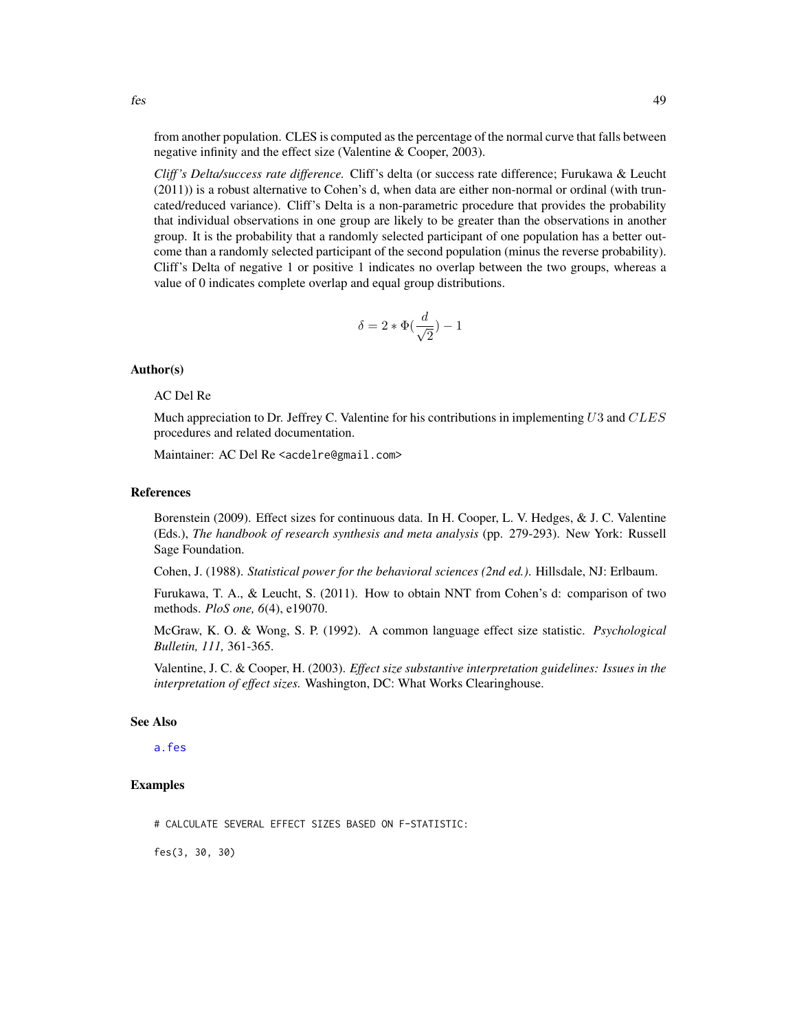from another population. CLES is computed as the percentage of the normal curve that falls between negative infinity and the effect size (Valentine & Cooper, 2003).

*Cliff 's Delta/success rate difference.* Cliff's delta (or success rate difference; Furukawa & Leucht (2011)) is a robust alternative to Cohen's d, when data are either non-normal or ordinal (with truncated/reduced variance). Cliff's Delta is a non-parametric procedure that provides the probability that individual observations in one group are likely to be greater than the observations in another group. It is the probability that a randomly selected participant of one population has a better outcome than a randomly selected participant of the second population (minus the reverse probability). Cliff's Delta of negative 1 or positive 1 indicates no overlap between the two groups, whereas a value of 0 indicates complete overlap and equal group distributions.

$$
\delta=2*\Phi(\frac{d}{\sqrt{2}})-1
$$

### Author(s)

# AC Del Re

Much appreciation to Dr. Jeffrey C. Valentine for his contributions in implementing  $U3$  and  $CLES$ procedures and related documentation.

Maintainer: AC Del Re <acdelre@gmail.com>

#### References

Borenstein (2009). Effect sizes for continuous data. In H. Cooper, L. V. Hedges, & J. C. Valentine (Eds.), *The handbook of research synthesis and meta analysis* (pp. 279-293). New York: Russell Sage Foundation.

Cohen, J. (1988). *Statistical power for the behavioral sciences (2nd ed.)*. Hillsdale, NJ: Erlbaum.

Furukawa, T. A., & Leucht, S. (2011). How to obtain NNT from Cohen's d: comparison of two methods. *PloS one, 6*(4), e19070.

McGraw, K. O. & Wong, S. P. (1992). A common language effect size statistic. *Psychological Bulletin, 111,* 361-365.

Valentine, J. C. & Cooper, H. (2003). *Effect size substantive interpretation guidelines: Issues in the interpretation of effect sizes.* Washington, DC: What Works Clearinghouse.

# See Also

#### [a.fes](#page-4-0)

### Examples

# CALCULATE SEVERAL EFFECT SIZES BASED ON F-STATISTIC:

fes(3, 30, 30)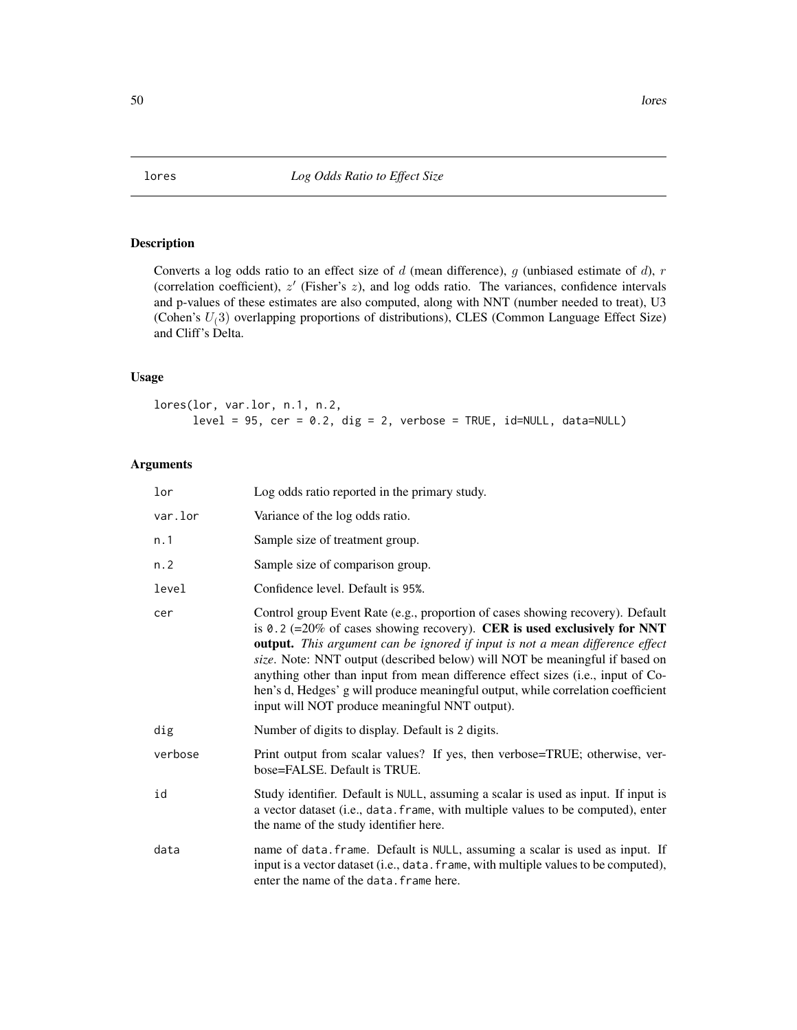<span id="page-49-0"></span>

# Description

Converts a log odds ratio to an effect size of  $d$  (mean difference),  $g$  (unbiased estimate of  $d$ ),  $r$ (correlation coefficient),  $z'$  (Fisher's  $z$ ), and log odds ratio. The variances, confidence intervals and p-values of these estimates are also computed, along with NNT (number needed to treat), U3 (Cohen's  $U(3)$  overlapping proportions of distributions), CLES (Common Language Effect Size) and Cliff's Delta.

### Usage

lores(lor, var.lor, n.1, n.2,  $level = 95$ ,  $cer = 0.2$ ,  $dig = 2$ ,  $verbose = TRUE$ ,  $id=NULL$ ,  $data=NULL$ 

# Arguments

| lor     | Log odds ratio reported in the primary study.                                                                                                                                                                                                                                                                                                                                                                                                                                                                                                       |
|---------|-----------------------------------------------------------------------------------------------------------------------------------------------------------------------------------------------------------------------------------------------------------------------------------------------------------------------------------------------------------------------------------------------------------------------------------------------------------------------------------------------------------------------------------------------------|
| var.lor | Variance of the log odds ratio.                                                                                                                                                                                                                                                                                                                                                                                                                                                                                                                     |
| n.1     | Sample size of treatment group.                                                                                                                                                                                                                                                                                                                                                                                                                                                                                                                     |
| n.2     | Sample size of comparison group.                                                                                                                                                                                                                                                                                                                                                                                                                                                                                                                    |
| level   | Confidence level. Default is 95%.                                                                                                                                                                                                                                                                                                                                                                                                                                                                                                                   |
| cer     | Control group Event Rate (e.g., proportion of cases showing recovery). Default<br>is 0.2 (=20% of cases showing recovery). CER is used exclusively for NNT<br>output. This argument can be ignored if input is not a mean difference effect<br>size. Note: NNT output (described below) will NOT be meaningful if based on<br>anything other than input from mean difference effect sizes (i.e., input of Co-<br>hen's d, Hedges' g will produce meaningful output, while correlation coefficient<br>input will NOT produce meaningful NNT output). |
| dig     | Number of digits to display. Default is 2 digits.                                                                                                                                                                                                                                                                                                                                                                                                                                                                                                   |
| verbose | Print output from scalar values? If yes, then verbose=TRUE; otherwise, ver-<br>bose=FALSE. Default is TRUE.                                                                                                                                                                                                                                                                                                                                                                                                                                         |
| id      | Study identifier. Default is NULL, assuming a scalar is used as input. If input is<br>a vector dataset (i.e., data. frame, with multiple values to be computed), enter<br>the name of the study identifier here.                                                                                                                                                                                                                                                                                                                                    |
| data    | name of data. frame. Default is NULL, assuming a scalar is used as input. If<br>input is a vector dataset (i.e., data. frame, with multiple values to be computed),<br>enter the name of the data. frame here.                                                                                                                                                                                                                                                                                                                                      |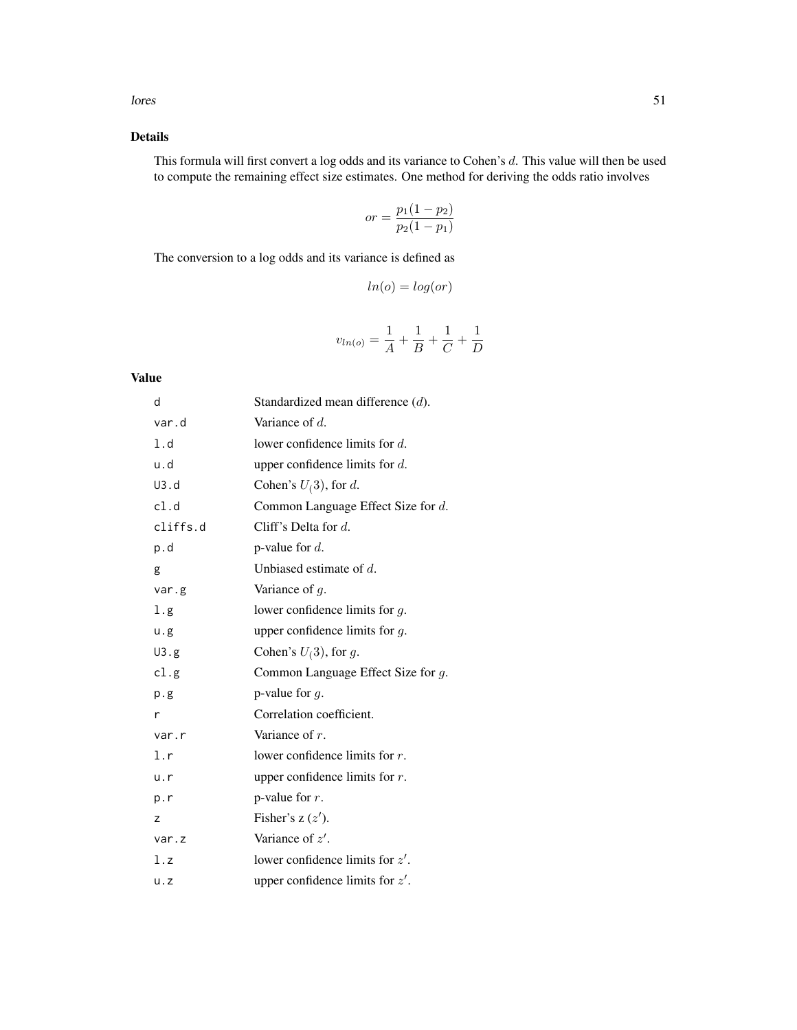# Details

This formula will first convert a log odds and its variance to Cohen's d. This value will then be used to compute the remaining effect size estimates. One method for deriving the odds ratio involves

$$
or = \frac{p_1(1 - p_2)}{p_2(1 - p_1)}
$$

The conversion to a log odds and its variance is defined as

$$
ln(o) = log(or)
$$

$$
v_{ln(o)} = \frac{1}{A} + \frac{1}{B} + \frac{1}{C} + \frac{1}{D}
$$

### Value

| d        | Standardized mean difference $(d)$ .  |
|----------|---------------------------------------|
| var.d    | Variance of $d$ .                     |
| 1.d      | lower confidence limits for $d$ .     |
| u.d      | upper confidence limits for $d$ .     |
| U3.d     | Cohen's $U(3)$ , for d.               |
| cl.d     | Common Language Effect Size for $d$ . |
| cliffs.d | Cliff's Delta for $d$ .               |
| p.d      | p-value for $d$ .                     |
| g        | Unbiased estimate of $d$ .            |
| var.g    | Variance of $g$ .                     |
| 1.g      | lower confidence limits for $g$ .     |
| u.g      | upper confidence limits for $q$ .     |
| U3.g     | Cohen's $U(3)$ , for g.               |
| cl.g     | Common Language Effect Size for $q$ . |
| p.g.     | p-value for $q$ .                     |
| r        | Correlation coefficient.              |
| var.r    | Variance of $r$ .                     |
| 1.r      | lower confidence limits for $r$ .     |
| u.r      | upper confidence limits for $r$ .     |
| p.r      | p-value for $r$ .                     |
| z        | Fisher's $z(z')$ .                    |
| var.z    | Variance of $z'$ .                    |
| l.z      | lower confidence limits for $z'$ .    |
| u.z      | upper confidence limits for $z'$ .    |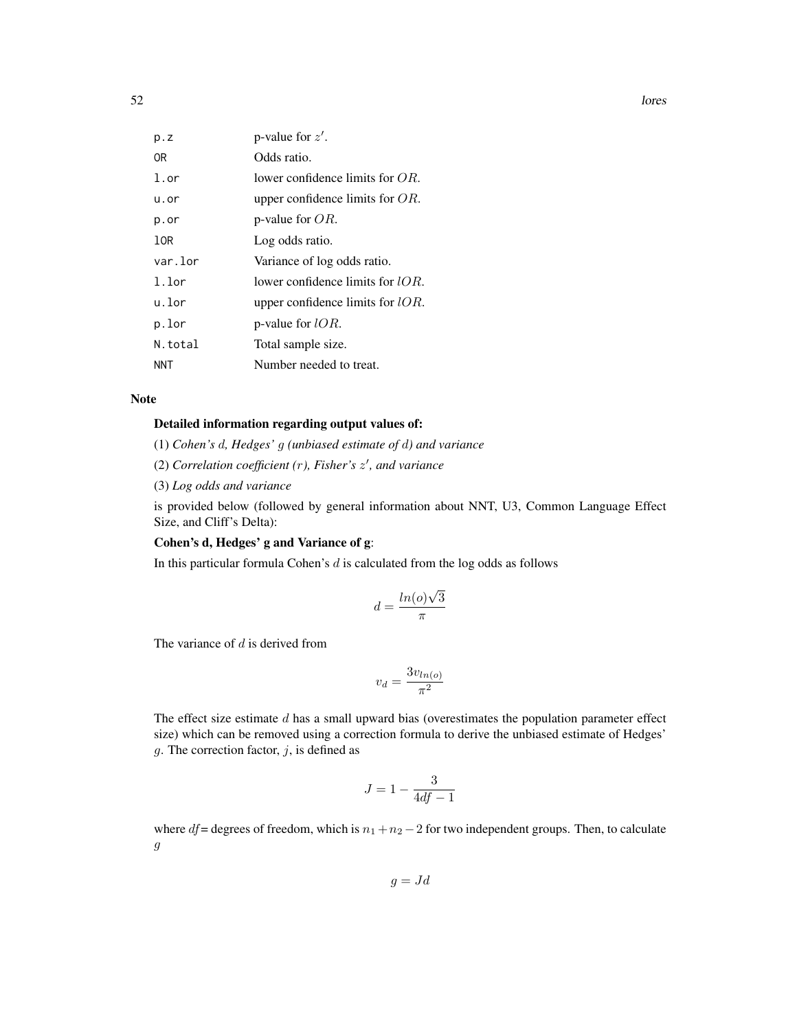| p. z         | p-value for $z'$ .                  |
|--------------|-------------------------------------|
| 0R           | Odds ratio.                         |
| $1.\sigma r$ | lower confidence limits for $OR$ .  |
| u.or         | upper confidence limits for $OR$ .  |
| p.or         | p-value for $OR$ .                  |
| 10R          | Log odds ratio.                     |
| var.lor      | Variance of log odds ratio.         |
| $1.1$ or     | lower confidence limits for $IOR$ . |
| u.lor        | upper confidence limits for $lOR$ . |
| p.lor        | p-value for $lOR$ .                 |
| N.total      | Total sample size.                  |
| NNT          | Number needed to treat.             |

#### Note

## Detailed information regarding output values of:

(1) *Cohen's* d*, Hedges'* g *(unbiased estimate of* d*) and variance*

(2) *Correlation coefficient (*r*), Fisher's* z 0 *, and variance*

(3) *Log odds and variance*

is provided below (followed by general information about NNT, U3, Common Language Effect Size, and Cliff's Delta):

# Cohen's d, Hedges' g and Variance of g:

In this particular formula Cohen's  $d$  is calculated from the log odds as follows

$$
d = \frac{\ln(o)\sqrt{3}}{\pi}
$$

The variance of  $d$  is derived from

$$
v_d = \frac{3v_{ln(o)}}{\pi^2}
$$

The effect size estimate  $d$  has a small upward bias (overestimates the population parameter effect size) which can be removed using a correction formula to derive the unbiased estimate of Hedges'  $g$ . The correction factor,  $j$ , is defined as

$$
J = 1 - \frac{3}{4df - 1}
$$

where  $df$  = degrees of freedom, which is  $n_1 + n_2 - 2$  for two independent groups. Then, to calculate g

 $g = Jd$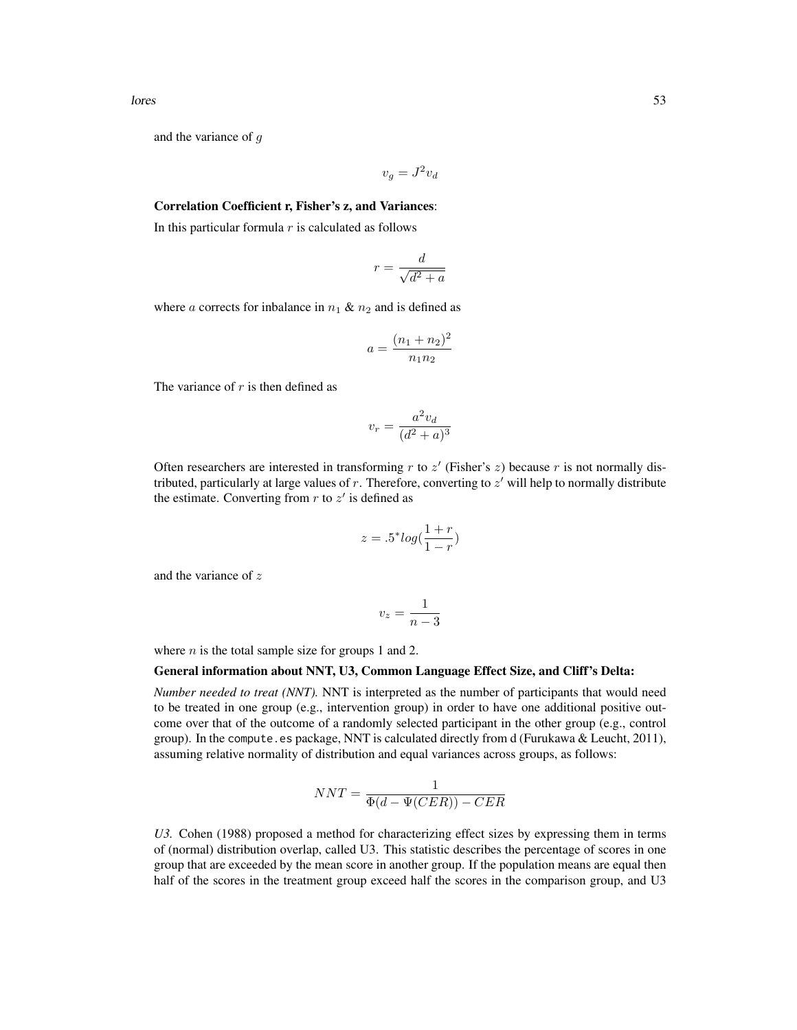and the variance of g

$$
v_g = J^2 v_d
$$

# Correlation Coefficient r, Fisher's z, and Variances:

In this particular formula  $r$  is calculated as follows

$$
r = \frac{d}{\sqrt{d^2 + a}}
$$

where a corrects for inbalance in  $n_1 \& n_2$  and is defined as

$$
a = \frac{(n_1 + n_2)^2}{n_1 n_2}
$$

The variance of  $r$  is then defined as

$$
v_r = \frac{a^2 v_d}{(d^2 + a)^3}
$$

Often researchers are interested in transforming  $r$  to  $z'$  (Fisher's  $z$ ) because  $r$  is not normally distributed, particularly at large values of  $r$ . Therefore, converting to  $z'$  will help to normally distribute the estimate. Converting from  $r$  to  $z'$  is defined as

$$
z = .5^* log(\frac{1+r}{1-r})
$$

and the variance of z

$$
v_z = \frac{1}{n-3}
$$

where  $n$  is the total sample size for groups 1 and 2.

#### General information about NNT, U3, Common Language Effect Size, and Cliff's Delta:

*Number needed to treat (NNT).* NNT is interpreted as the number of participants that would need to be treated in one group (e.g., intervention group) in order to have one additional positive outcome over that of the outcome of a randomly selected participant in the other group (e.g., control group). In the compute.es package, NNT is calculated directly from d (Furukawa & Leucht, 2011), assuming relative normality of distribution and equal variances across groups, as follows:

$$
NNT = \frac{1}{\Phi(d - \Psi(CER)) - CER}
$$

*U3.* Cohen (1988) proposed a method for characterizing effect sizes by expressing them in terms of (normal) distribution overlap, called U3. This statistic describes the percentage of scores in one group that are exceeded by the mean score in another group. If the population means are equal then half of the scores in the treatment group exceed half the scores in the comparison group, and U3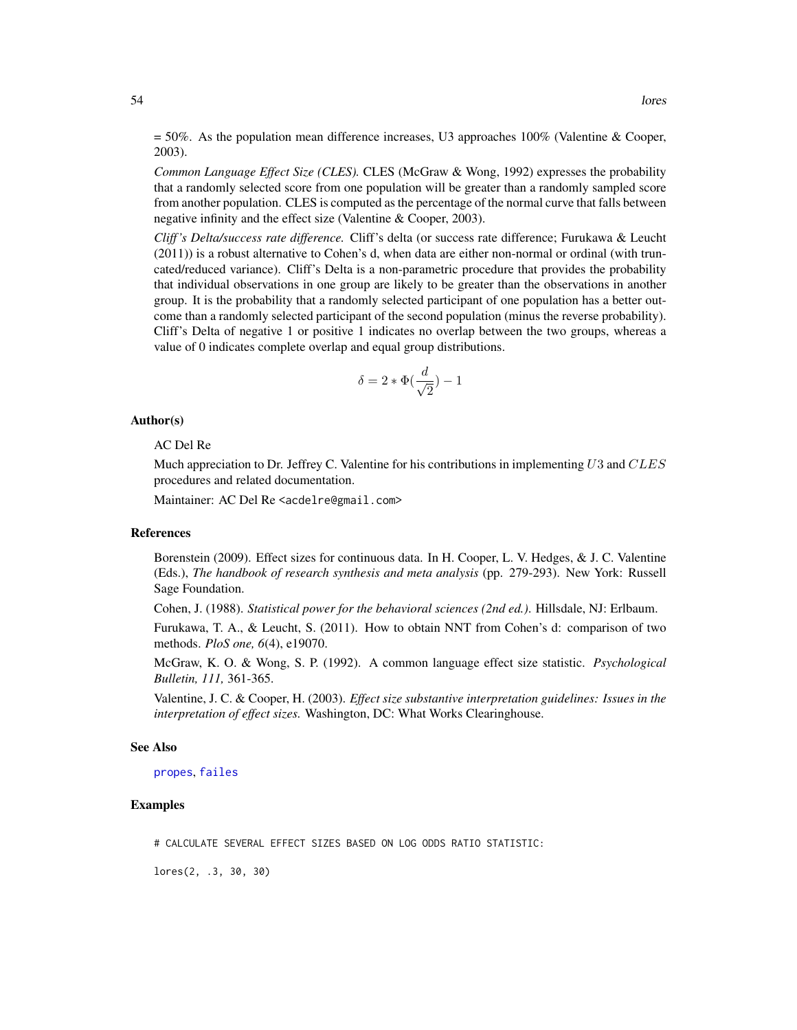$= 50\%$ . As the population mean difference increases, U3 approaches 100% (Valentine & Cooper, 2003).

*Common Language Effect Size (CLES).* CLES (McGraw & Wong, 1992) expresses the probability that a randomly selected score from one population will be greater than a randomly sampled score from another population. CLES is computed as the percentage of the normal curve that falls between negative infinity and the effect size (Valentine & Cooper, 2003).

*Cliff 's Delta/success rate difference.* Cliff's delta (or success rate difference; Furukawa & Leucht (2011)) is a robust alternative to Cohen's d, when data are either non-normal or ordinal (with truncated/reduced variance). Cliff's Delta is a non-parametric procedure that provides the probability that individual observations in one group are likely to be greater than the observations in another group. It is the probability that a randomly selected participant of one population has a better outcome than a randomly selected participant of the second population (minus the reverse probability). Cliff's Delta of negative 1 or positive 1 indicates no overlap between the two groups, whereas a value of 0 indicates complete overlap and equal group distributions.

$$
\delta = 2 * \Phi(\frac{d}{\sqrt{2}}) - 1
$$

#### Author(s)

#### AC Del Re

Much appreciation to Dr. Jeffrey C. Valentine for his contributions in implementing  $U3$  and  $CLES$ procedures and related documentation.

Maintainer: AC Del Re <acdelre@gmail.com>

### References

Borenstein (2009). Effect sizes for continuous data. In H. Cooper, L. V. Hedges, & J. C. Valentine (Eds.), *The handbook of research synthesis and meta analysis* (pp. 279-293). New York: Russell Sage Foundation.

Cohen, J. (1988). *Statistical power for the behavioral sciences (2nd ed.)*. Hillsdale, NJ: Erlbaum.

Furukawa, T. A., & Leucht, S. (2011). How to obtain NNT from Cohen's d: comparison of two methods. *PloS one, 6*(4), e19070.

McGraw, K. O. & Wong, S. P. (1992). A common language effect size statistic. *Psychological Bulletin, 111,* 361-365.

Valentine, J. C. & Cooper, H. (2003). *Effect size substantive interpretation guidelines: Issues in the interpretation of effect sizes.* Washington, DC: What Works Clearinghouse.

#### See Also

### [propes](#page-69-0), [failes](#page-39-0)

### Examples

# CALCULATE SEVERAL EFFECT SIZES BASED ON LOG ODDS RATIO STATISTIC:

lores(2, .3, 30, 30)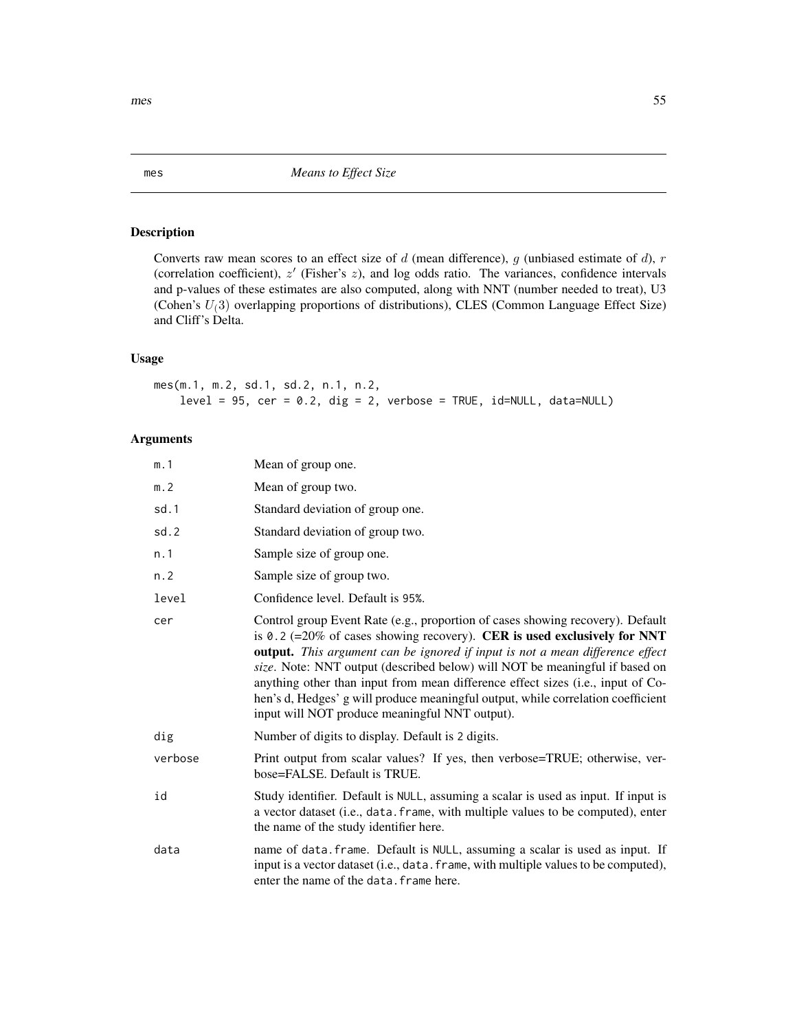# Description

Converts raw mean scores to an effect size of  $d$  (mean difference),  $g$  (unbiased estimate of  $d$ ),  $r$ (correlation coefficient),  $z'$  (Fisher's  $z$ ), and log odds ratio. The variances, confidence intervals and p-values of these estimates are also computed, along with NNT (number needed to treat), U3 (Cohen's  $U(3)$  overlapping proportions of distributions), CLES (Common Language Effect Size) and Cliff's Delta.

# Usage

mes(m.1, m.2, sd.1, sd.2, n.1, n.2,  $level = 95$ ,  $cer = 0.2$ ,  $dig = 2$ ,  $verbose = TRUE$ ,  $id=NULL$ ,  $data=NULL$ 

# Arguments

| m.1     | Mean of group one.                                                                                                                                                                                                                                                                                                                                                                                                                                                                                                                                  |
|---------|-----------------------------------------------------------------------------------------------------------------------------------------------------------------------------------------------------------------------------------------------------------------------------------------------------------------------------------------------------------------------------------------------------------------------------------------------------------------------------------------------------------------------------------------------------|
| m.2     | Mean of group two.                                                                                                                                                                                                                                                                                                                                                                                                                                                                                                                                  |
| sd.1    | Standard deviation of group one.                                                                                                                                                                                                                                                                                                                                                                                                                                                                                                                    |
| sd.2    | Standard deviation of group two.                                                                                                                                                                                                                                                                                                                                                                                                                                                                                                                    |
| n.1     | Sample size of group one.                                                                                                                                                                                                                                                                                                                                                                                                                                                                                                                           |
| n. 2    | Sample size of group two.                                                                                                                                                                                                                                                                                                                                                                                                                                                                                                                           |
| level   | Confidence level. Default is 95%.                                                                                                                                                                                                                                                                                                                                                                                                                                                                                                                   |
| cer     | Control group Event Rate (e.g., proportion of cases showing recovery). Default<br>is 0.2 (=20% of cases showing recovery). CER is used exclusively for NNT<br>output. This argument can be ignored if input is not a mean difference effect<br>size. Note: NNT output (described below) will NOT be meaningful if based on<br>anything other than input from mean difference effect sizes (i.e., input of Co-<br>hen's d, Hedges' g will produce meaningful output, while correlation coefficient<br>input will NOT produce meaningful NNT output). |
| dig     | Number of digits to display. Default is 2 digits.                                                                                                                                                                                                                                                                                                                                                                                                                                                                                                   |
| verbose | Print output from scalar values? If yes, then verbose=TRUE; otherwise, ver-<br>bose=FALSE. Default is TRUE.                                                                                                                                                                                                                                                                                                                                                                                                                                         |
| id      | Study identifier. Default is NULL, assuming a scalar is used as input. If input is<br>a vector dataset (i.e., data. frame, with multiple values to be computed), enter<br>the name of the study identifier here.                                                                                                                                                                                                                                                                                                                                    |
| data    | name of data. frame. Default is NULL, assuming a scalar is used as input. If<br>input is a vector dataset (i.e., data. frame, with multiple values to be computed),<br>enter the name of the data. frame here.                                                                                                                                                                                                                                                                                                                                      |

<span id="page-54-0"></span>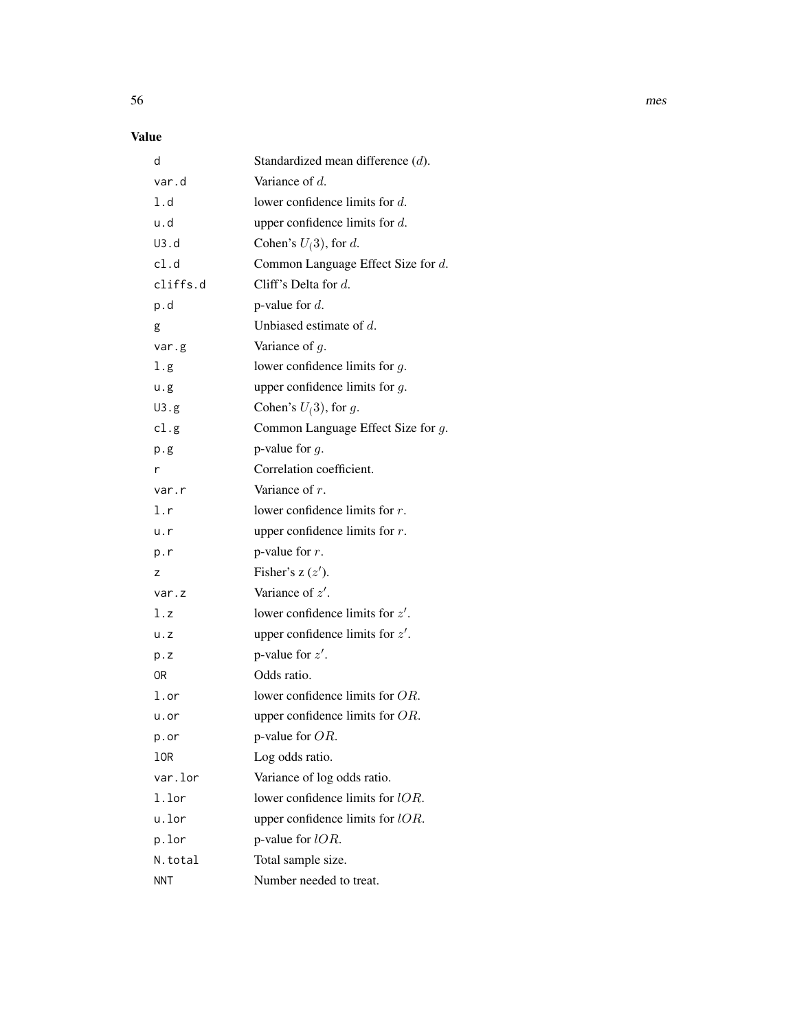# Value

| d                 | Standardized mean difference $(d)$ . |
|-------------------|--------------------------------------|
| var.d             | Variance of $d$ .                    |
| 1.d               | lower confidence limits for $d$ .    |
| u.d               | upper confidence limits for $d$ .    |
| U3.d              | Cohen's $U(3)$ , for d.              |
| cl.d              | Common Language Effect Size for d.   |
| cliffs.d          | Cliff's Delta for $d$ .              |
| p.d               | p-value for $d$ .                    |
| g                 | Unbiased estimate of $d$ .           |
| var.g             | Variance of $g$ .                    |
| 1.g               | lower confidence limits for $g$ .    |
| u.g               | upper confidence limits for $g$ .    |
| U3.g              | Cohen's $U(3)$ , for g.              |
| cl.g              | Common Language Effect Size for g.   |
| p.g               | p-value for $q$ .                    |
| r                 | Correlation coefficient.             |
| var.r             | Variance of $r$ .                    |
| l.r               | lower confidence limits for $r$ .    |
| u.r               | upper confidence limits for $r$ .    |
| p.r               | p-value for $r$ .                    |
| z                 | Fisher's $z(z')$ .                   |
| var.z             | Variance of $z'$ .                   |
| l.z               | lower confidence limits for $z'$ .   |
| u. z              | upper confidence limits for $z'$ .   |
| p.z               | p-value for $z'$ .                   |
| 0R                | Odds ratio.                          |
| $1.\,\mathrm{or}$ | lower confidence limits for $OR$ .   |
| u.or              | upper confidence limits for $OR$ .   |
| p.or              | p-value for OR.                      |
| 10R               | Log odds ratio.                      |
| var.lor           | Variance of log odds ratio.          |
| 1.lor             | lower confidence limits for lOR.     |
| u.lor             | upper confidence limits for $lOR$ .  |
| p.lor             | p-value for $lOR$ .                  |
| N.total           | Total sample size.                   |
| <b>NNT</b>        | Number needed to treat.              |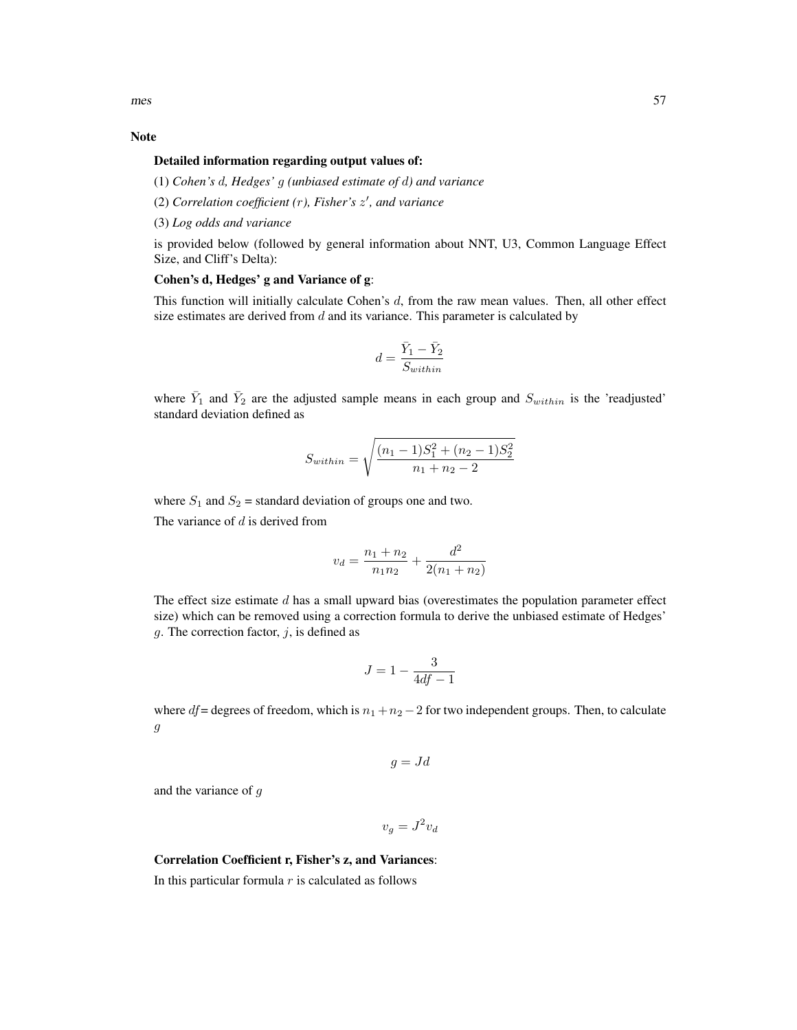$\frac{1}{57}$ 

### Note

# Detailed information regarding output values of:

(1) *Cohen's* d*, Hedges'* g *(unbiased estimate of* d*) and variance*

(2) *Correlation coefficient (*r*), Fisher's* z 0 *, and variance*

(3) *Log odds and variance*

is provided below (followed by general information about NNT, U3, Common Language Effect Size, and Cliff's Delta):

### Cohen's d, Hedges' g and Variance of g:

This function will initially calculate Cohen's d, from the raw mean values. Then, all other effect size estimates are derived from  $d$  and its variance. This parameter is calculated by

$$
d=\frac{\bar{Y}_1-\bar{Y}_2}{S_{within}}
$$

where  $\bar{Y}_1$  and  $\bar{Y}_2$  are the adjusted sample means in each group and  $S_{within}$  is the 'readjusted' standard deviation defined as

$$
S_{within} = \sqrt{\frac{(n_1 - 1)S_1^2 + (n_2 - 1)S_2^2}{n_1 + n_2 - 2}}
$$

where  $S_1$  and  $S_2$  = standard deviation of groups one and two.

The variance of  $d$  is derived from

$$
v_d = \frac{n_1 + n_2}{n_1 n_2} + \frac{d^2}{2(n_1 + n_2)}
$$

The effect size estimate  $d$  has a small upward bias (overestimates the population parameter effect size) which can be removed using a correction formula to derive the unbiased estimate of Hedges' g. The correction factor,  $j$ , is defined as

$$
J = 1 - \frac{3}{4df - 1}
$$

where df = degrees of freedom, which is  $n_1 + n_2 - 2$  for two independent groups. Then, to calculate  $\ensuremath{g}$ 

$$
g = Jd
$$

and the variance of g

 $v_g = J^2 v_d$ 

### Correlation Coefficient r, Fisher's z, and Variances:

In this particular formula  $r$  is calculated as follows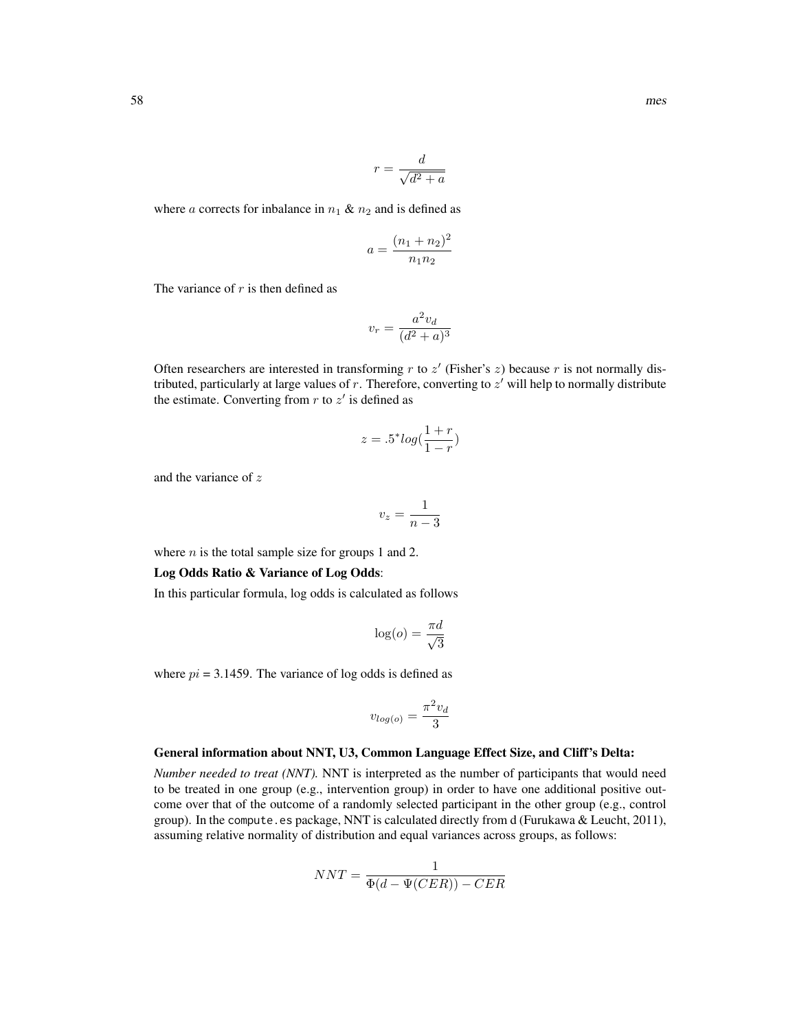$$
r = \frac{d}{\sqrt{d^2 + a}}
$$

where a corrects for inbalance in  $n_1 \& n_2$  and is defined as

$$
a = \frac{(n_1 + n_2)^2}{n_1 n_2}
$$

The variance of  $r$  is then defined as

$$
v_r = \frac{a^2 v_d}{(d^2 + a)^3}
$$

Often researchers are interested in transforming  $r$  to  $z'$  (Fisher's  $z$ ) because  $r$  is not normally distributed, particularly at large values of  $r$ . Therefore, converting to  $z'$  will help to normally distribute the estimate. Converting from  $r$  to  $z'$  is defined as

$$
z = .5^* \log(\frac{1+r}{1-r})
$$

and the variance of z

$$
v_z = \frac{1}{n-3}
$$

where  $n$  is the total sample size for groups 1 and 2.

#### Log Odds Ratio & Variance of Log Odds:

In this particular formula, log odds is calculated as follows

$$
\log(o) = \frac{\pi d}{\sqrt{3}}
$$

where  $pi = 3.1459$ . The variance of log odds is defined as

$$
v_{log(o)} = \frac{\pi^2 v_d}{3}
$$

### General information about NNT, U3, Common Language Effect Size, and Cliff's Delta:

*Number needed to treat (NNT).* NNT is interpreted as the number of participants that would need to be treated in one group (e.g., intervention group) in order to have one additional positive outcome over that of the outcome of a randomly selected participant in the other group (e.g., control group). In the compute.es package, NNT is calculated directly from d (Furukawa & Leucht, 2011), assuming relative normality of distribution and equal variances across groups, as follows:

$$
NNT = \frac{1}{\Phi(d - \Psi(CER)) - CER}
$$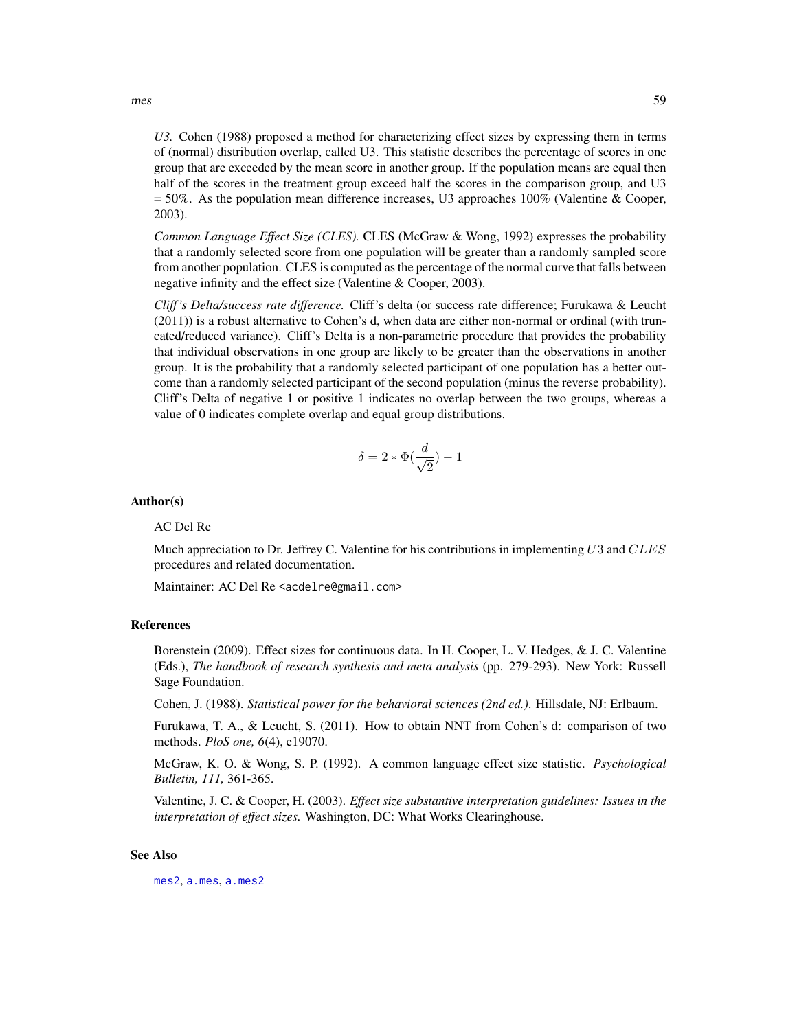*U3.* Cohen (1988) proposed a method for characterizing effect sizes by expressing them in terms of (normal) distribution overlap, called U3. This statistic describes the percentage of scores in one group that are exceeded by the mean score in another group. If the population means are equal then half of the scores in the treatment group exceed half the scores in the comparison group, and U3 = 50%. As the population mean difference increases, U3 approaches 100% (Valentine & Cooper, 2003).

*Common Language Effect Size (CLES).* CLES (McGraw & Wong, 1992) expresses the probability that a randomly selected score from one population will be greater than a randomly sampled score from another population. CLES is computed as the percentage of the normal curve that falls between negative infinity and the effect size (Valentine & Cooper, 2003).

*Cliff 's Delta/success rate difference.* Cliff's delta (or success rate difference; Furukawa & Leucht (2011)) is a robust alternative to Cohen's d, when data are either non-normal or ordinal (with truncated/reduced variance). Cliff's Delta is a non-parametric procedure that provides the probability that individual observations in one group are likely to be greater than the observations in another group. It is the probability that a randomly selected participant of one population has a better outcome than a randomly selected participant of the second population (minus the reverse probability). Cliff's Delta of negative 1 or positive 1 indicates no overlap between the two groups, whereas a value of 0 indicates complete overlap and equal group distributions.

$$
\delta = 2 * \Phi(\frac{d}{\sqrt{2}}) - 1
$$

#### Author(s)

#### AC Del Re

Much appreciation to Dr. Jeffrey C. Valentine for his contributions in implementing  $U3$  and  $CLES$ procedures and related documentation.

Maintainer: AC Del Re <acdelre@gmail.com>

#### References

Borenstein (2009). Effect sizes for continuous data. In H. Cooper, L. V. Hedges, & J. C. Valentine (Eds.), *The handbook of research synthesis and meta analysis* (pp. 279-293). New York: Russell Sage Foundation.

Cohen, J. (1988). *Statistical power for the behavioral sciences (2nd ed.)*. Hillsdale, NJ: Erlbaum.

Furukawa, T. A., & Leucht, S. (2011). How to obtain NNT from Cohen's d: comparison of two methods. *PloS one, 6*(4), e19070.

McGraw, K. O. & Wong, S. P. (1992). A common language effect size statistic. *Psychological Bulletin, 111,* 361-365.

Valentine, J. C. & Cooper, H. (2003). *Effect size substantive interpretation guidelines: Issues in the interpretation of effect sizes.* Washington, DC: What Works Clearinghouse.

### See Also

[mes2](#page-59-0), [a.mes](#page-9-0), [a.mes2](#page-14-0)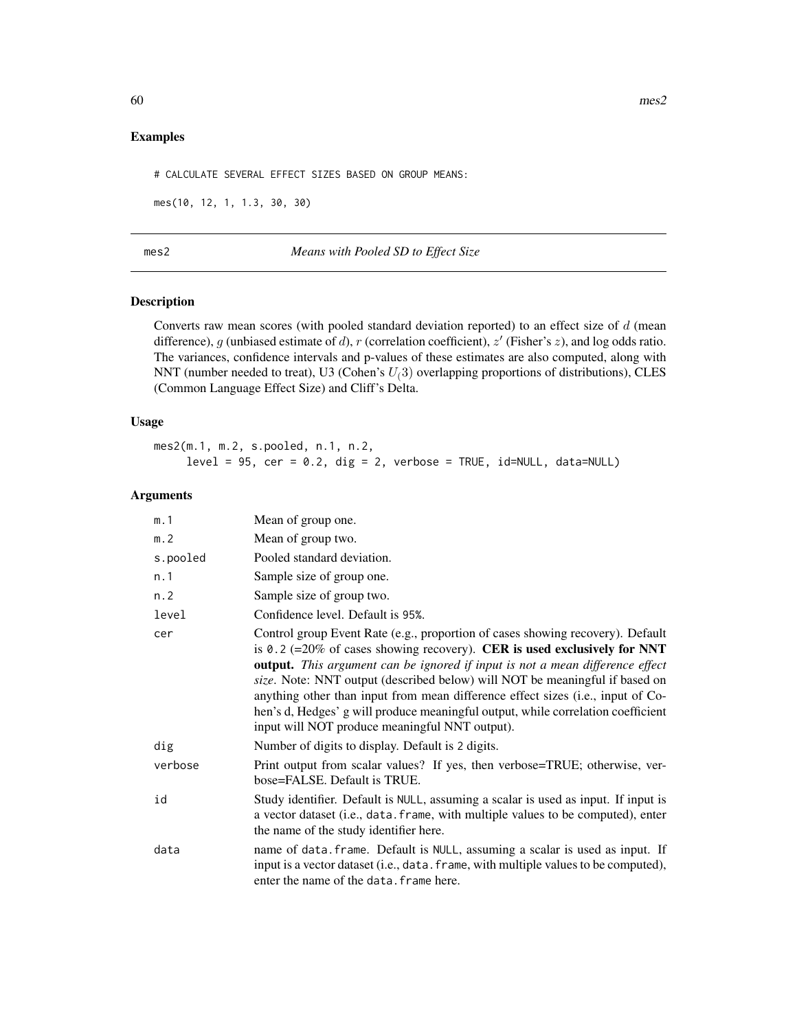## Examples

# CALCULATE SEVERAL EFFECT SIZES BASED ON GROUP MEANS:

mes(10, 12, 1, 1.3, 30, 30)

<span id="page-59-0"></span>mes2 *Means with Pooled SD to Effect Size*

# Description

Converts raw mean scores (with pooled standard deviation reported) to an effect size of  $d$  (mean difference), g (unbiased estimate of d), r (correlation coefficient),  $z'$  (Fisher's  $z$ ), and log odds ratio. The variances, confidence intervals and p-values of these estimates are also computed, along with NNT (number needed to treat), U3 (Cohen's  $U(3)$  overlapping proportions of distributions), CLES (Common Language Effect Size) and Cliff's Delta.

### Usage

mes2(m.1, m.2, s.pooled, n.1, n.2,  $level = 95$ ,  $cer = 0.2$ ,  $dig = 2$ ,  $verbose = TRUE$ ,  $id=NULL$ ,  $data=NULL$ 

# Arguments

| m.1      | Mean of group one.                                                                                                                                                                                                                                                                                                                                                                                                                                                                                                                                  |
|----------|-----------------------------------------------------------------------------------------------------------------------------------------------------------------------------------------------------------------------------------------------------------------------------------------------------------------------------------------------------------------------------------------------------------------------------------------------------------------------------------------------------------------------------------------------------|
| m. 2     | Mean of group two.                                                                                                                                                                                                                                                                                                                                                                                                                                                                                                                                  |
| s.pooled | Pooled standard deviation.                                                                                                                                                                                                                                                                                                                                                                                                                                                                                                                          |
| n.1      | Sample size of group one.                                                                                                                                                                                                                                                                                                                                                                                                                                                                                                                           |
| n. 2     | Sample size of group two.                                                                                                                                                                                                                                                                                                                                                                                                                                                                                                                           |
| level    | Confidence level. Default is 95%.                                                                                                                                                                                                                                                                                                                                                                                                                                                                                                                   |
| cer      | Control group Event Rate (e.g., proportion of cases showing recovery). Default<br>is 0.2 (=20% of cases showing recovery). CER is used exclusively for NNT<br>output. This argument can be ignored if input is not a mean difference effect<br>size. Note: NNT output (described below) will NOT be meaningful if based on<br>anything other than input from mean difference effect sizes (i.e., input of Co-<br>hen's d, Hedges' g will produce meaningful output, while correlation coefficient<br>input will NOT produce meaningful NNT output). |
| dig      | Number of digits to display. Default is 2 digits.                                                                                                                                                                                                                                                                                                                                                                                                                                                                                                   |
| verbose  | Print output from scalar values? If yes, then verbose=TRUE; otherwise, ver-<br>bose=FALSE. Default is TRUE.                                                                                                                                                                                                                                                                                                                                                                                                                                         |
| id       | Study identifier. Default is NULL, assuming a scalar is used as input. If input is<br>a vector dataset (i.e., data. frame, with multiple values to be computed), enter<br>the name of the study identifier here.                                                                                                                                                                                                                                                                                                                                    |
| data     | name of data. frame. Default is NULL, assuming a scalar is used as input. If<br>input is a vector dataset (i.e., data. frame, with multiple values to be computed),<br>enter the name of the data. frame here.                                                                                                                                                                                                                                                                                                                                      |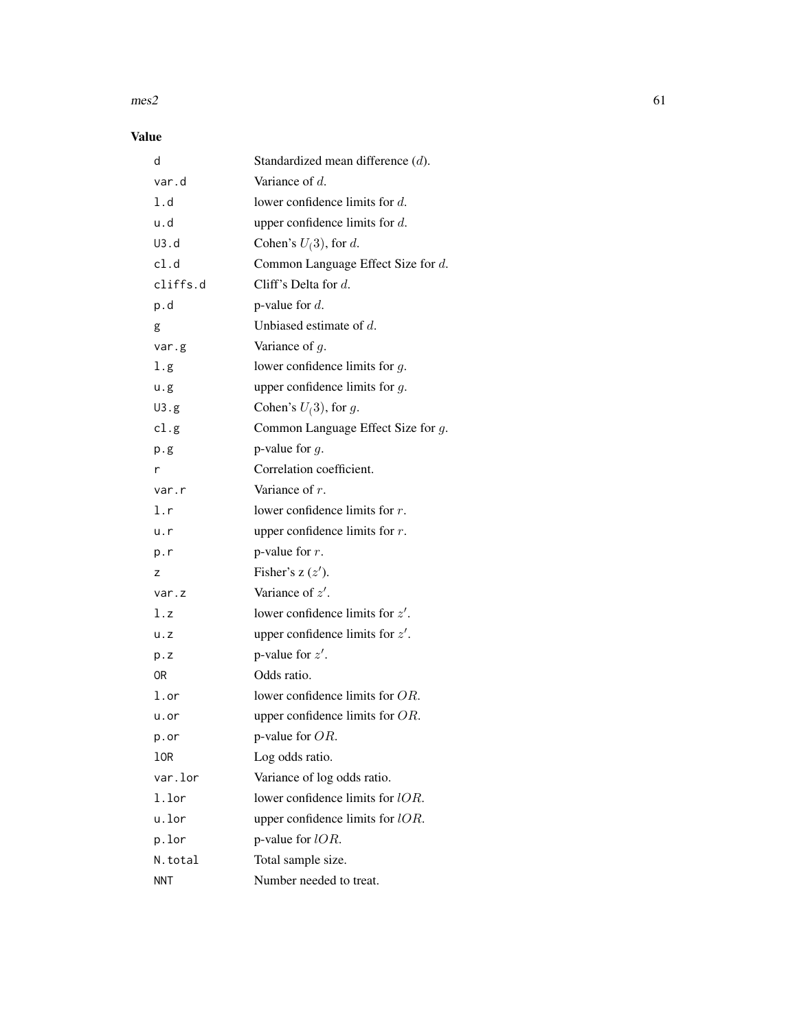#### $\text{mes2}$  61

# Value

| d           | Standardized mean difference (d).     |
|-------------|---------------------------------------|
| var.d       | Variance of d.                        |
| 1.d         | lower confidence limits for $d$ .     |
| u.d         | upper confidence limits for $d$ .     |
| U3.d        | Cohen's $U(3)$ , for d.               |
| cl.d        | Common Language Effect Size for d.    |
| cliffs.d    | Cliff's Delta for $d$ .               |
| p.d         | p-value for $d$ .                     |
| g           | Unbiased estimate of $d$ .            |
| var.g       | Variance of $g$ .                     |
| l.g         | lower confidence limits for $g$ .     |
| u.g         | upper confidence limits for $g$ .     |
| U3.g        | Cohen's $U(3)$ , for g.               |
| cl.g        | Common Language Effect Size for $g$ . |
| p.g         | p-value for $q$ .                     |
| r           | Correlation coefficient.              |
| var.r       | Variance of $r$ .                     |
| l.r         | lower confidence limits for $r$ .     |
| u.r         | upper confidence limits for $r$ .     |
| p.r         | p-value for $r$ .                     |
| z           | Fisher's $z(z')$ .                    |
| var.z       | Variance of $z'$ .                    |
| l.z         | lower confidence limits for $z'$ .    |
| $u \cdot z$ | upper confidence limits for $z'$ .    |
| p.z         | p-value for $z'$ .                    |
| 0R          | Odds ratio.                           |
| l.or        | lower confidence limits for OR.       |
| u.or        | upper confidence limits for $OR$ .    |
| p.or        | p-value for $OR$ .                    |
| 10R         | Log odds ratio.                       |
| var.lor     | Variance of log odds ratio.           |
| 1.lor       | lower confidence limits for lOR.      |
| u.lor       | upper confidence limits for $lOR$ .   |
| p.lor       | p-value for $lOR$ .                   |
| N.total     | Total sample size.                    |
| <b>NNT</b>  | Number needed to treat.               |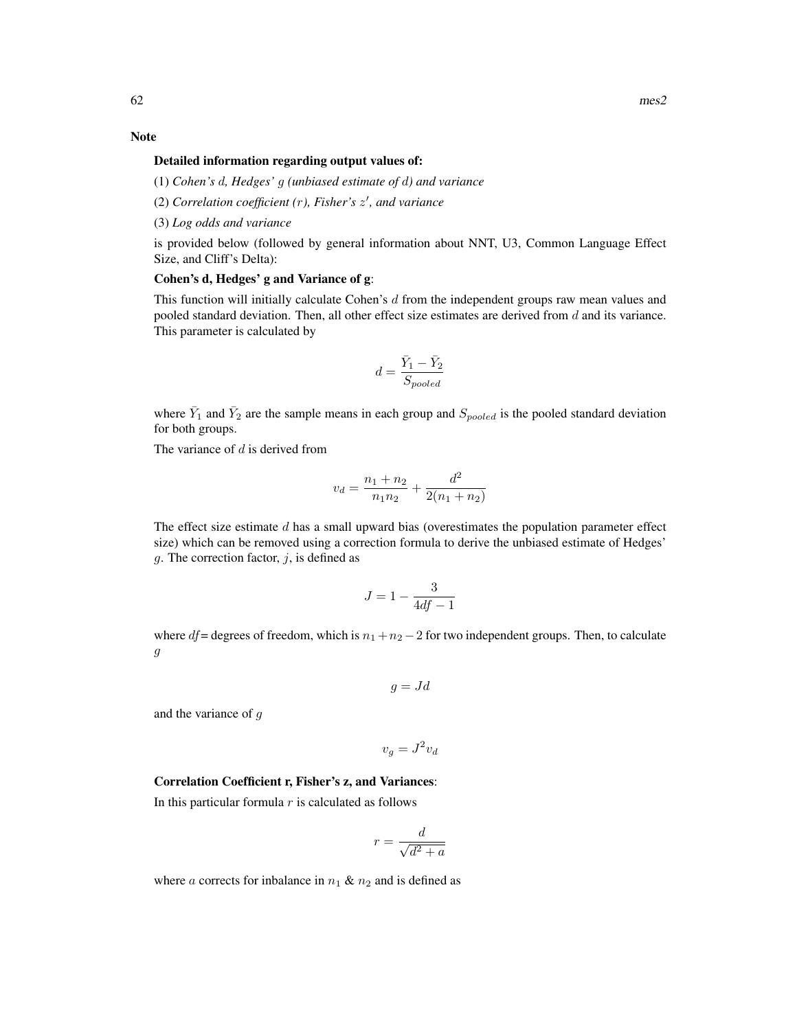#### Note

# Detailed information regarding output values of:

(1) *Cohen's* d*, Hedges'* g *(unbiased estimate of* d*) and variance*

- (2) *Correlation coefficient (*r*), Fisher's* z 0 *, and variance*
- (3) *Log odds and variance*

is provided below (followed by general information about NNT, U3, Common Language Effect Size, and Cliff's Delta):

### Cohen's d, Hedges' g and Variance of g:

This function will initially calculate Cohen's d from the independent groups raw mean values and pooled standard deviation. Then, all other effect size estimates are derived from  $d$  and its variance. This parameter is calculated by

$$
d=\frac{\bar{Y}_1-\bar{Y}_2}{S_{pooled}}
$$

where  $\bar{Y}_1$  and  $\bar{Y}_2$  are the sample means in each group and  $S_{pooled}$  is the pooled standard deviation for both groups.

The variance of  $d$  is derived from

$$
v_d = \frac{n_1 + n_2}{n_1 n_2} + \frac{d^2}{2(n_1 + n_2)}
$$

The effect size estimate  $d$  has a small upward bias (overestimates the population parameter effect size) which can be removed using a correction formula to derive the unbiased estimate of Hedges' g. The correction factor,  $j$ , is defined as

$$
J = 1 - \frac{3}{4df - 1}
$$

where df = degrees of freedom, which is  $n_1 + n_2 - 2$  for two independent groups. Then, to calculate g

$$
g = Jd
$$

and the variance of g

$$
v_g = J^2 v_d
$$

### Correlation Coefficient r, Fisher's z, and Variances:

In this particular formula  $r$  is calculated as follows

$$
r = \frac{d}{\sqrt{d^2 + a}}
$$

where a corrects for inbalance in  $n_1 \& n_2$  and is defined as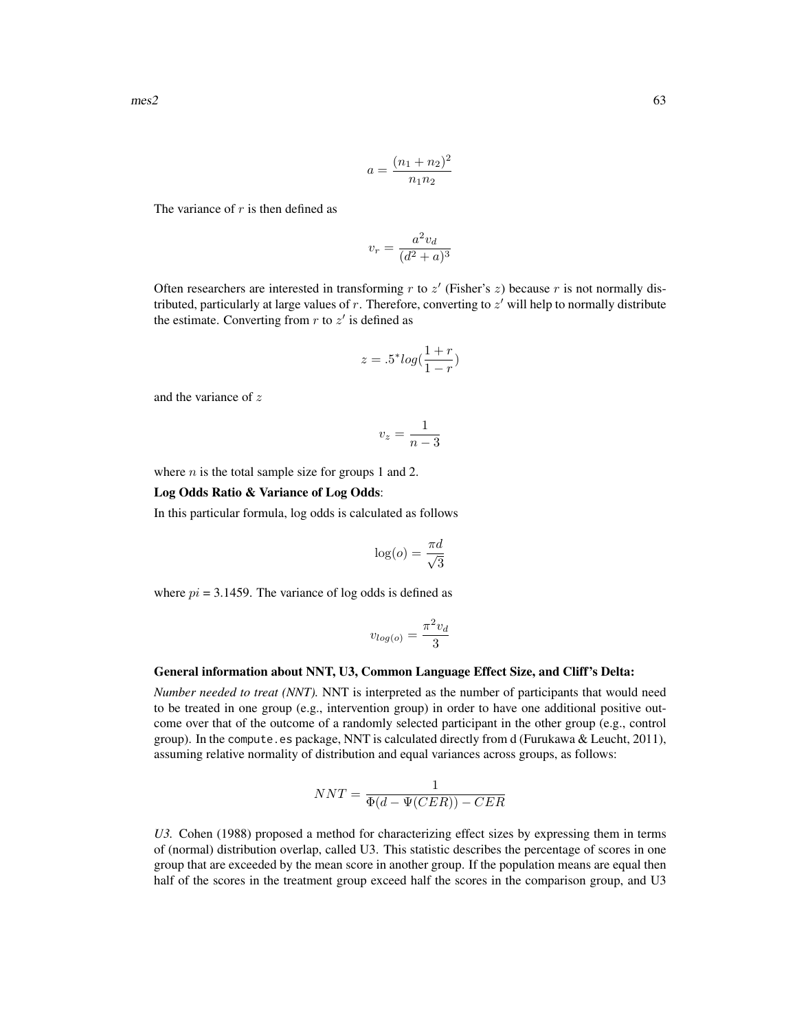$$
a = \frac{(n_1 + n_2)^2}{n_1 n_2}
$$

The variance of  $r$  is then defined as

$$
v_r = \frac{a^2 v_d}{(d^2 + a)^3}
$$

Often researchers are interested in transforming  $r$  to  $z'$  (Fisher's  $z$ ) because  $r$  is not normally distributed, particularly at large values of  $r$ . Therefore, converting to  $z'$  will help to normally distribute the estimate. Converting from  $r$  to  $z'$  is defined as

$$
z = .5^* log(\frac{1+r}{1-r})
$$

and the variance of z

$$
v_z = \frac{1}{n-3}
$$

where  $n$  is the total sample size for groups 1 and 2.

### Log Odds Ratio & Variance of Log Odds:

In this particular formula, log odds is calculated as follows

$$
\log(o) = \frac{\pi d}{\sqrt{3}}
$$

where  $pi = 3.1459$ . The variance of log odds is defined as

$$
v_{log(o)} = \frac{\pi^2 v_d}{3}
$$

#### General information about NNT, U3, Common Language Effect Size, and Cliff's Delta:

*Number needed to treat (NNT).* NNT is interpreted as the number of participants that would need to be treated in one group (e.g., intervention group) in order to have one additional positive outcome over that of the outcome of a randomly selected participant in the other group (e.g., control group). In the compute.es package, NNT is calculated directly from d (Furukawa & Leucht, 2011), assuming relative normality of distribution and equal variances across groups, as follows:

$$
NNT = \frac{1}{\Phi(d - \Psi(CER)) - CER}
$$

*U3.* Cohen (1988) proposed a method for characterizing effect sizes by expressing them in terms of (normal) distribution overlap, called U3. This statistic describes the percentage of scores in one group that are exceeded by the mean score in another group. If the population means are equal then half of the scores in the treatment group exceed half the scores in the comparison group, and U3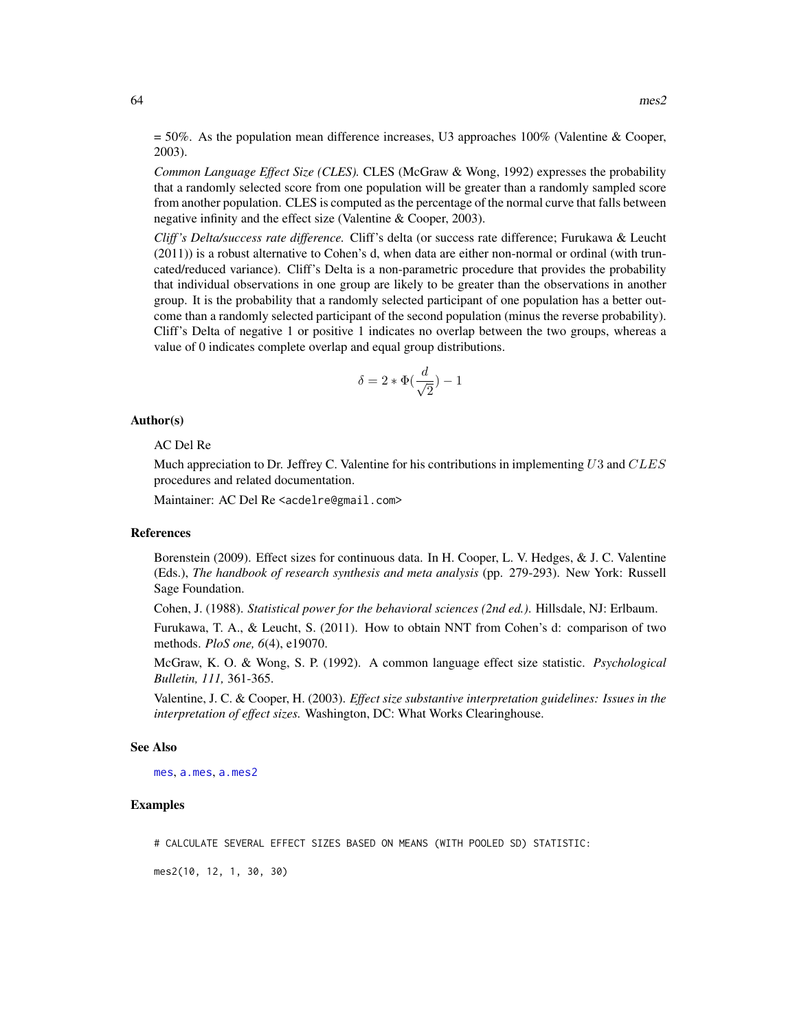$= 50\%$ . As the population mean difference increases, U3 approaches 100% (Valentine & Cooper, 2003).

*Common Language Effect Size (CLES).* CLES (McGraw & Wong, 1992) expresses the probability that a randomly selected score from one population will be greater than a randomly sampled score from another population. CLES is computed as the percentage of the normal curve that falls between negative infinity and the effect size (Valentine & Cooper, 2003).

*Cliff 's Delta/success rate difference.* Cliff's delta (or success rate difference; Furukawa & Leucht (2011)) is a robust alternative to Cohen's d, when data are either non-normal or ordinal (with truncated/reduced variance). Cliff's Delta is a non-parametric procedure that provides the probability that individual observations in one group are likely to be greater than the observations in another group. It is the probability that a randomly selected participant of one population has a better outcome than a randomly selected participant of the second population (minus the reverse probability). Cliff's Delta of negative 1 or positive 1 indicates no overlap between the two groups, whereas a value of 0 indicates complete overlap and equal group distributions.

$$
\delta = 2 * \Phi(\frac{d}{\sqrt{2}}) - 1
$$

#### Author(s)

#### AC Del Re

Much appreciation to Dr. Jeffrey C. Valentine for his contributions in implementing  $U3$  and  $CLES$ procedures and related documentation.

Maintainer: AC Del Re <acdelre@gmail.com>

### References

Borenstein (2009). Effect sizes for continuous data. In H. Cooper, L. V. Hedges, & J. C. Valentine (Eds.), *The handbook of research synthesis and meta analysis* (pp. 279-293). New York: Russell Sage Foundation.

Cohen, J. (1988). *Statistical power for the behavioral sciences (2nd ed.)*. Hillsdale, NJ: Erlbaum.

Furukawa, T. A., & Leucht, S. (2011). How to obtain NNT from Cohen's d: comparison of two methods. *PloS one, 6*(4), e19070.

McGraw, K. O. & Wong, S. P. (1992). A common language effect size statistic. *Psychological Bulletin, 111,* 361-365.

Valentine, J. C. & Cooper, H. (2003). *Effect size substantive interpretation guidelines: Issues in the interpretation of effect sizes.* Washington, DC: What Works Clearinghouse.

#### See Also

[mes](#page-54-0), [a.mes](#page-9-0), [a.mes2](#page-14-0)

#### Examples

# CALCULATE SEVERAL EFFECT SIZES BASED ON MEANS (WITH POOLED SD) STATISTIC:

mes2(10, 12, 1, 30, 30)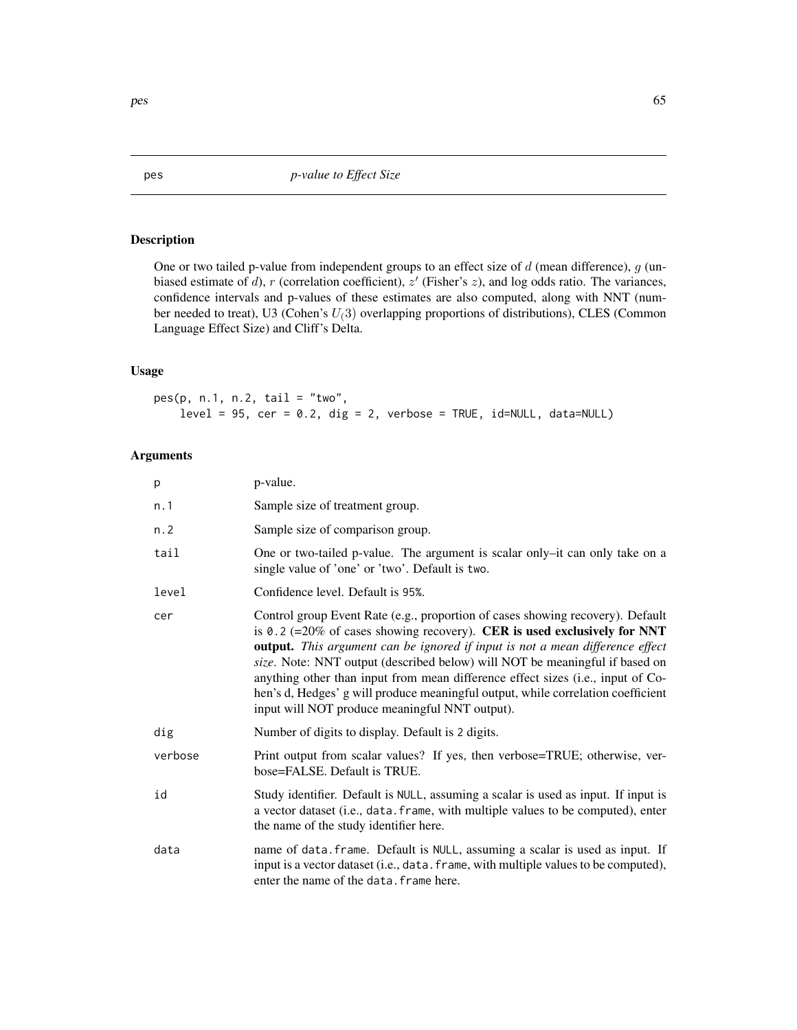# Description

One or two tailed p-value from independent groups to an effect size of  $d$  (mean difference),  $g$  (unbiased estimate of d), r (correlation coefficient),  $z'$  (Fisher's  $z$ ), and log odds ratio. The variances, confidence intervals and p-values of these estimates are also computed, along with NNT (number needed to treat), U3 (Cohen's  $U(3)$  overlapping proportions of distributions), CLES (Common Language Effect Size) and Cliff's Delta.

# Usage

pes(p, n.1, n.2, tail = "two",  $level = 95$ ,  $cer = 0.2$ ,  $dig = 2$ ,  $verbose = TRUE$ ,  $id=NULL$ ,  $data=NULL$ )

# Arguments

| p       | p-value.                                                                                                                                                                                                                                                                                                                                                                                                                                                                                                                                            |
|---------|-----------------------------------------------------------------------------------------------------------------------------------------------------------------------------------------------------------------------------------------------------------------------------------------------------------------------------------------------------------------------------------------------------------------------------------------------------------------------------------------------------------------------------------------------------|
| n.1     | Sample size of treatment group.                                                                                                                                                                                                                                                                                                                                                                                                                                                                                                                     |
| n.2     | Sample size of comparison group.                                                                                                                                                                                                                                                                                                                                                                                                                                                                                                                    |
| tail    | One or two-tailed p-value. The argument is scalar only-it can only take on a<br>single value of 'one' or 'two'. Default is two.                                                                                                                                                                                                                                                                                                                                                                                                                     |
| level   | Confidence level. Default is 95%.                                                                                                                                                                                                                                                                                                                                                                                                                                                                                                                   |
| cer     | Control group Event Rate (e.g., proportion of cases showing recovery). Default<br>is 0.2 (=20% of cases showing recovery). CER is used exclusively for NNT<br>output. This argument can be ignored if input is not a mean difference effect<br>size. Note: NNT output (described below) will NOT be meaningful if based on<br>anything other than input from mean difference effect sizes (i.e., input of Co-<br>hen's d, Hedges' g will produce meaningful output, while correlation coefficient<br>input will NOT produce meaningful NNT output). |
| dig     | Number of digits to display. Default is 2 digits.                                                                                                                                                                                                                                                                                                                                                                                                                                                                                                   |
| verbose | Print output from scalar values? If yes, then verbose=TRUE; otherwise, ver-<br>bose=FALSE. Default is TRUE.                                                                                                                                                                                                                                                                                                                                                                                                                                         |
| id      | Study identifier. Default is NULL, assuming a scalar is used as input. If input is<br>a vector dataset (i.e., data. frame, with multiple values to be computed), enter<br>the name of the study identifier here.                                                                                                                                                                                                                                                                                                                                    |
| data    | name of data. frame. Default is NULL, assuming a scalar is used as input. If<br>input is a vector dataset (i.e., data. frame, with multiple values to be computed),<br>enter the name of the data. frame here.                                                                                                                                                                                                                                                                                                                                      |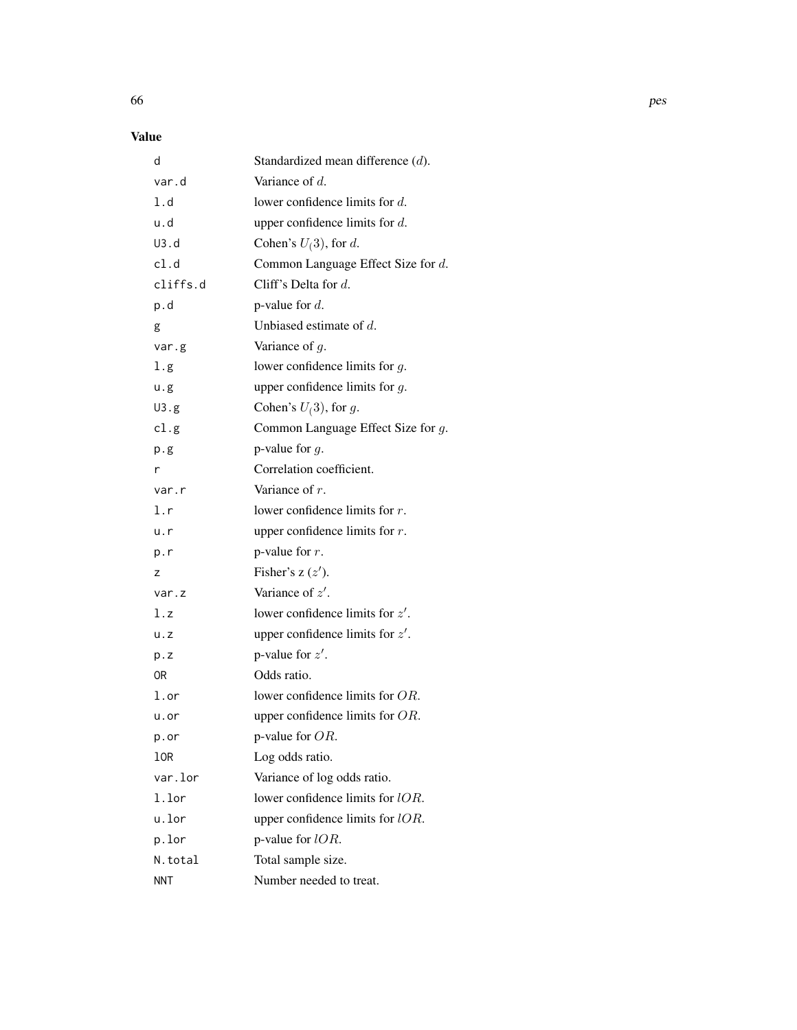# Value

| d          | Standardized mean difference (d).     |
|------------|---------------------------------------|
| var.d      | Variance of $d$ .                     |
| 1.d        | lower confidence limits for $d$ .     |
| u.d        | upper confidence limits for $d$ .     |
| U3.d       | Cohen's $U(3)$ , for d.               |
| cl.d       | Common Language Effect Size for d.    |
| cliffs.d   | Cliff's Delta for $d$ .               |
| p.d        | p-value for $d$ .                     |
| g          | Unbiased estimate of $d$ .            |
| var.g      | Variance of $g$ .                     |
| 1.g        | lower confidence limits for $g$ .     |
| u.g        | upper confidence limits for $g$ .     |
| U3.g       | Cohen's $U(3)$ , for g.               |
| cl.g       | Common Language Effect Size for $g$ . |
| p.g        | p-value for $q$ .                     |
| r          | Correlation coefficient.              |
| var.r      | Variance of $r$ .                     |
| 1.r        | lower confidence limits for $r$ .     |
| u.r        | upper confidence limits for $r$ .     |
| p.r        | p-value for $r$ .                     |
| z          | Fisher's $z(z')$ .                    |
| var.z      | Variance of $z'$ .                    |
| l.z        | lower confidence limits for $z'$ .    |
| u. z       | upper confidence limits for $z'$ .    |
| p.z        | p-value for $z'$ .                    |
| 0R         | Odds ratio.                           |
| 1.or       | lower confidence limits for OR.       |
| u.or       | upper confidence limits for $OR$ .    |
| p.or       | p-value for OR.                       |
| 10R        | Log odds ratio.                       |
| var.lor    | Variance of log odds ratio.           |
| 1.lor      | lower confidence limits for lOR.      |
| u.lor      | upper confidence limits for $lOR$ .   |
| p.lor      | p-value for $lOR$ .                   |
| N.total    | Total sample size.                    |
| <b>NNT</b> | Number needed to treat.               |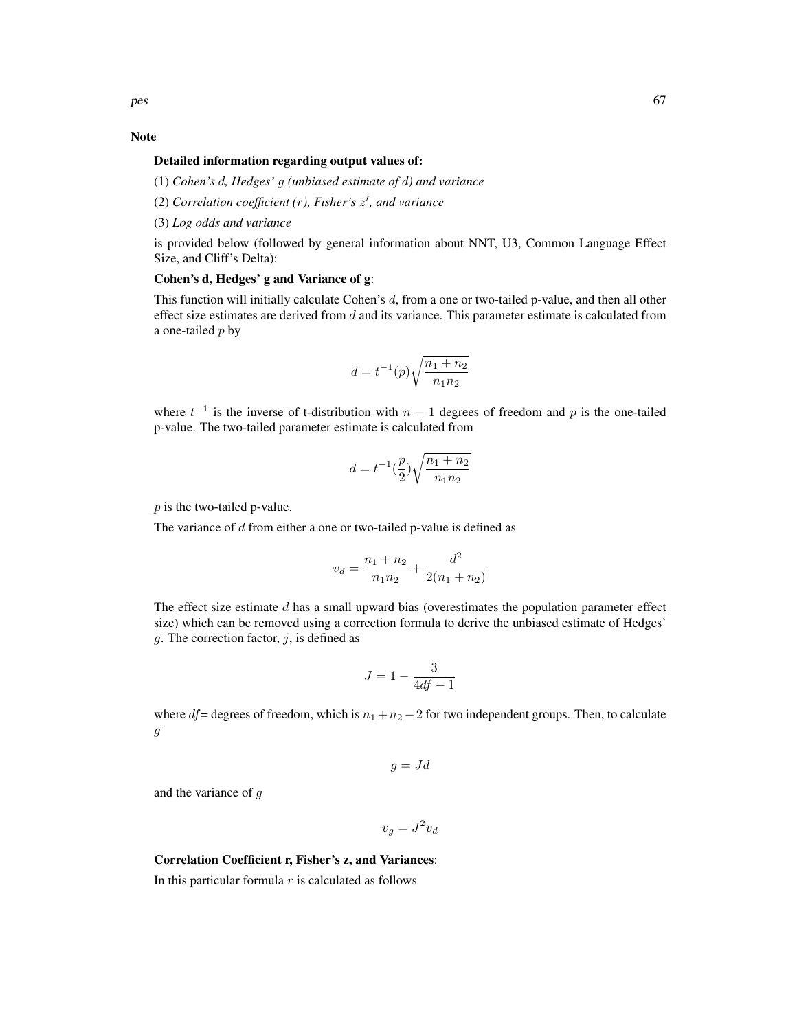### Note

### Detailed information regarding output values of:

(1) *Cohen's* d*, Hedges'* g *(unbiased estimate of* d*) and variance*

- (2) *Correlation coefficient (*r*), Fisher's* z 0 *, and variance*
- (3) *Log odds and variance*

is provided below (followed by general information about NNT, U3, Common Language Effect Size, and Cliff's Delta):

# Cohen's d, Hedges' g and Variance of g:

This function will initially calculate Cohen's d, from a one or two-tailed p-value, and then all other effect size estimates are derived from  $d$  and its variance. This parameter estimate is calculated from a one-tailed  $p$  by

$$
d = t^{-1}(p)\sqrt{\frac{n_1 + n_2}{n_1 n_2}}
$$

where  $t^{-1}$  is the inverse of t-distribution with  $n-1$  degrees of freedom and p is the one-tailed p-value. The two-tailed parameter estimate is calculated from

$$
d = t^{-1} \left(\frac{p}{2}\right) \sqrt{\frac{n_1 + n_2}{n_1 n_2}}
$$

p is the two-tailed p-value.

The variance of  $d$  from either a one or two-tailed p-value is defined as

$$
v_d = \frac{n_1 + n_2}{n_1 n_2} + \frac{d^2}{2(n_1 + n_2)}
$$

The effect size estimate  $d$  has a small upward bias (overestimates the population parameter effect size) which can be removed using a correction formula to derive the unbiased estimate of Hedges' q. The correction factor,  $i$ , is defined as

$$
J=1-\frac{3}{4df-1}
$$

where  $df$  = degrees of freedom, which is  $n_1 + n_2 - 2$  for two independent groups. Then, to calculate g

$$
g = Jd
$$

and the variance of g

 $v_g = J^2 v_d$ 

### Correlation Coefficient r, Fisher's z, and Variances:

In this particular formula  $r$  is calculated as follows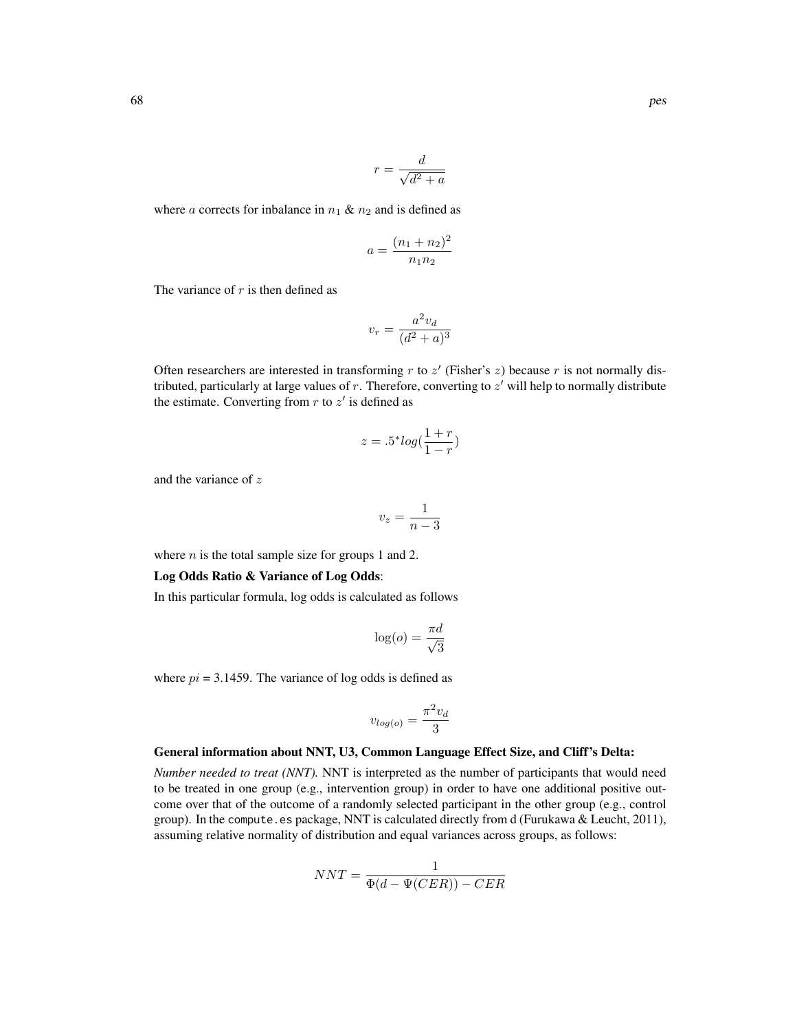$$
r = \frac{d}{\sqrt{d^2 + a}}
$$

where a corrects for inbalance in  $n_1 \& n_2$  and is defined as

$$
a = \frac{(n_1 + n_2)^2}{n_1 n_2}
$$

The variance of  $r$  is then defined as

$$
v_r = \frac{a^2 v_d}{(d^2 + a)^3}
$$

Often researchers are interested in transforming  $r$  to  $z'$  (Fisher's  $z$ ) because  $r$  is not normally distributed, particularly at large values of  $r$ . Therefore, converting to  $z'$  will help to normally distribute the estimate. Converting from  $r$  to  $z'$  is defined as

$$
z = .5^* \log(\frac{1+r}{1-r})
$$

and the variance of z

$$
v_z = \frac{1}{n-3}
$$

where  $n$  is the total sample size for groups 1 and 2.

#### Log Odds Ratio & Variance of Log Odds:

In this particular formula, log odds is calculated as follows

$$
\log(o) = \frac{\pi d}{\sqrt{3}}
$$

where  $pi = 3.1459$ . The variance of log odds is defined as

$$
v_{log(o)} = \frac{\pi^2 v_d}{3}
$$

#### General information about NNT, U3, Common Language Effect Size, and Cliff's Delta:

*Number needed to treat (NNT).* NNT is interpreted as the number of participants that would need to be treated in one group (e.g., intervention group) in order to have one additional positive outcome over that of the outcome of a randomly selected participant in the other group (e.g., control group). In the compute.es package, NNT is calculated directly from d (Furukawa & Leucht, 2011), assuming relative normality of distribution and equal variances across groups, as follows:

$$
NNT = \frac{1}{\Phi(d - \Psi(CER)) - CER}
$$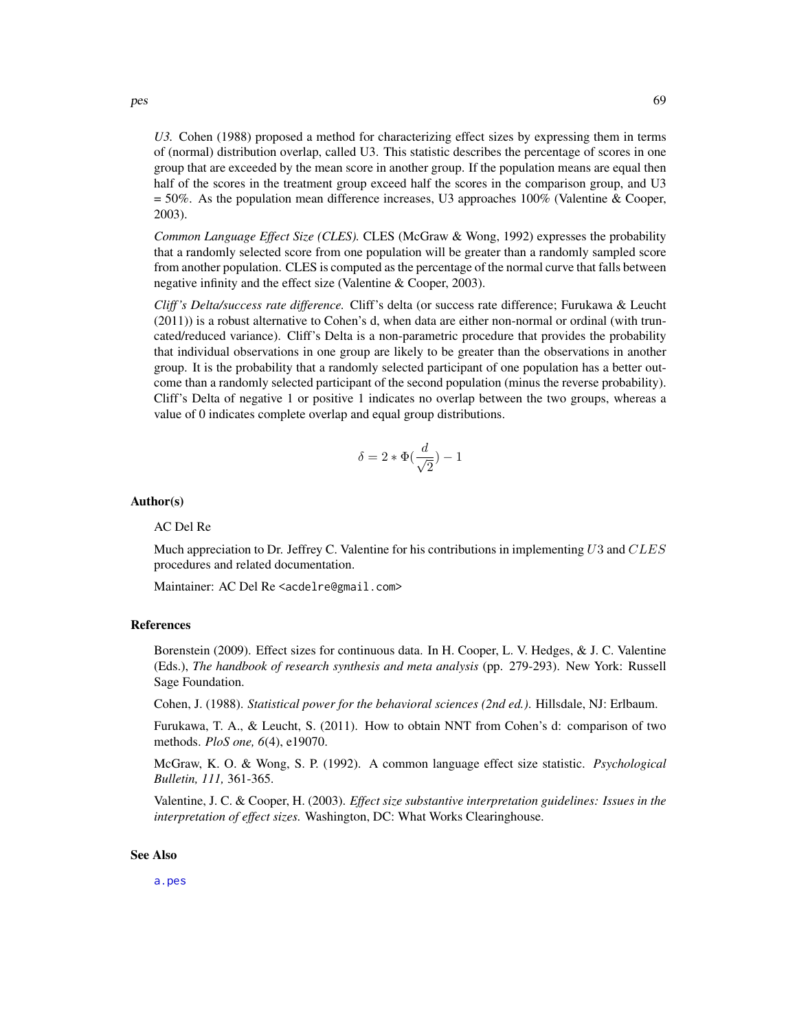*U3.* Cohen (1988) proposed a method for characterizing effect sizes by expressing them in terms of (normal) distribution overlap, called U3. This statistic describes the percentage of scores in one group that are exceeded by the mean score in another group. If the population means are equal then half of the scores in the treatment group exceed half the scores in the comparison group, and U3 = 50%. As the population mean difference increases, U3 approaches 100% (Valentine & Cooper, 2003).

*Common Language Effect Size (CLES).* CLES (McGraw & Wong, 1992) expresses the probability that a randomly selected score from one population will be greater than a randomly sampled score from another population. CLES is computed as the percentage of the normal curve that falls between negative infinity and the effect size (Valentine & Cooper, 2003).

*Cliff 's Delta/success rate difference.* Cliff's delta (or success rate difference; Furukawa & Leucht (2011)) is a robust alternative to Cohen's d, when data are either non-normal or ordinal (with truncated/reduced variance). Cliff's Delta is a non-parametric procedure that provides the probability that individual observations in one group are likely to be greater than the observations in another group. It is the probability that a randomly selected participant of one population has a better outcome than a randomly selected participant of the second population (minus the reverse probability). Cliff's Delta of negative 1 or positive 1 indicates no overlap between the two groups, whereas a value of 0 indicates complete overlap and equal group distributions.

$$
\delta = 2 * \Phi(\frac{d}{\sqrt{2}}) - 1
$$

#### Author(s)

#### AC Del Re

Much appreciation to Dr. Jeffrey C. Valentine for his contributions in implementing  $U3$  and  $CLES$ procedures and related documentation.

Maintainer: AC Del Re <acdelre@gmail.com>

#### References

Borenstein (2009). Effect sizes for continuous data. In H. Cooper, L. V. Hedges, & J. C. Valentine (Eds.), *The handbook of research synthesis and meta analysis* (pp. 279-293). New York: Russell Sage Foundation.

Cohen, J. (1988). *Statistical power for the behavioral sciences (2nd ed.)*. Hillsdale, NJ: Erlbaum.

Furukawa, T. A., & Leucht, S. (2011). How to obtain NNT from Cohen's d: comparison of two methods. *PloS one, 6*(4), e19070.

McGraw, K. O. & Wong, S. P. (1992). A common language effect size statistic. *Psychological Bulletin, 111,* 361-365.

Valentine, J. C. & Cooper, H. (2003). *Effect size substantive interpretation guidelines: Issues in the interpretation of effect sizes.* Washington, DC: What Works Clearinghouse.

### See Also

[a.pes](#page-19-0)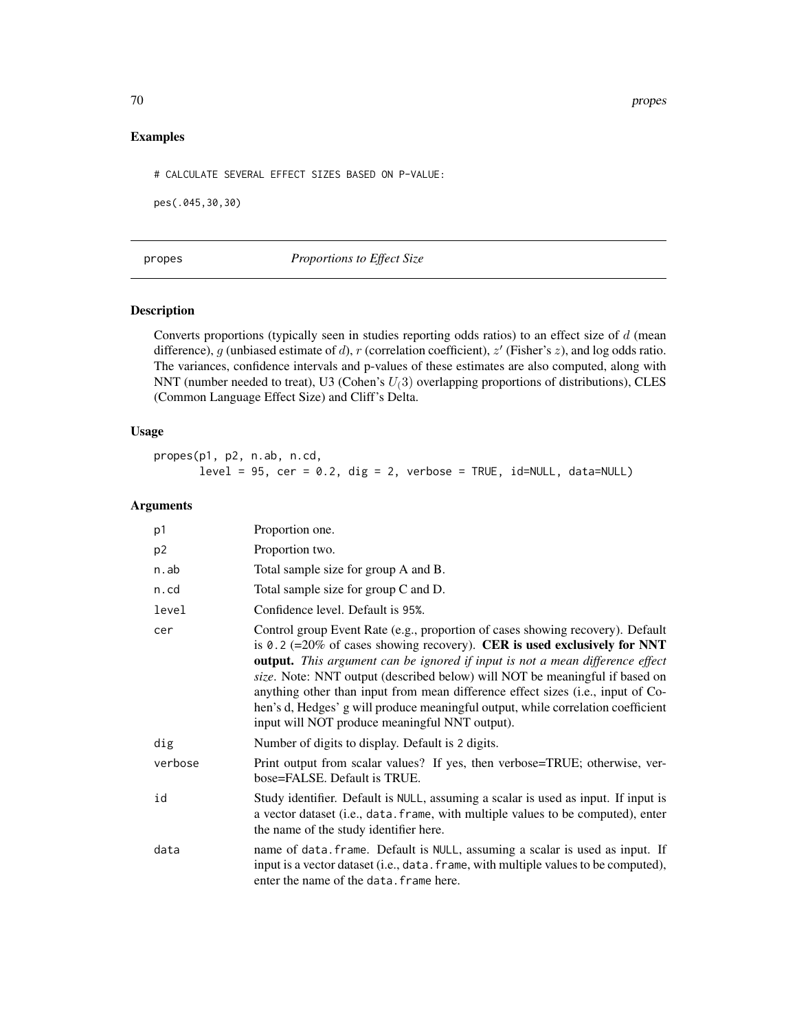70 propes

# Examples

# CALCULATE SEVERAL EFFECT SIZES BASED ON P-VALUE:

pes(.045,30,30)

# <span id="page-69-0"></span>propes *Proportions to Effect Size*

# Description

Converts proportions (typically seen in studies reporting odds ratios) to an effect size of  $d$  (mean difference), g (unbiased estimate of d), r (correlation coefficient),  $z'$  (Fisher's  $z$ ), and log odds ratio. The variances, confidence intervals and p-values of these estimates are also computed, along with NNT (number needed to treat), U3 (Cohen's  $U(3)$  overlapping proportions of distributions), CLES (Common Language Effect Size) and Cliff's Delta.

### Usage

propes(p1, p2, n.ab, n.cd,  $level = 95$ ,  $cer = 0.2$ ,  $dig = 2$ ,  $verbose = TRUE$ ,  $id=NULL$ ,  $data=NULL$ 

# Arguments

| p1      | Proportion one.                                                                                                                                                                                                                                                                                                                                                                                                                                                                                                                                            |
|---------|------------------------------------------------------------------------------------------------------------------------------------------------------------------------------------------------------------------------------------------------------------------------------------------------------------------------------------------------------------------------------------------------------------------------------------------------------------------------------------------------------------------------------------------------------------|
| p2      | Proportion two.                                                                                                                                                                                                                                                                                                                                                                                                                                                                                                                                            |
| n.ab    | Total sample size for group A and B.                                                                                                                                                                                                                                                                                                                                                                                                                                                                                                                       |
| n.cd    | Total sample size for group C and D.                                                                                                                                                                                                                                                                                                                                                                                                                                                                                                                       |
| level   | Confidence level. Default is 95%.                                                                                                                                                                                                                                                                                                                                                                                                                                                                                                                          |
| cer     | Control group Event Rate (e.g., proportion of cases showing recovery). Default<br>is 0.2 (=20% of cases showing recovery). CER is used exclusively for NNT<br><b>output.</b> This argument can be ignored if input is not a mean difference effect<br>size. Note: NNT output (described below) will NOT be meaningful if based on<br>anything other than input from mean difference effect sizes (i.e., input of Co-<br>hen's d, Hedges' g will produce meaningful output, while correlation coefficient<br>input will NOT produce meaningful NNT output). |
| dig     | Number of digits to display. Default is 2 digits.                                                                                                                                                                                                                                                                                                                                                                                                                                                                                                          |
| verbose | Print output from scalar values? If yes, then verbose=TRUE; otherwise, ver-<br>bose=FALSE. Default is TRUE.                                                                                                                                                                                                                                                                                                                                                                                                                                                |
| id      | Study identifier. Default is NULL, assuming a scalar is used as input. If input is<br>a vector dataset (i.e., data. frame, with multiple values to be computed), enter<br>the name of the study identifier here.                                                                                                                                                                                                                                                                                                                                           |
| data    | name of data. frame. Default is NULL, assuming a scalar is used as input. If<br>input is a vector dataset (i.e., data. frame, with multiple values to be computed),<br>enter the name of the data. frame here.                                                                                                                                                                                                                                                                                                                                             |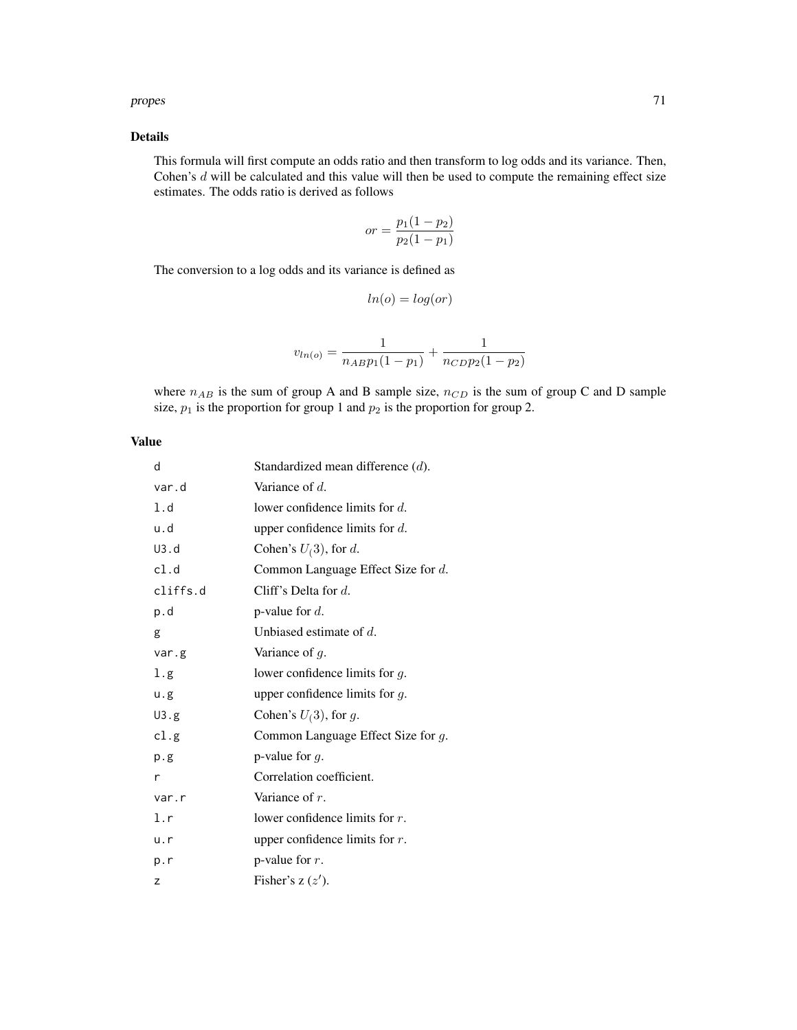#### propes 71

# Details

This formula will first compute an odds ratio and then transform to log odds and its variance. Then, Cohen's  $d$  will be calculated and this value will then be used to compute the remaining effect size estimates. The odds ratio is derived as follows

$$
or = \frac{p_1(1 - p_2)}{p_2(1 - p_1)}
$$

The conversion to a log odds and its variance is defined as

$$
ln(o) = log(or)
$$

$$
v_{ln(o)} = \frac{1}{n_{AB}p_1(1-p_1)} + \frac{1}{n_{CD}p_2(1-p_2)}
$$

where  $n_{AB}$  is the sum of group A and B sample size,  $n_{CD}$  is the sum of group C and D sample size,  $p_1$  is the proportion for group 1 and  $p_2$  is the proportion for group 2.

## Value

| d        | Standardized mean difference $(d)$ . |
|----------|--------------------------------------|
| var.d    | Variance of $d$ .                    |
| 1.d      | lower confidence limits for $d$ .    |
| u.d      | upper confidence limits for $d$ .    |
| U3.d     | Cohen's $U(3)$ , for d.              |
| cl.d     | Common Language Effect Size for d.   |
| cliffs.d | Cliff's Delta for $d$ .              |
| p.d      | p-value for $d$ .                    |
| g        | Unbiased estimate of $d$ .           |
| var.g    | Variance of $g$ .                    |
| 1.g      | lower confidence limits for $g$ .    |
| u.g.     | upper confidence limits for $g$ .    |
| U3.g     | Cohen's $U(3)$ , for g.              |
| cl.g     | Common Language Effect Size for g.   |
| p.g      | p-value for $q$ .                    |
| r        | Correlation coefficient.             |
| var.r    | Variance of $r$ .                    |
| 1.r      | lower confidence limits for $r$ .    |
| u.r      | upper confidence limits for $r$ .    |
| p.r      | p-value for $r$ .                    |
| z        | Fisher's $z(z')$ .                   |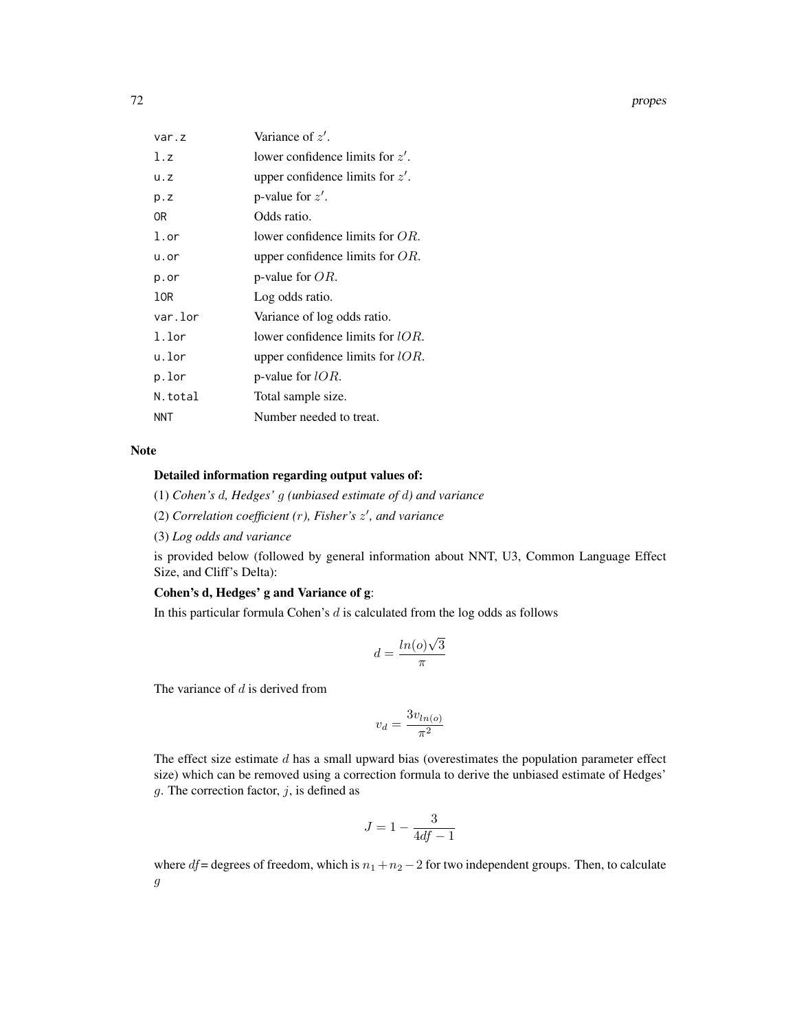72 propes

| var.z        | Variance of z'.                     |
|--------------|-------------------------------------|
| 1.7          | lower confidence limits for $z'$ .  |
| u.z          | upper confidence limits for $z'$ .  |
| p. z         | p-value for $z'$ .                  |
| 0R           | Odds ratio.                         |
| $1.\sigma r$ | lower confidence limits for $OR$ .  |
| u.or         | upper confidence limits for $OR$ .  |
| p.or         | p-value for $OR$ .                  |
| 10R          | Log odds ratio.                     |
| var.lor      | Variance of log odds ratio.         |
| $1.1$ or     | lower confidence limits for $lOR$ . |
| u.lor        | upper confidence limits for $lOR$ . |
| p.lor        | p-value for $lOR$ .                 |
| N.total      | Total sample size.                  |
| <b>NNT</b>   | Number needed to treat.             |

# Note

# Detailed information regarding output values of:

(1) *Cohen's* d*, Hedges'* g *(unbiased estimate of* d*) and variance*

(2) *Correlation coefficient (*r*), Fisher's* z 0 *, and variance*

(3) *Log odds and variance*

is provided below (followed by general information about NNT, U3, Common Language Effect Size, and Cliff's Delta):

# Cohen's d, Hedges' g and Variance of g:

In this particular formula Cohen's  $d$  is calculated from the log odds as follows

$$
d = \frac{\ln(o)\sqrt{3}}{\pi}
$$

The variance of  $d$  is derived from

$$
v_d = \frac{3v_{ln(o)}}{\pi^2}
$$

The effect size estimate  $d$  has a small upward bias (overestimates the population parameter effect size) which can be removed using a correction formula to derive the unbiased estimate of Hedges'  $g$ . The correction factor,  $j$ , is defined as

$$
J = 1 - \frac{3}{4df - 1}
$$

where  $df$  = degrees of freedom, which is  $n_1 + n_2 - 2$  for two independent groups. Then, to calculate g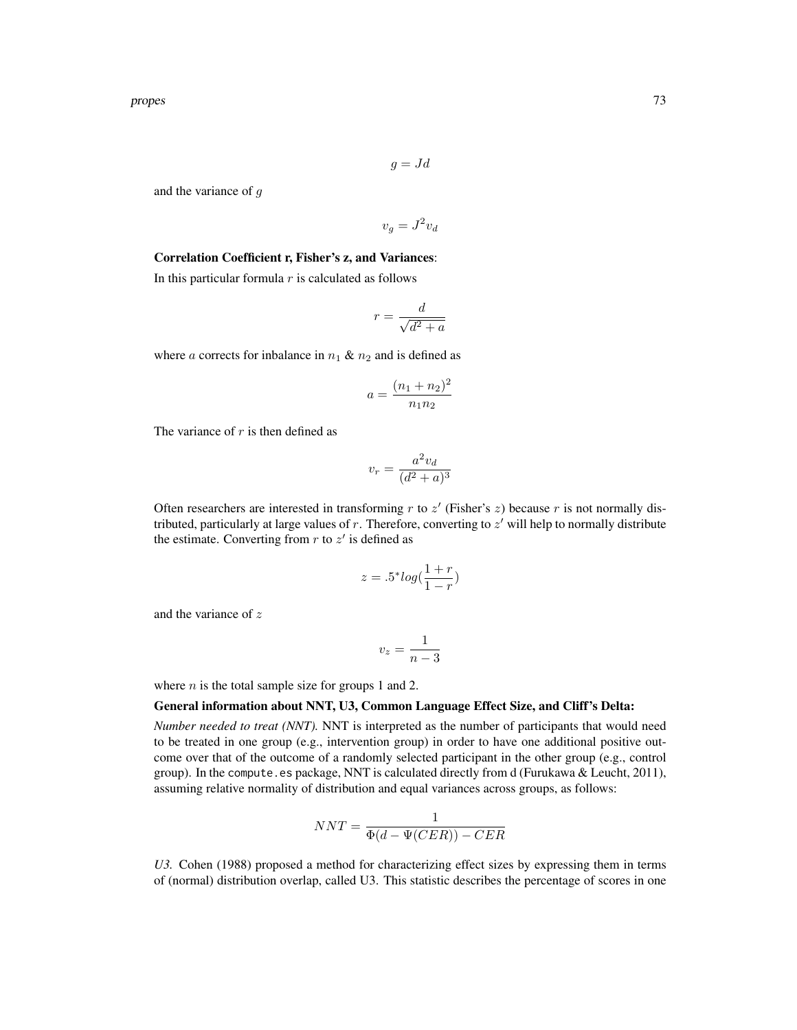$$
g = Jd
$$

and the variance of g

$$
v_g = J^2 v_d
$$

#### Correlation Coefficient r, Fisher's z, and Variances:

In this particular formula  $r$  is calculated as follows

$$
r = \frac{d}{\sqrt{d^2 + a}}
$$

where a corrects for inbalance in  $n_1 \& n_2$  and is defined as

$$
a = \frac{(n_1 + n_2)^2}{n_1 n_2}
$$

The variance of  $r$  is then defined as

$$
v_r = \frac{a^2 v_d}{(d^2 + a)^3}
$$

Often researchers are interested in transforming  $r$  to  $z'$  (Fisher's  $z$ ) because  $r$  is not normally distributed, particularly at large values of  $r$ . Therefore, converting to  $z'$  will help to normally distribute the estimate. Converting from  $r$  to  $z'$  is defined as

$$
z = .5^* \log(\frac{1+r}{1-r})
$$

and the variance of z

$$
v_z = \frac{1}{n-3}
$$

where  $n$  is the total sample size for groups 1 and 2.

## General information about NNT, U3, Common Language Effect Size, and Cliff's Delta:

*Number needed to treat (NNT).* NNT is interpreted as the number of participants that would need to be treated in one group (e.g., intervention group) in order to have one additional positive outcome over that of the outcome of a randomly selected participant in the other group (e.g., control group). In the compute.es package, NNT is calculated directly from d (Furukawa & Leucht, 2011), assuming relative normality of distribution and equal variances across groups, as follows:

$$
NNT = \frac{1}{\Phi(d - \Psi(CER)) - CER}
$$

*U3.* Cohen (1988) proposed a method for characterizing effect sizes by expressing them in terms of (normal) distribution overlap, called U3. This statistic describes the percentage of scores in one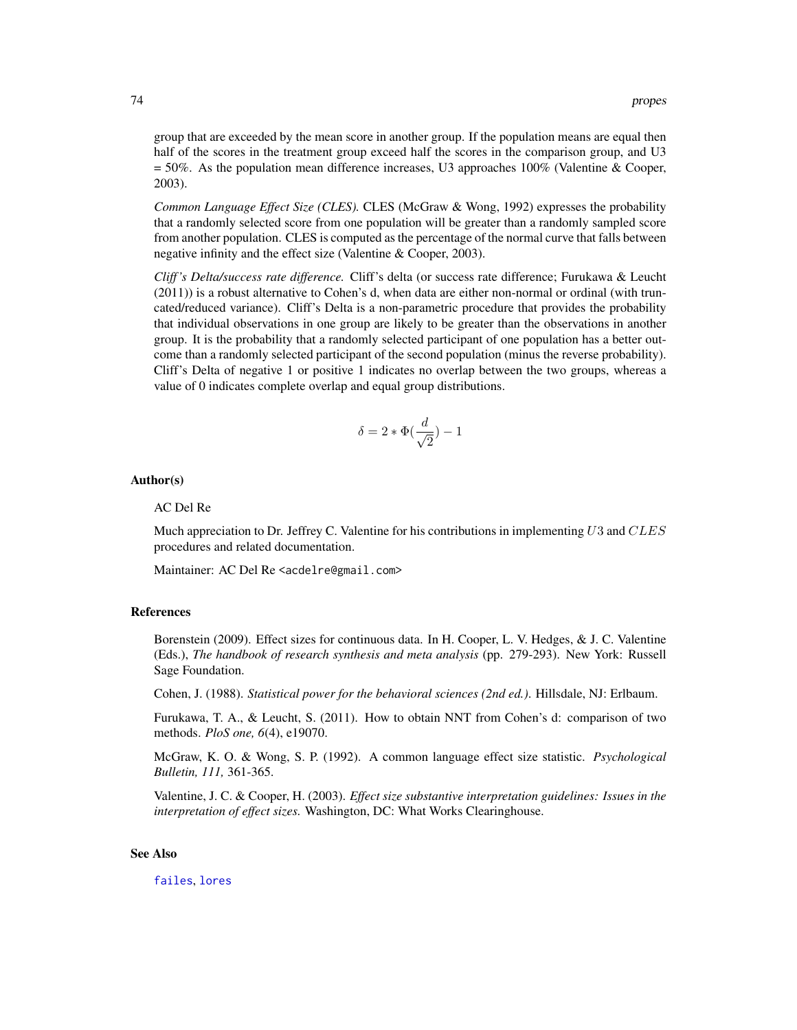<span id="page-73-0"></span>group that are exceeded by the mean score in another group. If the population means are equal then half of the scores in the treatment group exceed half the scores in the comparison group, and U3  $= 50\%$ . As the population mean difference increases, U3 approaches 100% (Valentine & Cooper, 2003).

*Common Language Effect Size (CLES).* CLES (McGraw & Wong, 1992) expresses the probability that a randomly selected score from one population will be greater than a randomly sampled score from another population. CLES is computed as the percentage of the normal curve that falls between negative infinity and the effect size (Valentine & Cooper, 2003).

*Cliff 's Delta/success rate difference.* Cliff's delta (or success rate difference; Furukawa & Leucht (2011)) is a robust alternative to Cohen's d, when data are either non-normal or ordinal (with truncated/reduced variance). Cliff's Delta is a non-parametric procedure that provides the probability that individual observations in one group are likely to be greater than the observations in another group. It is the probability that a randomly selected participant of one population has a better outcome than a randomly selected participant of the second population (minus the reverse probability). Cliff's Delta of negative 1 or positive 1 indicates no overlap between the two groups, whereas a value of 0 indicates complete overlap and equal group distributions.

$$
\delta=2*\Phi(\frac{d}{\sqrt{2}})-1
$$

#### Author(s)

#### AC Del Re

Much appreciation to Dr. Jeffrey C. Valentine for his contributions in implementing  $U3$  and  $CLES$ procedures and related documentation.

Maintainer: AC Del Re <acdelre@gmail.com>

#### References

Borenstein (2009). Effect sizes for continuous data. In H. Cooper, L. V. Hedges, & J. C. Valentine (Eds.), *The handbook of research synthesis and meta analysis* (pp. 279-293). New York: Russell Sage Foundation.

Cohen, J. (1988). *Statistical power for the behavioral sciences (2nd ed.)*. Hillsdale, NJ: Erlbaum.

Furukawa, T. A., & Leucht, S. (2011). How to obtain NNT from Cohen's d: comparison of two methods. *PloS one, 6*(4), e19070.

McGraw, K. O. & Wong, S. P. (1992). A common language effect size statistic. *Psychological Bulletin, 111,* 361-365.

Valentine, J. C. & Cooper, H. (2003). *Effect size substantive interpretation guidelines: Issues in the interpretation of effect sizes.* Washington, DC: What Works Clearinghouse.

## See Also

[failes](#page-39-0), [lores](#page-49-0)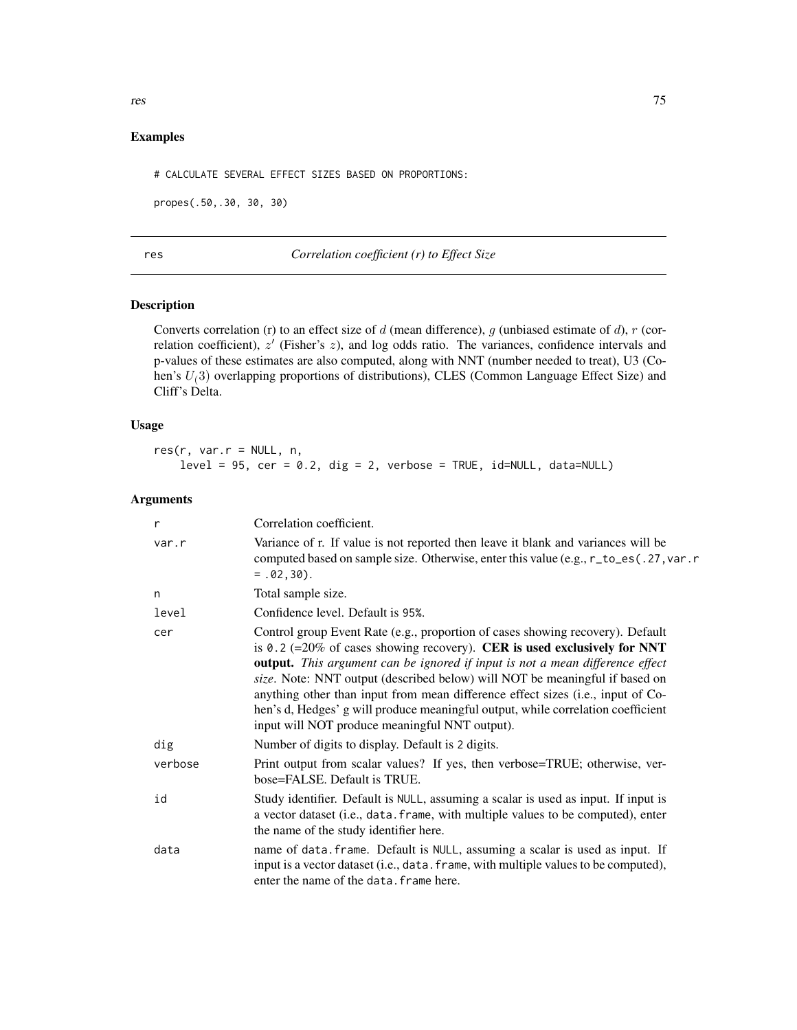# <span id="page-74-0"></span>Examples

# CALCULATE SEVERAL EFFECT SIZES BASED ON PROPORTIONS:

propes(.50,.30, 30, 30)

res *Correlation coefficient (r) to Effect Size*

## Description

Converts correlation (r) to an effect size of d (mean difference), g (unbiased estimate of d), r (correlation coefficient),  $z'$  (Fisher's  $z$ ), and log odds ratio. The variances, confidence intervals and p-values of these estimates are also computed, along with NNT (number needed to treat), U3 (Cohen's  $U(3)$  overlapping proportions of distributions), CLES (Common Language Effect Size) and Cliff's Delta.

#### Usage

res(r, var.r = NULL, n,  $level = 95$ ,  $cer = 0.2$ ,  $dig = 2$ ,  $verbose = TRUE$ ,  $id=NULL$ ,  $data=NULL$ 

## Arguments

| r       | Correlation coefficient.                                                                                                                                                                                                                                                                                                                                                                                                                                                                                                                                       |
|---------|----------------------------------------------------------------------------------------------------------------------------------------------------------------------------------------------------------------------------------------------------------------------------------------------------------------------------------------------------------------------------------------------------------------------------------------------------------------------------------------------------------------------------------------------------------------|
| var.r   | Variance of r. If value is not reported then leave it blank and variances will be<br>computed based on sample size. Otherwise, enter this value (e.g., r_to_es(.27, var.r<br>$= .02, 30$ .                                                                                                                                                                                                                                                                                                                                                                     |
| n       | Total sample size.                                                                                                                                                                                                                                                                                                                                                                                                                                                                                                                                             |
| level   | Confidence level. Default is 95%.                                                                                                                                                                                                                                                                                                                                                                                                                                                                                                                              |
| cer     | Control group Event Rate (e.g., proportion of cases showing recovery). Default<br>is 0.2 (= $20\%$ of cases showing recovery). CER is used exclusively for NNT<br><b>output.</b> This argument can be ignored if input is not a mean difference effect<br>size. Note: NNT output (described below) will NOT be meaningful if based on<br>anything other than input from mean difference effect sizes (i.e., input of Co-<br>hen's d, Hedges' g will produce meaningful output, while correlation coefficient<br>input will NOT produce meaningful NNT output). |
| dig     | Number of digits to display. Default is 2 digits.                                                                                                                                                                                                                                                                                                                                                                                                                                                                                                              |
| verbose | Print output from scalar values? If yes, then verbose=TRUE; otherwise, ver-<br>bose=FALSE. Default is TRUE.                                                                                                                                                                                                                                                                                                                                                                                                                                                    |
| id      | Study identifier. Default is NULL, assuming a scalar is used as input. If input is<br>a vector dataset (i.e., data. frame, with multiple values to be computed), enter<br>the name of the study identifier here.                                                                                                                                                                                                                                                                                                                                               |
| data    | name of data. frame. Default is NULL, assuming a scalar is used as input. If<br>input is a vector dataset (i.e., data. frame, with multiple values to be computed),<br>enter the name of the data. frame here.                                                                                                                                                                                                                                                                                                                                                 |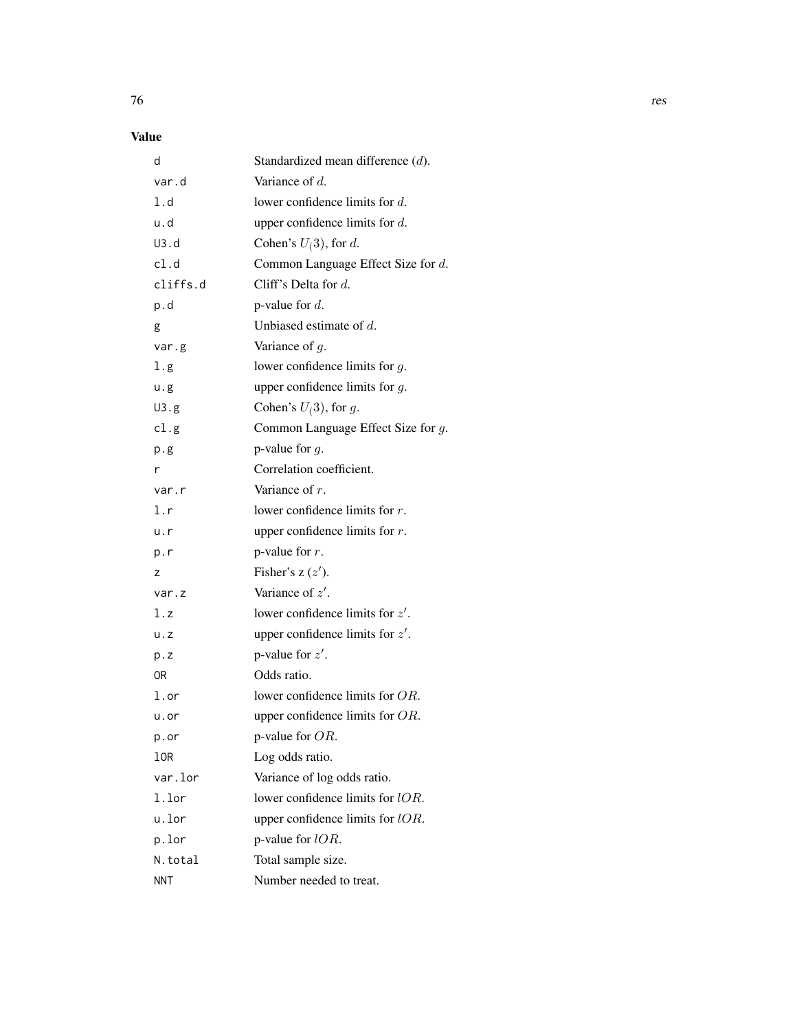# Value

| d          | Standardized mean difference $(d)$ . |
|------------|--------------------------------------|
| var.d      | Variance of $d$ .                    |
| 1.d        | lower confidence limits for $d$ .    |
| u.d        | upper confidence limits for $d$ .    |
| U3.d       | Cohen's $U(3)$ , for d.              |
| cl.d       | Common Language Effect Size for d.   |
| cliffs.d   | Cliff's Delta for $d$ .              |
| p.d        | p-value for $d$ .                    |
| g          | Unbiased estimate of $d$ .           |
| var.g      | Variance of $g$ .                    |
| l.g        | lower confidence limits for $g$ .    |
| u.g        | upper confidence limits for $g$ .    |
| U3.g       | Cohen's $U(3)$ , for g.              |
| cl.g       | Common Language Effect Size for g.   |
| p.g        | p-value for $g$ .                    |
| r          | Correlation coefficient.             |
| var.r      | Variance of $r$ .                    |
| l.r        | lower confidence limits for $r$ .    |
| u.r        | upper confidence limits for $r$ .    |
| p.r        | p-value for $r$ .                    |
| z          | Fisher's $z(z')$ .                   |
| var.z      | Variance of $z'$ .                   |
| l.z        | lower confidence limits for $z'$ .   |
| u. z       | upper confidence limits for $z'$ .   |
| p.z        | p-value for $z'$ .                   |
| 0R         | Odds ratio.                          |
| l.or       | lower confidence limits for OR.      |
| u.or       | upper confidence limits for $OR$ .   |
| p.or       | p-value for OR.                      |
| lOR        | Log odds ratio.                      |
| var.lor    | Variance of log odds ratio.          |
| 1.lor      | lower confidence limits for lOR.     |
| u.lor      | upper confidence limits for $lOR$ .  |
| p.lor      | p-value for $lOR$ .                  |
| N.total    | Total sample size.                   |
| <b>NNT</b> | Number needed to treat.              |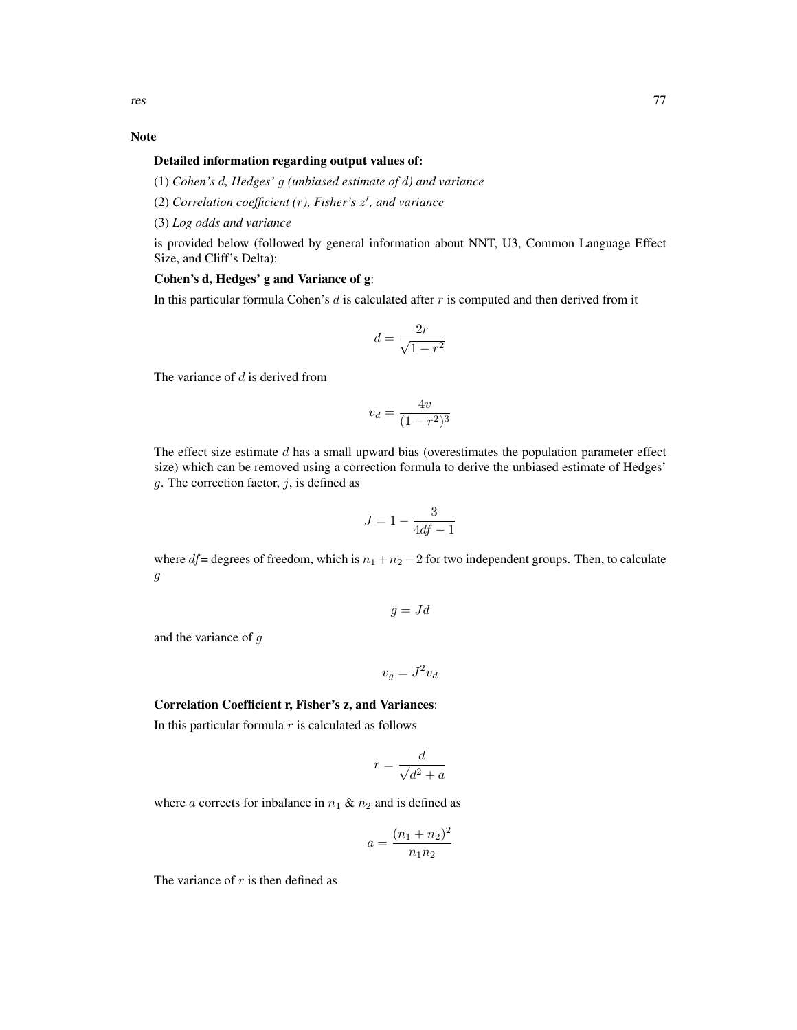#### Note

#### Detailed information regarding output values of:

(1) *Cohen's* d*, Hedges'* g *(unbiased estimate of* d*) and variance*

(2) *Correlation coefficient (*r*), Fisher's* z 0 *, and variance*

(3) *Log odds and variance*

is provided below (followed by general information about NNT, U3, Common Language Effect Size, and Cliff's Delta):

# Cohen's d, Hedges' g and Variance of g:

In this particular formula Cohen's  $d$  is calculated after  $r$  is computed and then derived from it

$$
d=\frac{2r}{\sqrt{1-r^2}}
$$

The variance of  $d$  is derived from

$$
v_d = \frac{4v}{(1 - r^2)^3}
$$

The effect size estimate  $d$  has a small upward bias (overestimates the population parameter effect size) which can be removed using a correction formula to derive the unbiased estimate of Hedges' g. The correction factor,  $j$ , is defined as

$$
J = 1 - \frac{3}{4df - 1}
$$

where df = degrees of freedom, which is  $n_1 + n_2 - 2$  for two independent groups. Then, to calculate g

$$
g = Jd
$$

and the variance of g

$$
v_g = J^2 v_d
$$

#### Correlation Coefficient r, Fisher's z, and Variances:

In this particular formula  $r$  is calculated as follows

$$
r = \frac{d}{\sqrt{d^2 + a}}
$$

where a corrects for inbalance in  $n_1 \& n_2$  and is defined as

$$
a = \frac{(n_1 + n_2)^2}{n_1 n_2}
$$

The variance of  $r$  is then defined as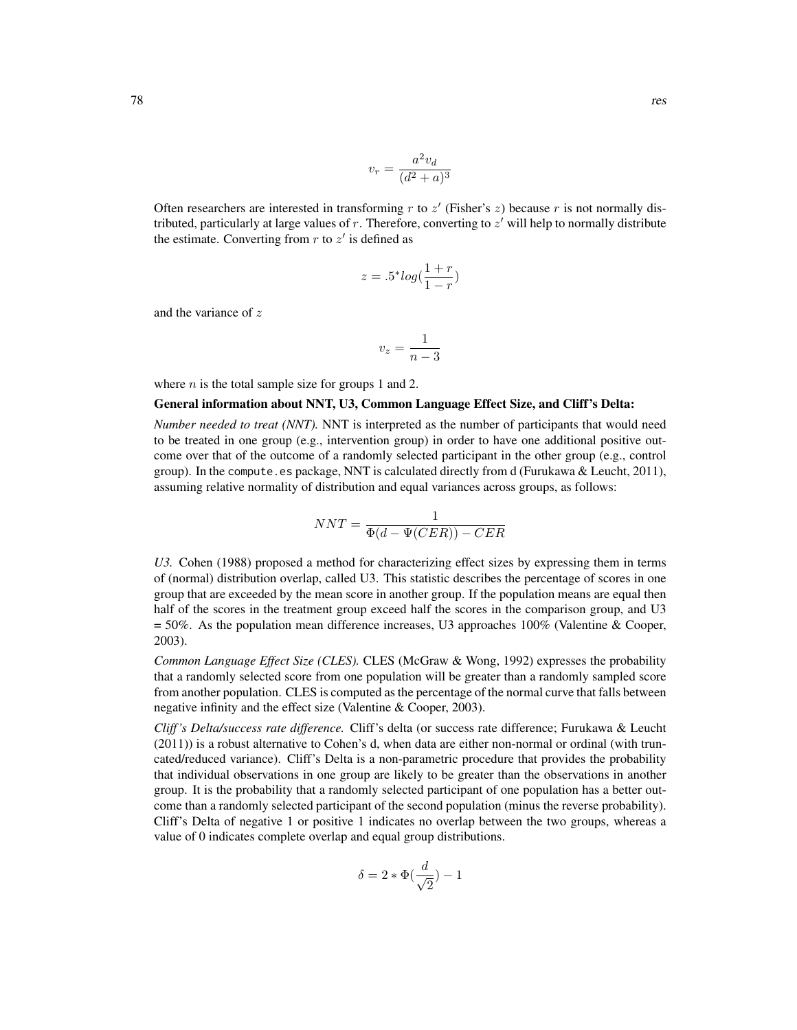$$
v_r = \frac{a^2 v_d}{(d^2 + a)^3}
$$

Often researchers are interested in transforming  $r$  to  $z'$  (Fisher's  $z$ ) because  $r$  is not normally distributed, particularly at large values of  $r$ . Therefore, converting to  $z'$  will help to normally distribute the estimate. Converting from  $r$  to  $z'$  is defined as

$$
z = .5^* \log(\frac{1+r}{1-r})
$$

and the variance of z

$$
v_z = \frac{1}{n-3}
$$

where  $n$  is the total sample size for groups 1 and 2.

#### General information about NNT, U3, Common Language Effect Size, and Cliff's Delta:

*Number needed to treat (NNT).* NNT is interpreted as the number of participants that would need to be treated in one group (e.g., intervention group) in order to have one additional positive outcome over that of the outcome of a randomly selected participant in the other group (e.g., control group). In the compute.es package, NNT is calculated directly from d (Furukawa & Leucht, 2011), assuming relative normality of distribution and equal variances across groups, as follows:

$$
NNT = \frac{1}{\Phi(d - \Psi(CER)) - CER}
$$

*U3.* Cohen (1988) proposed a method for characterizing effect sizes by expressing them in terms of (normal) distribution overlap, called U3. This statistic describes the percentage of scores in one group that are exceeded by the mean score in another group. If the population means are equal then half of the scores in the treatment group exceed half the scores in the comparison group, and U3  $= 50\%$ . As the population mean difference increases, U3 approaches 100% (Valentine & Cooper, 2003).

*Common Language Effect Size (CLES).* CLES (McGraw & Wong, 1992) expresses the probability that a randomly selected score from one population will be greater than a randomly sampled score from another population. CLES is computed as the percentage of the normal curve that falls between negative infinity and the effect size (Valentine & Cooper, 2003).

*Cliff 's Delta/success rate difference.* Cliff's delta (or success rate difference; Furukawa & Leucht (2011)) is a robust alternative to Cohen's d, when data are either non-normal or ordinal (with truncated/reduced variance). Cliff's Delta is a non-parametric procedure that provides the probability that individual observations in one group are likely to be greater than the observations in another group. It is the probability that a randomly selected participant of one population has a better outcome than a randomly selected participant of the second population (minus the reverse probability). Cliff's Delta of negative 1 or positive 1 indicates no overlap between the two groups, whereas a value of 0 indicates complete overlap and equal group distributions.

$$
\delta = 2 * \Phi(\frac{d}{\sqrt{2}}) - 1
$$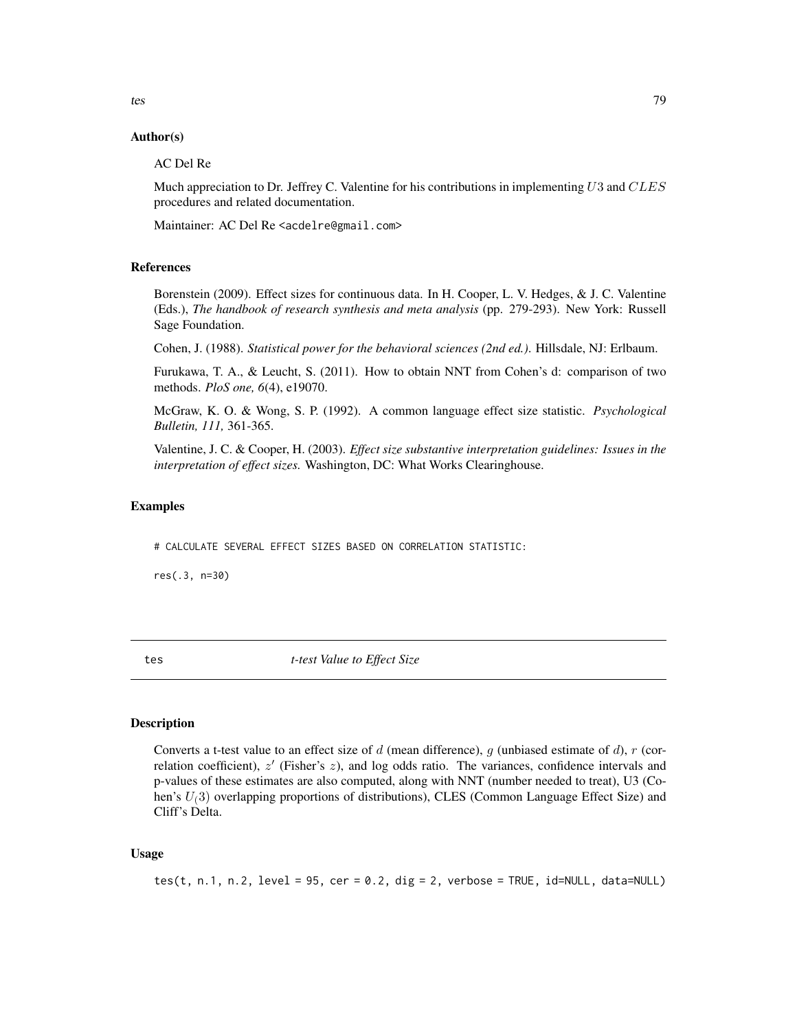#### Author(s)

#### AC Del Re

Much appreciation to Dr. Jeffrey C. Valentine for his contributions in implementing  $U3$  and  $CLES$ procedures and related documentation.

Maintainer: AC Del Re <acdelre@gmail.com>

#### References

Borenstein (2009). Effect sizes for continuous data. In H. Cooper, L. V. Hedges, & J. C. Valentine (Eds.), *The handbook of research synthesis and meta analysis* (pp. 279-293). New York: Russell Sage Foundation.

Cohen, J. (1988). *Statistical power for the behavioral sciences (2nd ed.)*. Hillsdale, NJ: Erlbaum.

Furukawa, T. A., & Leucht, S. (2011). How to obtain NNT from Cohen's d: comparison of two methods. *PloS one, 6*(4), e19070.

McGraw, K. O. & Wong, S. P. (1992). A common language effect size statistic. *Psychological Bulletin, 111,* 361-365.

Valentine, J. C. & Cooper, H. (2003). *Effect size substantive interpretation guidelines: Issues in the interpretation of effect sizes.* Washington, DC: What Works Clearinghouse.

#### Examples

# CALCULATE SEVERAL EFFECT SIZES BASED ON CORRELATION STATISTIC:

res(.3, n=30)

tes *t-test Value to Effect Size*

# **Description**

Converts a t-test value to an effect size of d (mean difference), q (unbiased estimate of d),  $r$  (correlation coefficient),  $z'$  (Fisher's  $z$ ), and log odds ratio. The variances, confidence intervals and p-values of these estimates are also computed, along with NNT (number needed to treat), U3 (Cohen's  $U(3)$  overlapping proportions of distributions), CLES (Common Language Effect Size) and Cliff's Delta.

#### Usage

tes(t, n.1, n.2, level =  $95$ , cer =  $0.2$ , dig = 2, verbose = TRUE, id=NULL, data=NULL)

<span id="page-78-0"></span>tes tes and the set of the set of the set of the set of the set of the set of the set of the set of the set of the set of the set of the set of the set of the set of the set of the set of the set of the set of the set of t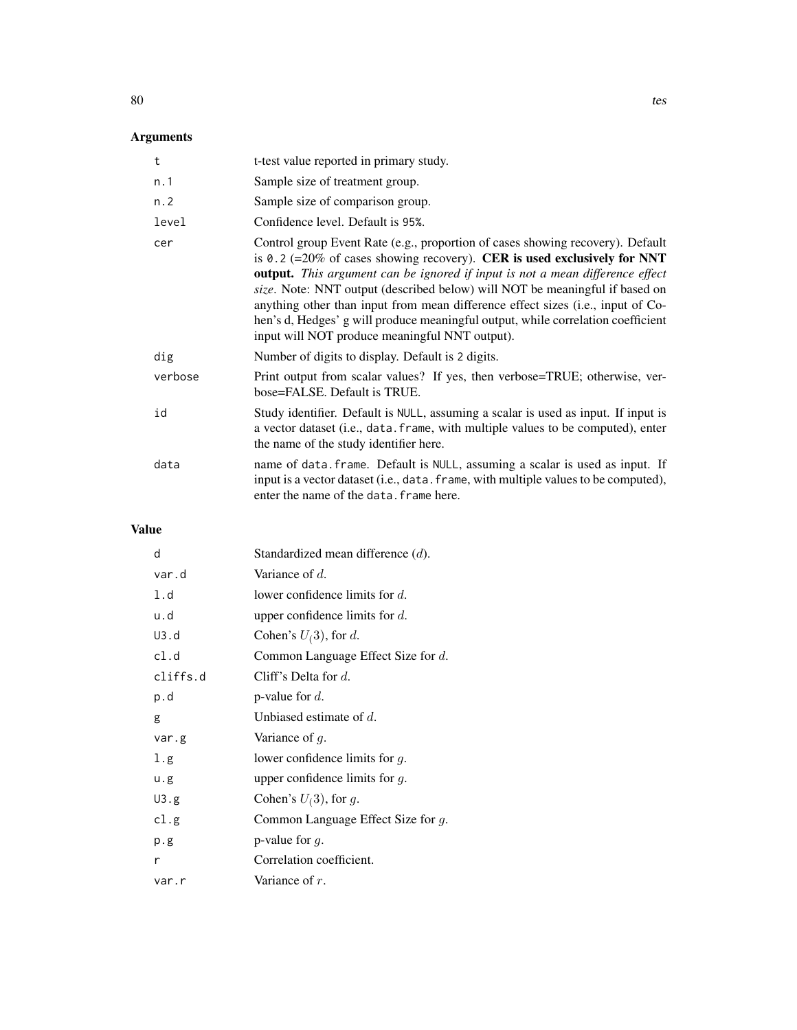# Arguments

| t       | t-test value reported in primary study.                                                                                                                                                                                                                                                                                                                                                                                                                                                                                                             |
|---------|-----------------------------------------------------------------------------------------------------------------------------------------------------------------------------------------------------------------------------------------------------------------------------------------------------------------------------------------------------------------------------------------------------------------------------------------------------------------------------------------------------------------------------------------------------|
| n.1     | Sample size of treatment group.                                                                                                                                                                                                                                                                                                                                                                                                                                                                                                                     |
| n.2     | Sample size of comparison group.                                                                                                                                                                                                                                                                                                                                                                                                                                                                                                                    |
| level   | Confidence level. Default is 95%.                                                                                                                                                                                                                                                                                                                                                                                                                                                                                                                   |
| cer     | Control group Event Rate (e.g., proportion of cases showing recovery). Default<br>is 0.2 (=20% of cases showing recovery). CER is used exclusively for NNT<br>output. This argument can be ignored if input is not a mean difference effect<br>size. Note: NNT output (described below) will NOT be meaningful if based on<br>anything other than input from mean difference effect sizes (i.e., input of Co-<br>hen's d, Hedges' g will produce meaningful output, while correlation coefficient<br>input will NOT produce meaningful NNT output). |
| dig     | Number of digits to display. Default is 2 digits.                                                                                                                                                                                                                                                                                                                                                                                                                                                                                                   |
| verbose | Print output from scalar values? If yes, then verbose=TRUE; otherwise, ver-<br>bose=FALSE. Default is TRUE.                                                                                                                                                                                                                                                                                                                                                                                                                                         |
| id      | Study identifier. Default is NULL, assuming a scalar is used as input. If input is<br>a vector dataset (i.e., data. frame, with multiple values to be computed), enter<br>the name of the study identifier here.                                                                                                                                                                                                                                                                                                                                    |
| data    | name of data. frame. Default is NULL, assuming a scalar is used as input. If<br>input is a vector dataset (i.e., data. frame, with multiple values to be computed),<br>enter the name of the data. frame here.                                                                                                                                                                                                                                                                                                                                      |

# Value

| d        | Standardized mean difference $(d)$ .  |
|----------|---------------------------------------|
| var.d    | Variance of $d$ .                     |
| 1.d      | lower confidence limits for $d$ .     |
| u.d      | upper confidence limits for $d$ .     |
| U3.d     | Cohen's $U(3)$ , for d.               |
| cl.d     | Common Language Effect Size for $d$ . |
| cliffs.d | Cliff's Delta for $d$ .               |
| p.d      | p-value for $d$ .                     |
| g        | Unbiased estimate of $d$ .            |
| var.g    | Variance of $g$ .                     |
| 1.g      | lower confidence limits for $q$ .     |
| u.g      | upper confidence limits for $q$ .     |
| U3.g     | Cohen's $U(3)$ , for g.               |
| cl.g     | Common Language Effect Size for $g$ . |
| p.g      | p-value for $q$ .                     |
| r        | Correlation coefficient.              |
| var.r    | Variance of $r$ .                     |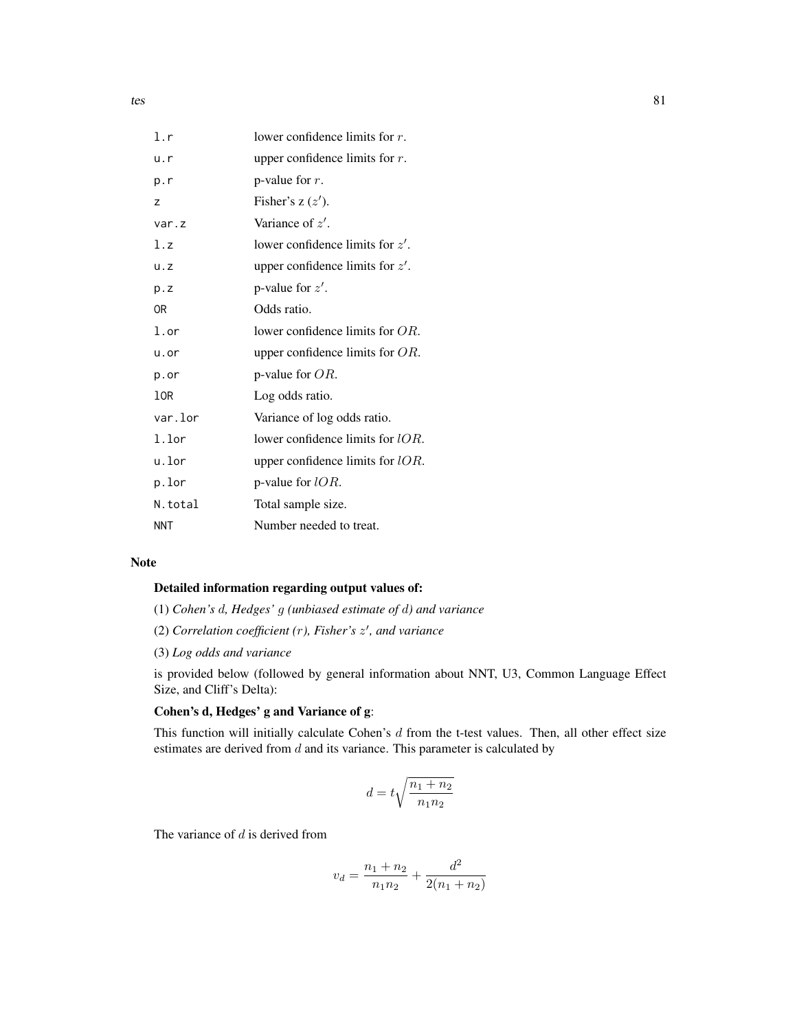| l.r        | lower confidence limits for $r$ .   |
|------------|-------------------------------------|
| u.r        | upper confidence limits for $r$ .   |
| p.r        | p-value for $r$ .                   |
| Z          | Fisher's $z(z')$ .                  |
| var.z      | Variance of $z'$ .                  |
| l.z        | lower confidence limits for $z'$ .  |
| u. z       | upper confidence limits for $z'$ .  |
| p.Z        | p-value for $z'$ .                  |
| 0R         | Odds ratio.                         |
| l.or       | lower confidence limits for $OR$ .  |
| u.or       | upper confidence limits for $OR$ .  |
| p.or       | p-value for $OR$ .                  |
| 10R        | Log odds ratio.                     |
| var.lor    | Variance of log odds ratio.         |
| l.lor      | lower confidence limits for $lOR$ . |
| u.lor      | upper confidence limits for $lOR$ . |
| p.lor      | p-value for $lOR$ .                 |
| N.total    | Total sample size.                  |
| <b>NNT</b> | Number needed to treat.             |

## Note

## Detailed information regarding output values of:

- (1) *Cohen's* d*, Hedges'* g *(unbiased estimate of* d*) and variance*
- (2) *Correlation coefficient (*r*), Fisher's* z 0 *, and variance*
- (3) *Log odds and variance*

is provided below (followed by general information about NNT, U3, Common Language Effect Size, and Cliff's Delta):

# Cohen's d, Hedges' g and Variance of g:

This function will initially calculate Cohen's  $d$  from the t-test values. Then, all other effect size estimates are derived from  $d$  and its variance. This parameter is calculated by

$$
d=t\sqrt{\frac{n_1+n_2}{n_1n_2}}
$$

The variance of  $d$  is derived from

$$
v_d = \frac{n_1 + n_2}{n_1 n_2} + \frac{d^2}{2(n_1 + n_2)}
$$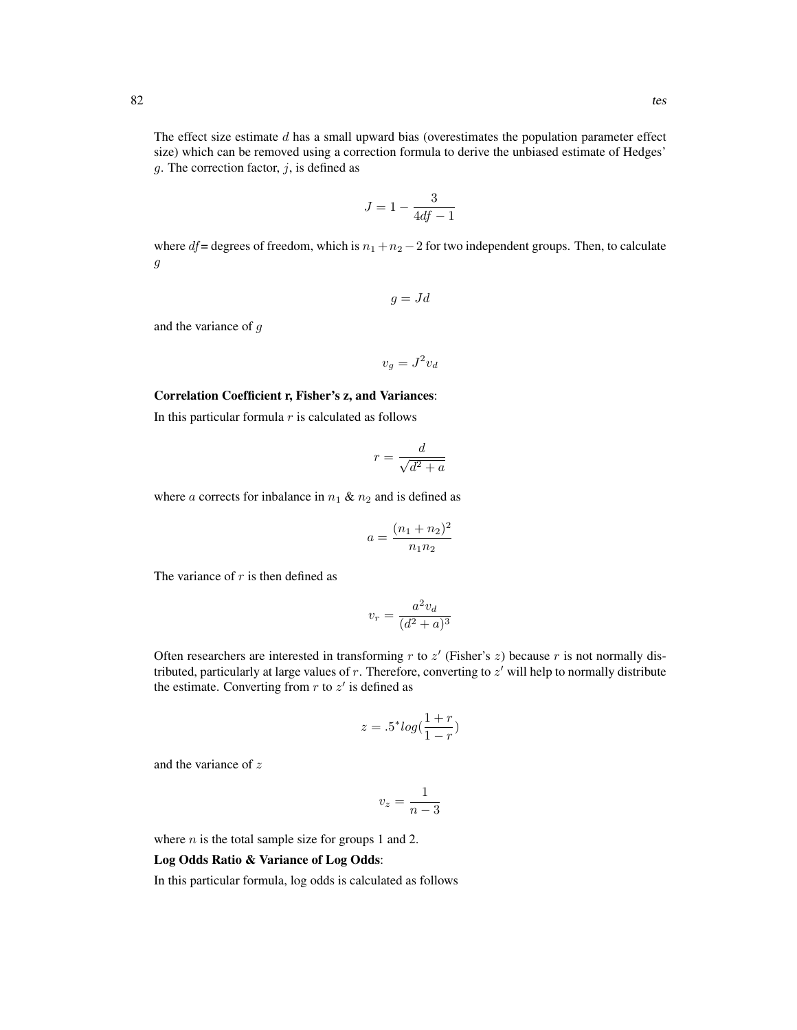The effect size estimate  $d$  has a small upward bias (overestimates the population parameter effect size) which can be removed using a correction formula to derive the unbiased estimate of Hedges'  $g$ . The correction factor,  $j$ , is defined as

$$
J = 1 - \frac{3}{4df - 1}
$$

where df = degrees of freedom, which is  $n_1 + n_2 - 2$  for two independent groups. Then, to calculate g

$$
g = Jd
$$

and the variance of g

$$
v_g = J^2 v_d
$$

#### Correlation Coefficient r, Fisher's z, and Variances:

In this particular formula  $r$  is calculated as follows

$$
r = \frac{d}{\sqrt{d^2 + a}}
$$

where a corrects for inbalance in  $n_1 \& n_2$  and is defined as

$$
a = \frac{(n_1 + n_2)^2}{n_1 n_2}
$$

The variance of  $r$  is then defined as

$$
v_r = \frac{a^2 v_d}{(d^2 + a)^3}
$$

Often researchers are interested in transforming  $r$  to  $z'$  (Fisher's  $z$ ) because  $r$  is not normally distributed, particularly at large values of  $r$ . Therefore, converting to  $z'$  will help to normally distribute the estimate. Converting from  $r$  to  $z'$  is defined as

$$
z = .5^* \log(\frac{1+r}{1-r})
$$

and the variance of z

$$
v_z=\frac{1}{n-3}
$$

where  $n$  is the total sample size for groups 1 and 2.

## Log Odds Ratio & Variance of Log Odds:

In this particular formula, log odds is calculated as follows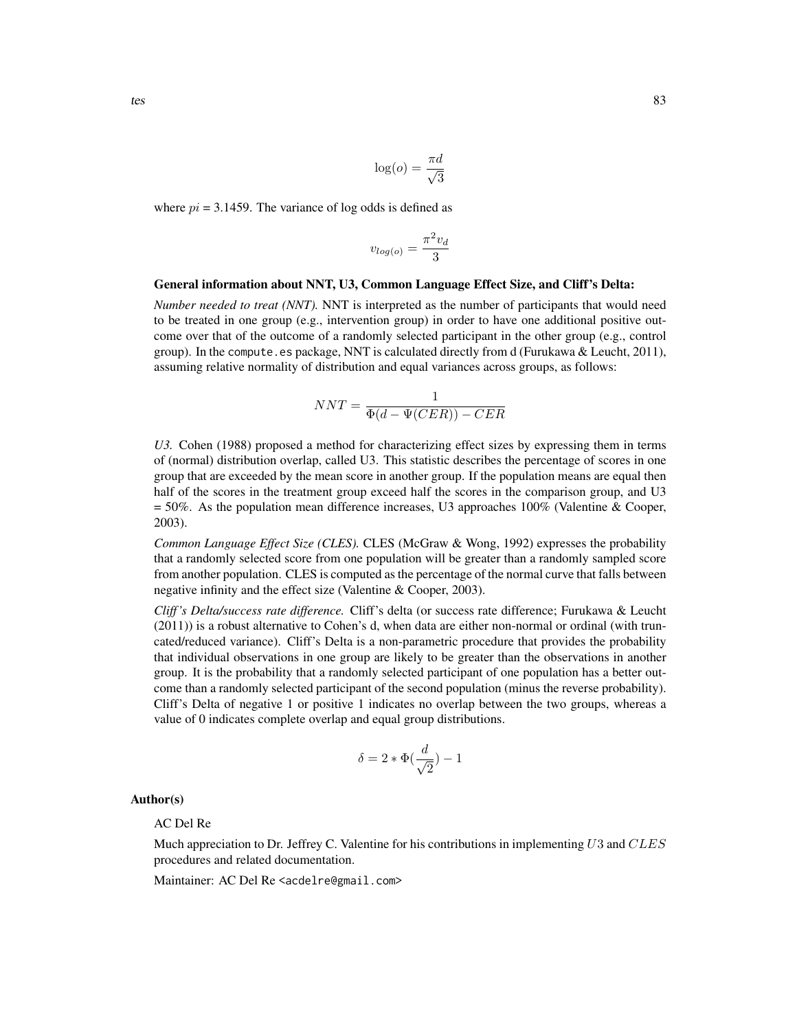$$
\log(o) = \frac{\pi d}{\sqrt{3}}
$$

where  $pi = 3.1459$ . The variance of log odds is defined as

$$
v_{log(o)} = \frac{\pi^2 v_d}{3}
$$

#### General information about NNT, U3, Common Language Effect Size, and Cliff's Delta:

*Number needed to treat (NNT).* NNT is interpreted as the number of participants that would need to be treated in one group (e.g., intervention group) in order to have one additional positive outcome over that of the outcome of a randomly selected participant in the other group (e.g., control group). In the compute.es package, NNT is calculated directly from d (Furukawa & Leucht,  $2011$ ), assuming relative normality of distribution and equal variances across groups, as follows:

$$
NNT = \frac{1}{\Phi(d - \Psi(CER)) - CER}
$$

*U3.* Cohen (1988) proposed a method for characterizing effect sizes by expressing them in terms of (normal) distribution overlap, called U3. This statistic describes the percentage of scores in one group that are exceeded by the mean score in another group. If the population means are equal then half of the scores in the treatment group exceed half the scores in the comparison group, and U3  $= 50\%$ . As the population mean difference increases, U3 approaches 100% (Valentine & Cooper, 2003).

*Common Language Effect Size (CLES).* CLES (McGraw & Wong, 1992) expresses the probability that a randomly selected score from one population will be greater than a randomly sampled score from another population. CLES is computed as the percentage of the normal curve that falls between negative infinity and the effect size (Valentine & Cooper, 2003).

*Cliff 's Delta/success rate difference.* Cliff's delta (or success rate difference; Furukawa & Leucht (2011)) is a robust alternative to Cohen's d, when data are either non-normal or ordinal (with truncated/reduced variance). Cliff's Delta is a non-parametric procedure that provides the probability that individual observations in one group are likely to be greater than the observations in another group. It is the probability that a randomly selected participant of one population has a better outcome than a randomly selected participant of the second population (minus the reverse probability). Cliff's Delta of negative 1 or positive 1 indicates no overlap between the two groups, whereas a value of 0 indicates complete overlap and equal group distributions.

$$
\delta = 2 * \Phi(\frac{d}{\sqrt{2}}) - 1
$$

Author(s)

AC Del Re

Much appreciation to Dr. Jeffrey C. Valentine for his contributions in implementing  $U3$  and  $CLES$ procedures and related documentation.

Maintainer: AC Del Re <acdelre@gmail.com>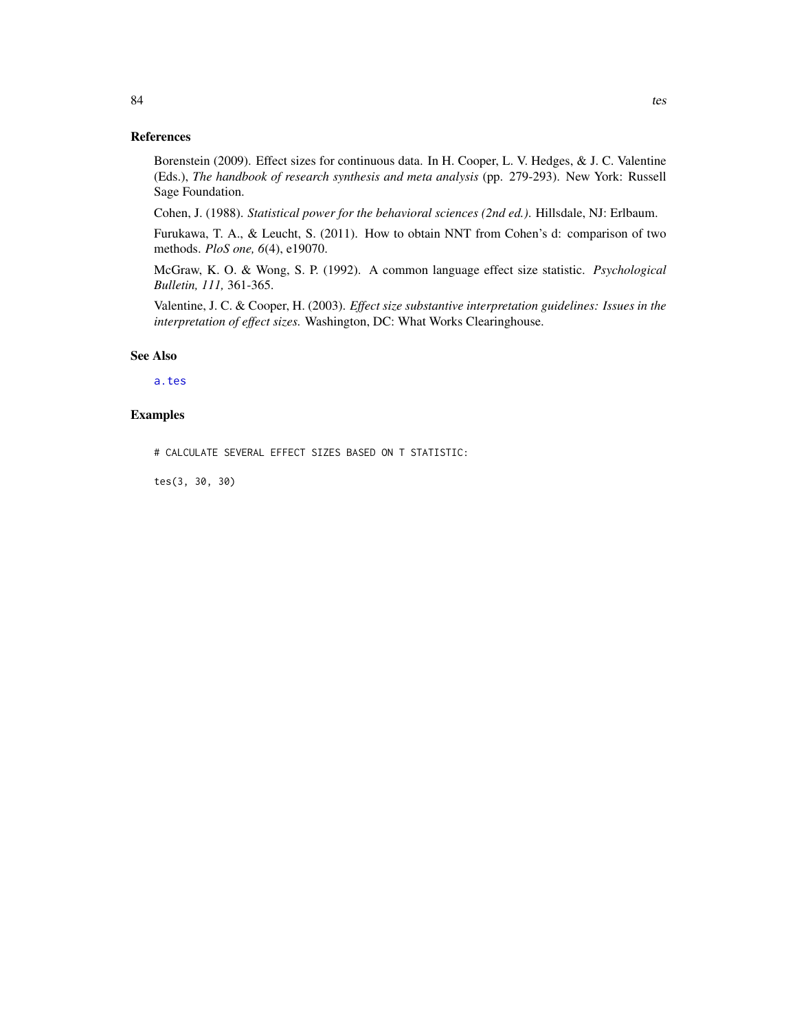# <span id="page-83-0"></span>References

Borenstein (2009). Effect sizes for continuous data. In H. Cooper, L. V. Hedges, & J. C. Valentine (Eds.), *The handbook of research synthesis and meta analysis* (pp. 279-293). New York: Russell Sage Foundation.

Cohen, J. (1988). *Statistical power for the behavioral sciences (2nd ed.)*. Hillsdale, NJ: Erlbaum.

Furukawa, T. A., & Leucht, S. (2011). How to obtain NNT from Cohen's d: comparison of two methods. *PloS one, 6*(4), e19070.

McGraw, K. O. & Wong, S. P. (1992). A common language effect size statistic. *Psychological Bulletin, 111,* 361-365.

Valentine, J. C. & Cooper, H. (2003). *Effect size substantive interpretation guidelines: Issues in the interpretation of effect sizes.* Washington, DC: What Works Clearinghouse.

#### See Also

#### [a.tes](#page-24-0)

#### Examples

# CALCULATE SEVERAL EFFECT SIZES BASED ON T STATISTIC:

tes(3, 30, 30)